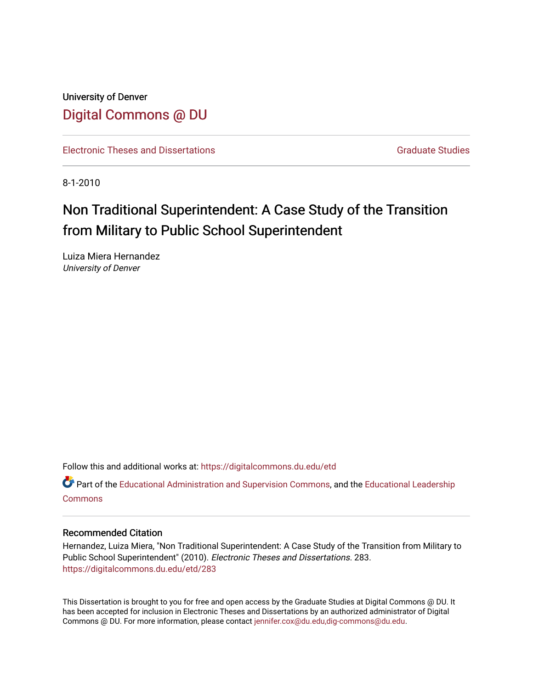University of Denver [Digital Commons @ DU](https://digitalcommons.du.edu/) 

[Electronic Theses and Dissertations](https://digitalcommons.du.edu/etd) [Graduate Studies](https://digitalcommons.du.edu/graduate) Graduate Studies

8-1-2010

## Non Traditional Superintendent: A Case Study of the Transition from Military to Public School Superintendent

Luiza Miera Hernandez University of Denver

Follow this and additional works at: [https://digitalcommons.du.edu/etd](https://digitalcommons.du.edu/etd?utm_source=digitalcommons.du.edu%2Fetd%2F283&utm_medium=PDF&utm_campaign=PDFCoverPages) 

Part of the [Educational Administration and Supervision Commons](http://network.bepress.com/hgg/discipline/787?utm_source=digitalcommons.du.edu%2Fetd%2F283&utm_medium=PDF&utm_campaign=PDFCoverPages), and the Educational Leadership [Commons](http://network.bepress.com/hgg/discipline/1230?utm_source=digitalcommons.du.edu%2Fetd%2F283&utm_medium=PDF&utm_campaign=PDFCoverPages)

#### Recommended Citation

Hernandez, Luiza Miera, "Non Traditional Superintendent: A Case Study of the Transition from Military to Public School Superintendent" (2010). Electronic Theses and Dissertations. 283. [https://digitalcommons.du.edu/etd/283](https://digitalcommons.du.edu/etd/283?utm_source=digitalcommons.du.edu%2Fetd%2F283&utm_medium=PDF&utm_campaign=PDFCoverPages) 

This Dissertation is brought to you for free and open access by the Graduate Studies at Digital Commons @ DU. It has been accepted for inclusion in Electronic Theses and Dissertations by an authorized administrator of Digital Commons @ DU. For more information, please contact [jennifer.cox@du.edu,dig-commons@du.edu.](mailto:jennifer.cox@du.edu,dig-commons@du.edu)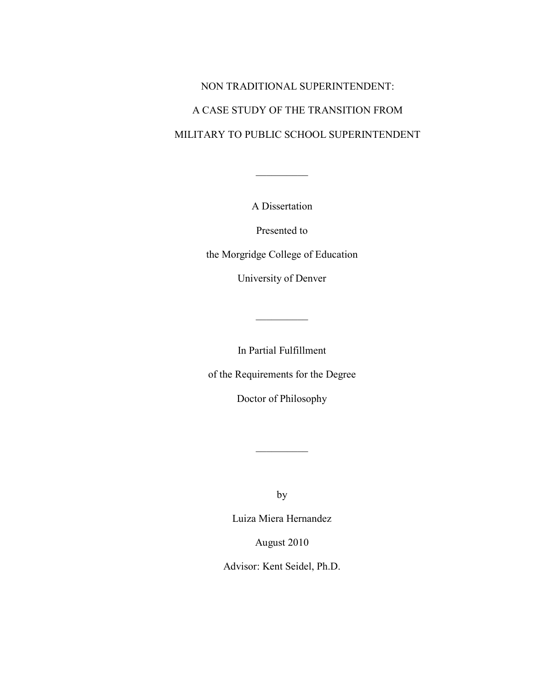# NON TRADITIONAL SUPERINTENDENT: A CASE STUDY OF THE TRANSITION FROM MILITARY TO PUBLIC SCHOOL SUPERINTENDENT

A Dissertation

 $\frac{1}{2}$ 

Presented to

the Morgridge College of Education

University of Denver

In Partial Fulfillment

 $\mathcal{L}$ 

of the Requirements for the Degree

Doctor of Philosophy

by

 $\frac{1}{2}$  ,  $\frac{1}{2}$  ,  $\frac{1}{2}$  ,  $\frac{1}{2}$  ,  $\frac{1}{2}$  ,  $\frac{1}{2}$  ,  $\frac{1}{2}$  ,  $\frac{1}{2}$ 

Luiza Miera Hernandez

August 2010

Advisor: Kent Seidel, Ph.D.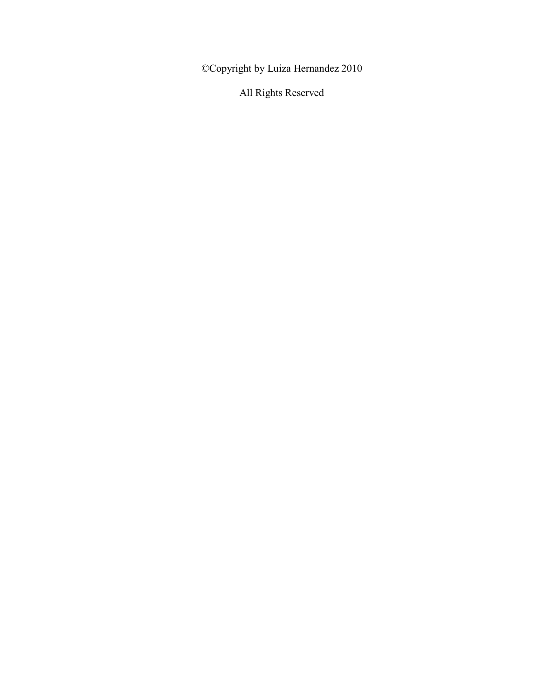©Copyright by Luiza Hernandez 2010

All Rights Reserved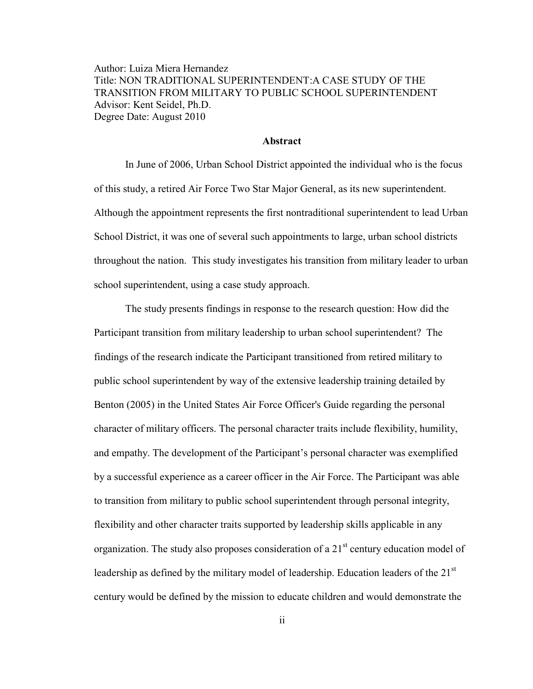Author: Luiza Miera Hernandez Title: NON TRADITIONAL SUPERINTENDENT:A CASE STUDY OF THE TRANSITION FROM MILITARY TO PUBLIC SCHOOL SUPERINTENDENT Advisor: Kent Seidel, Ph.D. Degree Date: August 2010

#### **Abstract**

In June of 2006, Urban School District appointed the individual who is the focus of this study, a retired Air Force Two Star Major General, as its new superintendent. Although the appointment represents the first nontraditional superintendent to lead Urban School District, it was one of several such appointments to large, urban school districts throughout the nation. This study investigates his transition from military leader to urban school superintendent, using a case study approach.

The study presents findings in response to the research question: How did the Participant transition from military leadership to urban school superintendent? The findings of the research indicate the Participant transitioned from retired military to public school superintendent by way of the extensive leadership training detailed by Benton (2005) in the United States Air Force Officer's Guide regarding the personal character of military officers. The personal character traits include flexibility, humility, and empathy. The development of the Participant's personal character was exemplified by a successful experience as a career officer in the Air Force. The Participant was able to transition from military to public school superintendent through personal integrity, flexibility and other character traits supported by leadership skills applicable in any organization. The study also proposes consideration of a  $21<sup>st</sup>$  century education model of leadership as defined by the military model of leadership. Education leaders of the 21<sup>st</sup> century would be defined by the mission to educate children and would demonstrate the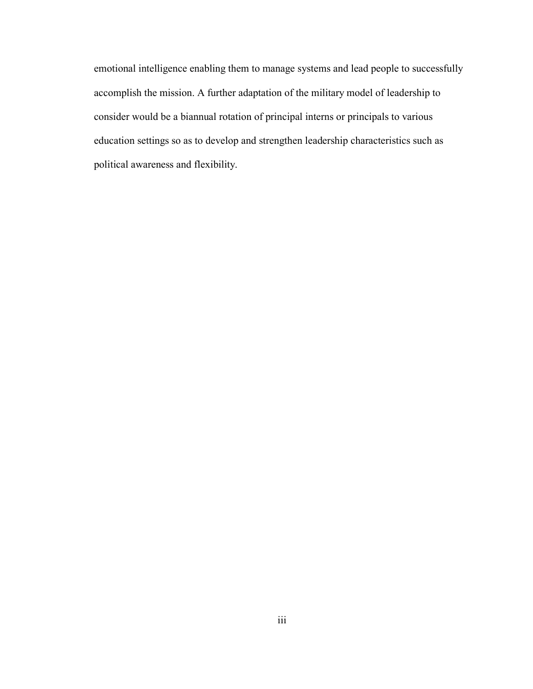emotional intelligence enabling them to manage systems and lead people to successfully accomplish the mission. A further adaptation of the military model of leadership to consider would be a biannual rotation of principal interns or principals to various education settings so as to develop and strengthen leadership characteristics such as political awareness and flexibility.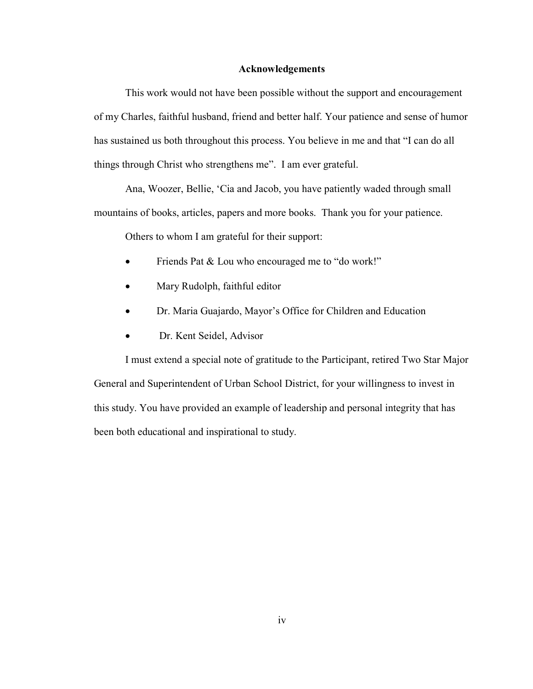#### **Acknowledgements**

This work would not have been possible without the support and encouragement of my Charles, faithful husband, friend and better half. Your patience and sense of humor has sustained us both throughout this process. You believe in me and that "I can do all things through Christ who strengthens me". I am ever grateful.

Ana, Woozer, Bellie, 'Cia and Jacob, you have patiently waded through small mountains of books, articles, papers and more books. Thank you for your patience.

Others to whom I am grateful for their support:

- Friends Pat & Lou who encouraged me to "do work!"
- Mary Rudolph, faithful editor
- Dr. Maria Guajardo, Mayor's Office for Children and Education
- Dr. Kent Seidel, Advisor

I must extend a special note of gratitude to the Participant, retired Two Star Major General and Superintendent of Urban School District, for your willingness to invest in this study. You have provided an example of leadership and personal integrity that has been both educational and inspirational to study.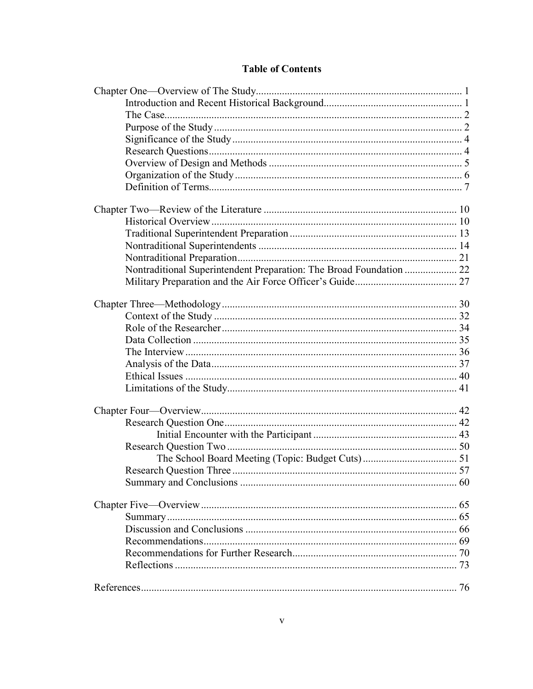### **Table of Contents**

| Nontraditional Superintendent Preparation: The Broad Foundation  22 |  |
|---------------------------------------------------------------------|--|
|                                                                     |  |
|                                                                     |  |
|                                                                     |  |
|                                                                     |  |
|                                                                     |  |
|                                                                     |  |
|                                                                     |  |
|                                                                     |  |
|                                                                     |  |
|                                                                     |  |
|                                                                     |  |
|                                                                     |  |
|                                                                     |  |
|                                                                     |  |
|                                                                     |  |
|                                                                     |  |
|                                                                     |  |
|                                                                     |  |
|                                                                     |  |
|                                                                     |  |
|                                                                     |  |
|                                                                     |  |
|                                                                     |  |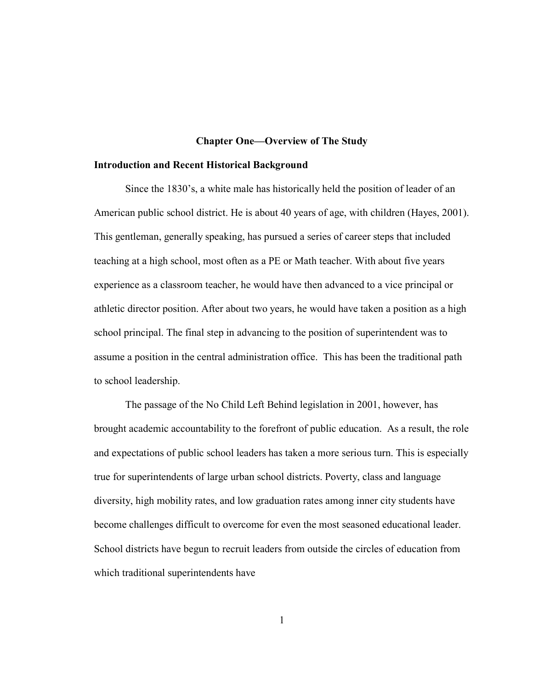#### **Chapter One—Overview of The Study**

#### <span id="page-8-1"></span><span id="page-8-0"></span>**Introduction and Recent Historical Background**

Since the 1830's, a white male has historically held the position of leader of an American public school district. He is about 40 years of age, with children (Hayes, 2001). This gentleman, generally speaking, has pursued a series of career steps that included teaching at a high school, most often as a PE or Math teacher. With about five years experience as a classroom teacher, he would have then advanced to a vice principal or athletic director position. After about two years, he would have taken a position as a high school principal. The final step in advancing to the position of superintendent was to assume a position in the central administration office. This has been the traditional path to school leadership.

The passage of the No Child Left Behind legislation in 2001, however, has brought academic accountability to the forefront of public education. As a result, the role and expectations of public school leaders has taken a more serious turn. This is especially true for superintendents of large urban school districts. Poverty, class and language diversity, high mobility rates, and low graduation rates among inner city students have become challenges difficult to overcome for even the most seasoned educational leader. School districts have begun to recruit leaders from outside the circles of education from which traditional superintendents have

1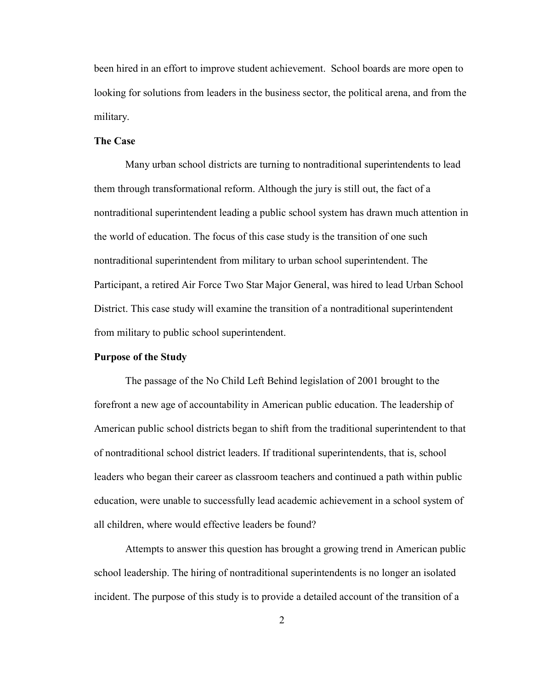been hired in an effort to improve student achievement. School boards are more open to looking for solutions from leaders in the business sector, the political arena, and from the military.

#### <span id="page-9-0"></span>**The Case**

Many urban school districts are turning to nontraditional superintendents to lead them through transformational reform. Although the jury is still out, the fact of a nontraditional superintendent leading a public school system has drawn much attention in the world of education. The focus of this case study is the transition of one such nontraditional superintendent from military to urban school superintendent. The Participant, a retired Air Force Two Star Major General, was hired to lead Urban School District. This case study will examine the transition of a nontraditional superintendent from military to public school superintendent.

#### <span id="page-9-1"></span>**Purpose of the Study**

The passage of the No Child Left Behind legislation of 2001 brought to the forefront a new age of accountability in American public education. The leadership of American public school districts began to shift from the traditional superintendent to that of nontraditional school district leaders. If traditional superintendents, that is, school leaders who began their career as classroom teachers and continued a path within public education, were unable to successfully lead academic achievement in a school system of all children, where would effective leaders be found?

Attempts to answer this question has brought a growing trend in American public school leadership. The hiring of nontraditional superintendents is no longer an isolated incident. The purpose of this study is to provide a detailed account of the transition of a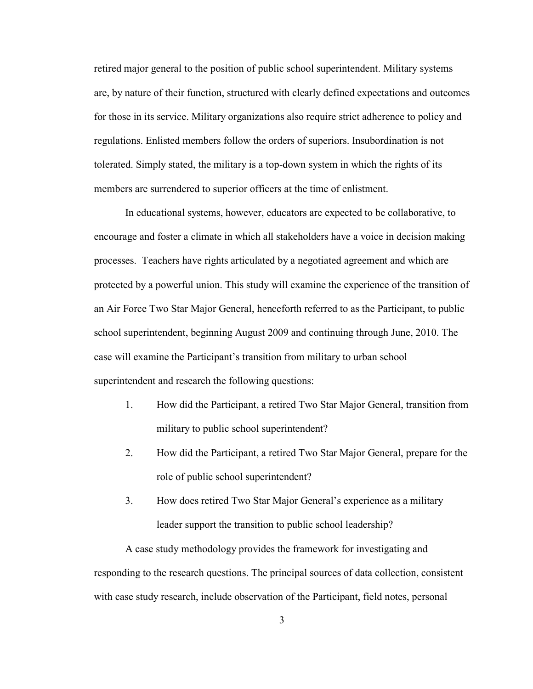retired major general to the position of public school superintendent. Military systems are, by nature of their function, structured with clearly defined expectations and outcomes for those in its service. Military organizations also require strict adherence to policy and regulations. Enlisted members follow the orders of superiors. Insubordination is not tolerated. Simply stated, the military is a top-down system in which the rights of its members are surrendered to superior officers at the time of enlistment.

In educational systems, however, educators are expected to be collaborative, to encourage and foster a climate in which all stakeholders have a voice in decision making processes. Teachers have rights articulated by a negotiated agreement and which are protected by a powerful union. This study will examine the experience of the transition of an Air Force Two Star Major General, henceforth referred to as the Participant, to public school superintendent, beginning August 2009 and continuing through June, 2010. The case will examine the Participant's transition from military to urban school superintendent and research the following questions:

- 1. How did the Participant, a retired Two Star Major General, transition from military to public school superintendent?
- 2. How did the Participant, a retired Two Star Major General, prepare for the role of public school superintendent?
- 3. How does retired Two Star Major General's experience as a military leader support the transition to public school leadership?

A case study methodology provides the framework for investigating and responding to the research questions. The principal sources of data collection, consistent with case study research, include observation of the Participant, field notes, personal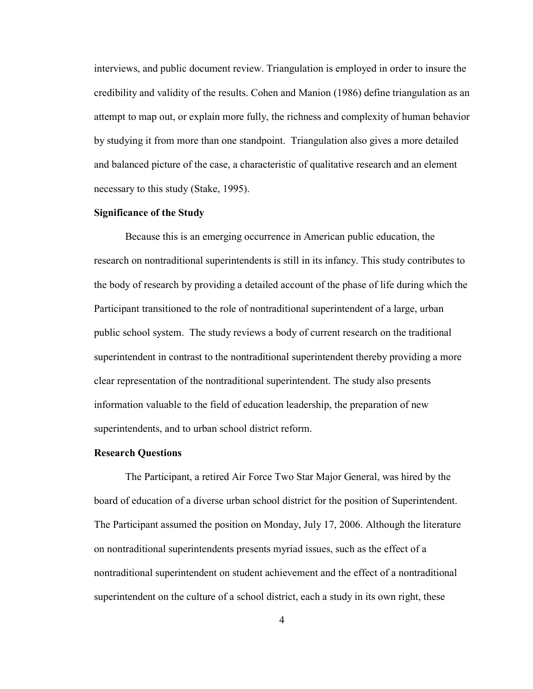interviews, and public document review. Triangulation is employed in order to insure the credibility and validity of the results. Cohen and Manion (1986) define triangulation as an attempt to map out, or explain more fully, the richness and complexity of human behavior by studying it from more than one standpoint. Triangulation also gives a more detailed and balanced picture of the case, a characteristic of qualitative research and an element necessary to this study (Stake, 1995).

#### <span id="page-11-0"></span>**Significance of the Study**

Because this is an emerging occurrence in American public education, the research on nontraditional superintendents is still in its infancy. This study contributes to the body of research by providing a detailed account of the phase of life during which the Participant transitioned to the role of nontraditional superintendent of a large, urban public school system. The study reviews a body of current research on the traditional superintendent in contrast to the nontraditional superintendent thereby providing a more clear representation of the nontraditional superintendent. The study also presents information valuable to the field of education leadership, the preparation of new superintendents, and to urban school district reform.

#### <span id="page-11-1"></span>**Research Questions**

The Participant, a retired Air Force Two Star Major General, was hired by the board of education of a diverse urban school district for the position of Superintendent. The Participant assumed the position on Monday, July 17, 2006. Although the literature on nontraditional superintendents presents myriad issues, such as the effect of a nontraditional superintendent on student achievement and the effect of a nontraditional superintendent on the culture of a school district, each a study in its own right, these

4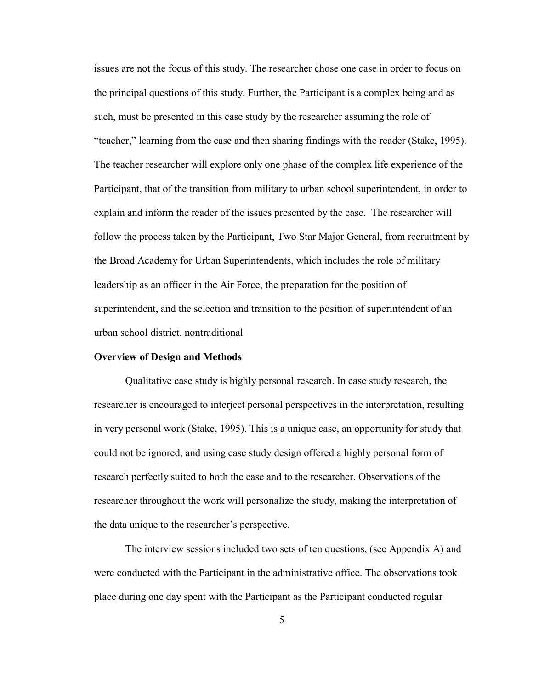issues are not the focus of this study. The researcher chose one case in order to focus on the principal questions of this study. Further, the Participant is a complex being and as such, must be presented in this case study by the researcher assuming the role of "teacher," learning from the case and then sharing findings with the reader (Stake, 1995). The teacher researcher will explore only one phase of the complex life experience of the Participant, that of the transition from military to urban school superintendent, in order to explain and inform the reader of the issues presented by the case. The researcher will follow the process taken by the Participant, Two Star Major General, from recruitment by the Broad Academy for Urban Superintendents, which includes the role of military leadership as an officer in the Air Force, the preparation for the position of superintendent, and the selection and transition to the position of superintendent of an urban school district. nontraditional

#### <span id="page-12-0"></span>**Overview of Design and Methods**

Qualitative case study is highly personal research. In case study research, the researcher is encouraged to interject personal perspectives in the interpretation, resulting in very personal work (Stake, 1995). This is a unique case, an opportunity for study that could not be ignored, and using case study design offered a highly personal form of research perfectly suited to both the case and to the researcher. Observations of the researcher throughout the work will personalize the study, making the interpretation of the data unique to the researcher's perspective.

The interview sessions included two sets of ten questions, (see Appendix A) and were conducted with the Participant in the administrative office. The observations took place during one day spent with the Participant as the Participant conducted regular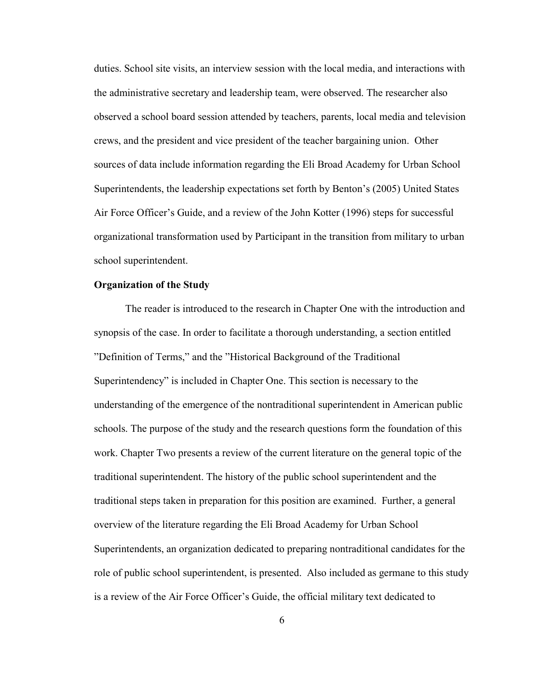duties. School site visits, an interview session with the local media, and interactions with the administrative secretary and leadership team, were observed. The researcher also observed a school board session attended by teachers, parents, local media and television crews, and the president and vice president of the teacher bargaining union. Other sources of data include information regarding the Eli Broad Academy for Urban School Superintendents, the leadership expectations set forth by Benton's (2005) United States Air Force Officer's Guide, and a review of the John Kotter (1996) steps for successful organizational transformation used by Participant in the transition from military to urban school superintendent.

#### <span id="page-13-0"></span>**Organization of the Study**

The reader is introduced to the research in Chapter One with the introduction and synopsis of the case. In order to facilitate a thorough understanding, a section entitled "Definition of Terms," and the "Historical Background of the Traditional Superintendency" is included in Chapter One. This section is necessary to the understanding of the emergence of the nontraditional superintendent in American public schools. The purpose of the study and the research questions form the foundation of this work. Chapter Two presents a review of the current literature on the general topic of the traditional superintendent. The history of the public school superintendent and the traditional steps taken in preparation for this position are examined. Further, a general overview of the literature regarding the Eli Broad Academy for Urban School Superintendents, an organization dedicated to preparing nontraditional candidates for the role of public school superintendent, is presented. Also included as germane to this study is a review of the Air Force Officer's Guide, the official military text dedicated to

6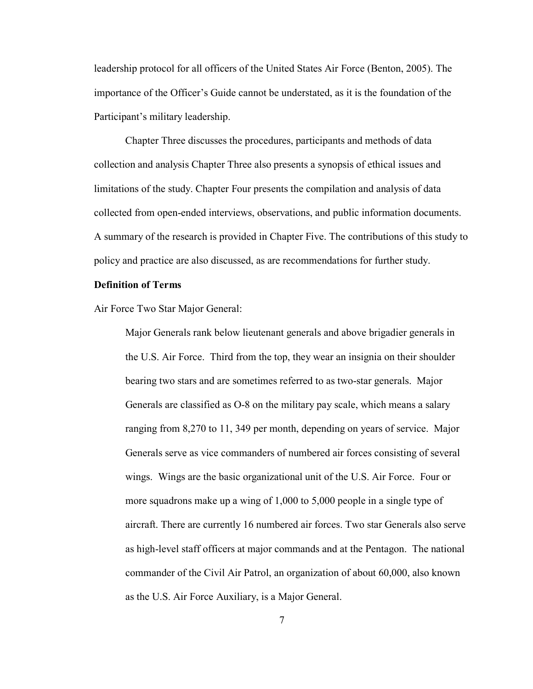leadership protocol for all officers of the United States Air Force (Benton, 2005). The importance of the Officer's Guide cannot be understated, as it is the foundation of the Participant's military leadership.

Chapter Three discusses the procedures, participants and methods of data collection and analysis Chapter Three also presents a synopsis of ethical issues and limitations of the study. Chapter Four presents the compilation and analysis of data collected from open-ended interviews, observations, and public information documents. A summary of the research is provided in Chapter Five. The contributions of this study to policy and practice are also discussed, as are recommendations for further study.

#### <span id="page-14-0"></span>**Definition of Terms**

Air Force Two Star Major General:

Major Generals rank below lieutenant generals and above brigadier generals in the U.S. Air Force. Third from the top, they wear an insignia on their shoulder bearing two stars and are sometimes referred to as two-star generals. Major Generals are classified as O-8 on the military pay scale, which means a salary ranging from 8,270 to 11, 349 per month, depending on years of service. Major Generals serve as vice commanders of numbered air forces consisting of several wings. Wings are the basic organizational unit of the U.S. Air Force. Four or more squadrons make up a wing of 1,000 to 5,000 people in a single type of aircraft. There are currently 16 numbered air forces. Two star Generals also serve as high-level staff officers at major commands and at the Pentagon. The national commander of the Civil Air Patrol, an organization of about 60,000, also known as the U.S. Air Force Auxiliary, is a Major General.

7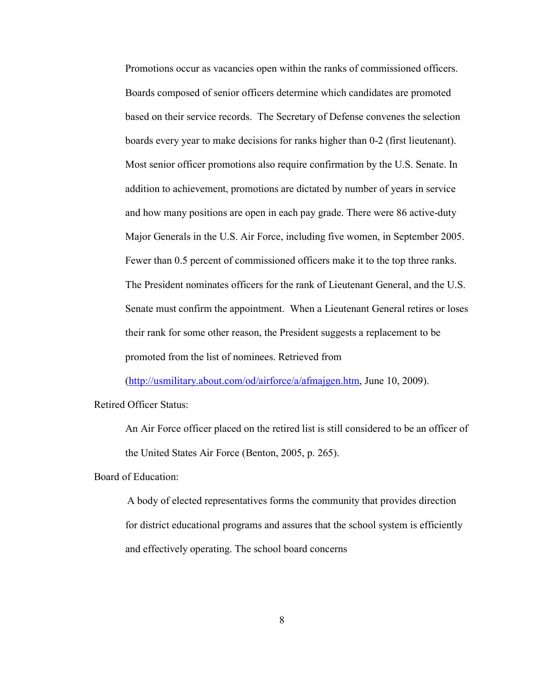Promotions occur as vacancies open within the ranks of commissioned officers. Boards composed of senior officers determine which candidates are promoted based on their service records. The Secretary of Defense convenes the selection boards every year to make decisions for ranks higher than 0-2 (first lieutenant). Most senior officer promotions also require confirmation by the U.S. Senate. In addition to achievement, promotions are dictated by number of years in service and how many positions are open in each pay grade. There were 86 active-duty Major Generals in the U.S. Air Force, including five women, in September 2005. Fewer than 0.5 percent of commissioned officers make it to the top three ranks. The President nominates officers for the rank of Lieutenant General, and the U.S. Senate must confirm the appointment. When a Lieutenant General retires or loses their rank for some other reason, the President suggests a replacement to be promoted from the list of nominees. Retrieved from

[\(http://usmilitary.about.com/od/airforce/a/afmajgen.htm,](http://usmilitary.about.com/od/airforce/a/afmajgen.htm) June 10, 2009).

Retired Officer Status:

An Air Force officer placed on the retired list is still considered to be an officer of the United States Air Force (Benton, 2005, p. 265).

Board of Education:

A body of elected representatives forms the community that provides direction for district educational programs and assures that the school system is efficiently and effectively operating. The school board concerns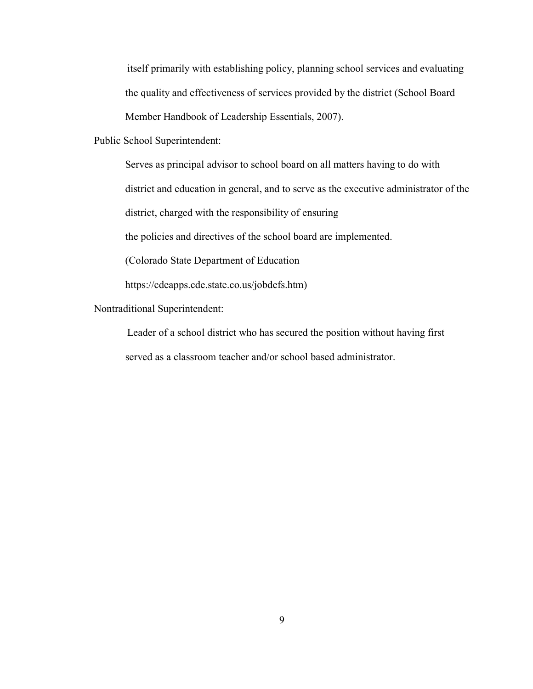itself primarily with establishing policy, planning school services and evaluating the quality and effectiveness of services provided by the district (School Board Member Handbook of Leadership Essentials, 2007).

Public School Superintendent:

Serves as principal advisor to school board on all matters having to do with

district and education in general, and to serve as the executive administrator of the

district, charged with the responsibility of ensuring

the policies and directives of the school board are implemented.

(Colorado State Department of Education

https://cdeapps.cde.state.co.us/jobdefs.htm)

Nontraditional Superintendent:

Leader of a school district who has secured the position without having first served as a classroom teacher and/or school based administrator.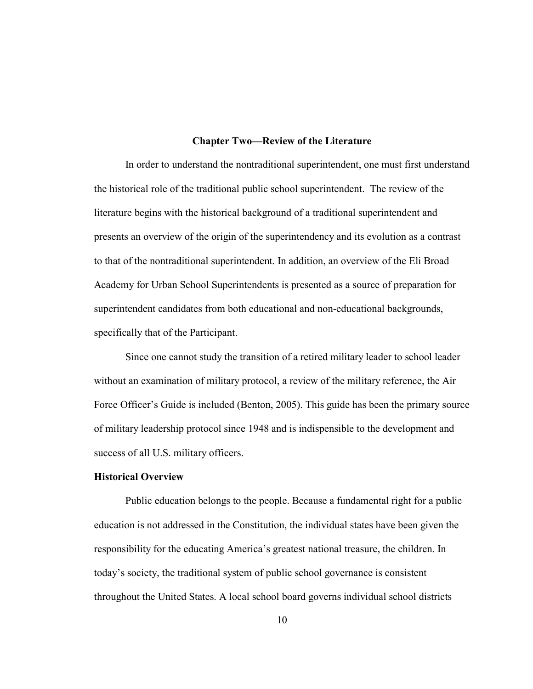#### **Chapter Two—Review of the Literature**

<span id="page-17-0"></span>In order to understand the nontraditional superintendent, one must first understand the historical role of the traditional public school superintendent. The review of the literature begins with the historical background of a traditional superintendent and presents an overview of the origin of the superintendency and its evolution as a contrast to that of the nontraditional superintendent. In addition, an overview of the Eli Broad Academy for Urban School Superintendents is presented as a source of preparation for superintendent candidates from both educational and non-educational backgrounds, specifically that of the Participant.

Since one cannot study the transition of a retired military leader to school leader without an examination of military protocol, a review of the military reference, the Air Force Officer's Guide is included (Benton, 2005). This guide has been the primary source of military leadership protocol since 1948 and is indispensible to the development and success of all U.S. military officers.

#### <span id="page-17-1"></span>**Historical Overview**

Public education belongs to the people. Because a fundamental right for a public education is not addressed in the Constitution, the individual states have been given the responsibility for the educating America's greatest national treasure, the children. In today's society, the traditional system of public school governance is consistent throughout the United States. A local school board governs individual school districts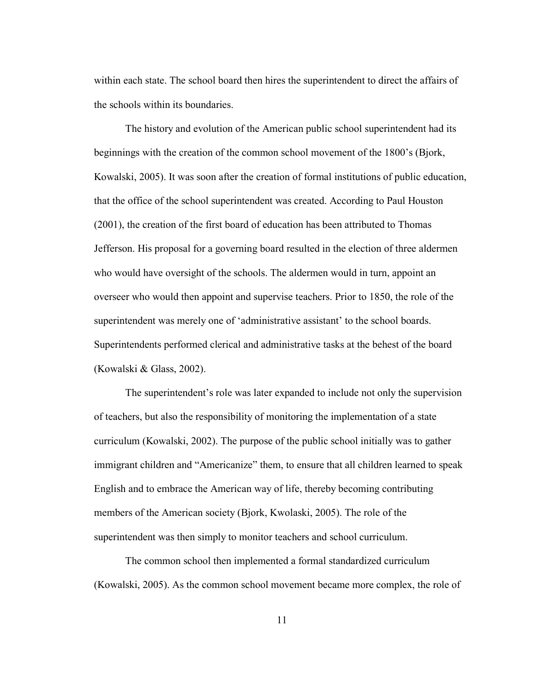within each state. The school board then hires the superintendent to direct the affairs of the schools within its boundaries.

The history and evolution of the American public school superintendent had its beginnings with the creation of the common school movement of the 1800's (Bjork, Kowalski, 2005). It was soon after the creation of formal institutions of public education, that the office of the school superintendent was created. According to Paul Houston (2001), the creation of the first board of education has been attributed to Thomas Jefferson. His proposal for a governing board resulted in the election of three aldermen who would have oversight of the schools. The aldermen would in turn, appoint an overseer who would then appoint and supervise teachers. Prior to 1850, the role of the superintendent was merely one of 'administrative assistant' to the school boards. Superintendents performed clerical and administrative tasks at the behest of the board (Kowalski & Glass, 2002).

The superintendent's role was later expanded to include not only the supervision of teachers, but also the responsibility of monitoring the implementation of a state curriculum (Kowalski, 2002). The purpose of the public school initially was to gather immigrant children and "Americanize" them, to ensure that all children learned to speak English and to embrace the American way of life, thereby becoming contributing members of the American society (Bjork, Kwolaski, 2005). The role of the superintendent was then simply to monitor teachers and school curriculum.

The common school then implemented a formal standardized curriculum (Kowalski, 2005). As the common school movement became more complex, the role of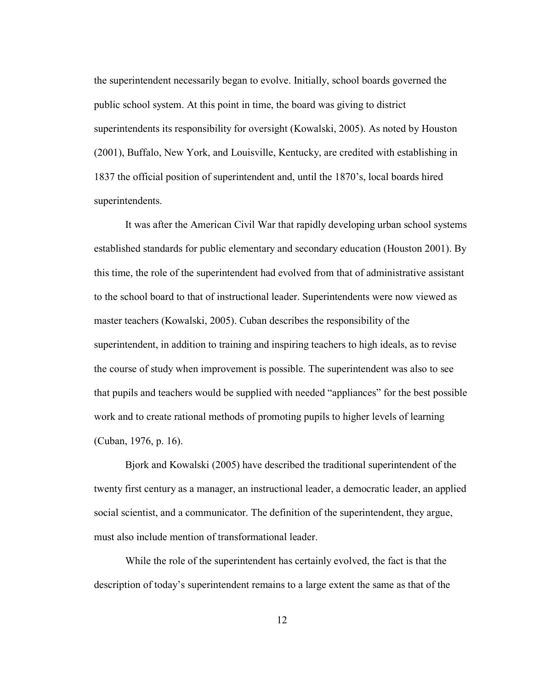the superintendent necessarily began to evolve. Initially, school boards governed the public school system. At this point in time, the board was giving to district superintendents its responsibility for oversight (Kowalski, 2005). As noted by Houston (2001), Buffalo, New York, and Louisville, Kentucky, are credited with establishing in 1837 the official position of superintendent and, until the 1870's, local boards hired superintendents.

It was after the American Civil War that rapidly developing urban school systems established standards for public elementary and secondary education (Houston 2001). By this time, the role of the superintendent had evolved from that of administrative assistant to the school board to that of instructional leader. Superintendents were now viewed as master teachers (Kowalski, 2005). Cuban describes the responsibility of the superintendent, in addition to training and inspiring teachers to high ideals, as to revise the course of study when improvement is possible. The superintendent was also to see that pupils and teachers would be supplied with needed "appliances" for the best possible work and to create rational methods of promoting pupils to higher levels of learning (Cuban, 1976, p. 16).

Bjork and Kowalski (2005) have described the traditional superintendent of the twenty first century as a manager, an instructional leader, a democratic leader, an applied social scientist, and a communicator. The definition of the superintendent, they argue, must also include mention of transformational leader.

While the role of the superintendent has certainly evolved, the fact is that the description of today's superintendent remains to a large extent the same as that of the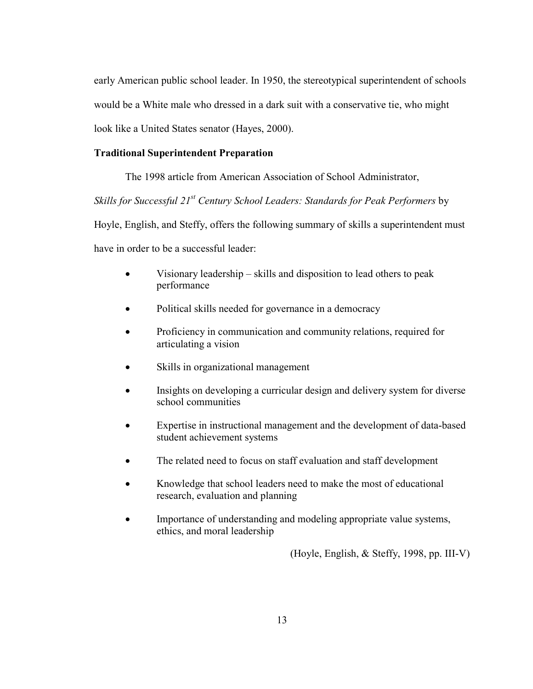early American public school leader. In 1950, the stereotypical superintendent of schools would be a White male who dressed in a dark suit with a conservative tie, who might look like a United States senator (Hayes, 2000).

#### <span id="page-20-0"></span>**Traditional Superintendent Preparation**

The 1998 article from American Association of School Administrator,

*Skills for Successful 21st Century School Leaders: Standards for Peak Performers* by

Hoyle, English, and Steffy, offers the following summary of skills a superintendent must

have in order to be a successful leader:

- Visionary leadership skills and disposition to lead others to peak performance
- Political skills needed for governance in a democracy
- Proficiency in communication and community relations, required for articulating a vision
- Skills in organizational management
- Insights on developing a curricular design and delivery system for diverse school communities
- Expertise in instructional management and the development of data-based student achievement systems
- The related need to focus on staff evaluation and staff development
- Knowledge that school leaders need to make the most of educational research, evaluation and planning
- Importance of understanding and modeling appropriate value systems, ethics, and moral leadership

(Hoyle, English, & Steffy, 1998, pp. III-V)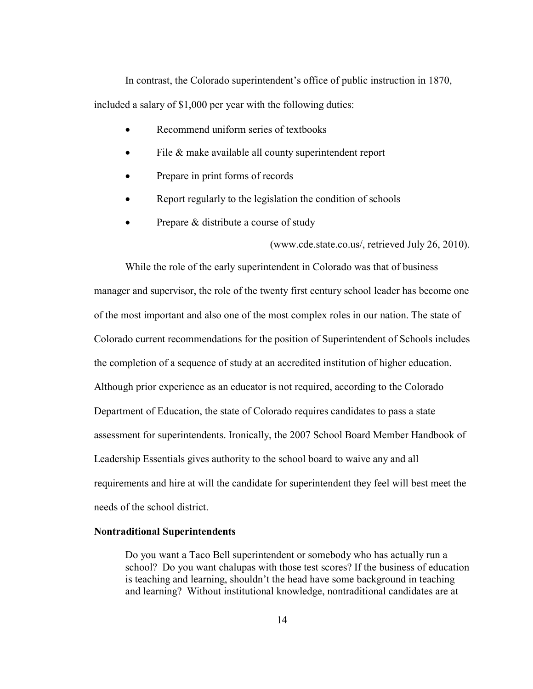In contrast, the Colorado superintendent's office of public instruction in 1870, included a salary of \$1,000 per year with the following duties:

- Recommend uniform series of textbooks
- File & make available all county superintendent report
- Prepare in print forms of records
- Report regularly to the legislation the condition of schools
- Prepare & distribute a course of study

(www.cde.state.co.us/, retrieved July 26, 2010).

While the role of the early superintendent in Colorado was that of business manager and supervisor, the role of the twenty first century school leader has become one of the most important and also one of the most complex roles in our nation. The state of Colorado current recommendations for the position of Superintendent of Schools includes the completion of a sequence of study at an accredited institution of higher education. Although prior experience as an educator is not required, according to the Colorado Department of Education, the state of Colorado requires candidates to pass a state assessment for superintendents. Ironically, the 2007 School Board Member Handbook of Leadership Essentials gives authority to the school board to waive any and all requirements and hire at will the candidate for superintendent they feel will best meet the needs of the school district.

#### <span id="page-21-0"></span>**Nontraditional Superintendents**

Do you want a Taco Bell superintendent or somebody who has actually run a school? Do you want chalupas with those test scores? If the business of education is teaching and learning, shouldn't the head have some background in teaching and learning? Without institutional knowledge, nontraditional candidates are at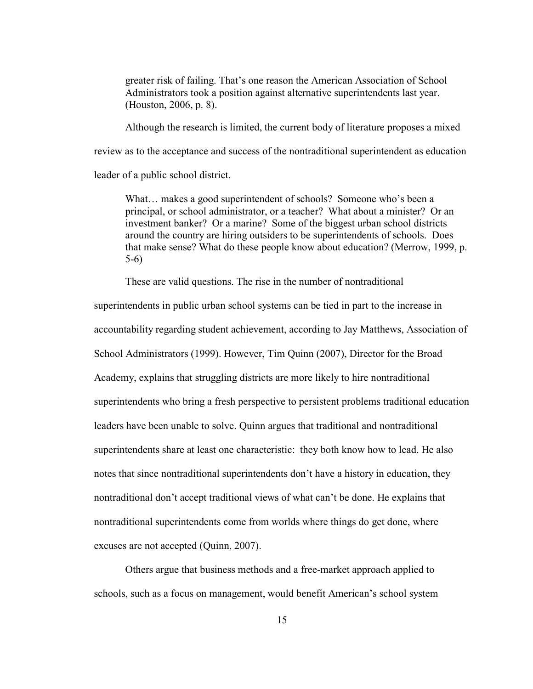greater risk of failing. That's one reason the American Association of School Administrators took a position against alternative superintendents last year. (Houston, 2006, p. 8).

Although the research is limited, the current body of literature proposes a mixed

review as to the acceptance and success of the nontraditional superintendent as education

leader of a public school district.

What... makes a good superintendent of schools? Someone who's been a principal, or school administrator, or a teacher? What about a minister? Or an investment banker? Or a marine? Some of the biggest urban school districts around the country are hiring outsiders to be superintendents of schools. Does that make sense? What do these people know about education? (Merrow, 1999, p. 5-6)

These are valid questions. The rise in the number of nontraditional

superintendents in public urban school systems can be tied in part to the increase in accountability regarding student achievement, according to Jay Matthews, Association of School Administrators (1999). However, Tim Quinn (2007), Director for the Broad Academy, explains that struggling districts are more likely to hire nontraditional superintendents who bring a fresh perspective to persistent problems traditional education leaders have been unable to solve. Quinn argues that traditional and nontraditional superintendents share at least one characteristic: they both know how to lead. He also notes that since nontraditional superintendents don't have a history in education, they nontraditional don't accept traditional views of what can't be done. He explains that nontraditional superintendents come from worlds where things do get done, where excuses are not accepted (Quinn, 2007).

Others argue that business methods and a free-market approach applied to schools, such as a focus on management, would benefit American's school system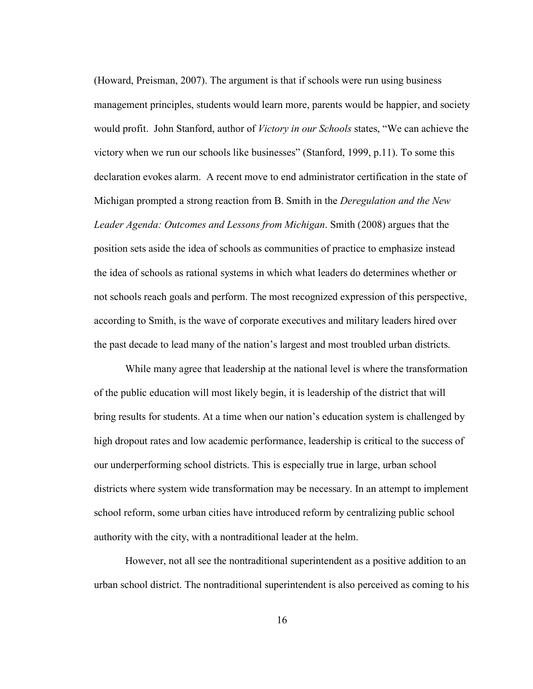(Howard, Preisman, 2007). The argument is that if schools were run using business management principles, students would learn more, parents would be happier, and society would profit. John Stanford, author of *Victory in our Schools* states, "We can achieve the victory when we run our schools like businesses" (Stanford, 1999, p.11). To some this declaration evokes alarm. A recent move to end administrator certification in the state of Michigan prompted a strong reaction from B. Smith in the *Deregulation and the New Leader Agenda: Outcomes and Lessons from Michigan*. Smith (2008) argues that the position sets aside the idea of schools as communities of practice to emphasize instead the idea of schools as rational systems in which what leaders do determines whether or not schools reach goals and perform. The most recognized expression of this perspective, according to Smith, is the wave of corporate executives and military leaders hired over the past decade to lead many of the nation's largest and most troubled urban districts.

While many agree that leadership at the national level is where the transformation of the public education will most likely begin, it is leadership of the district that will bring results for students. At a time when our nation's education system is challenged by high dropout rates and low academic performance, leadership is critical to the success of our underperforming school districts. This is especially true in large, urban school districts where system wide transformation may be necessary. In an attempt to implement school reform, some urban cities have introduced reform by centralizing public school authority with the city, with a nontraditional leader at the helm.

However, not all see the nontraditional superintendent as a positive addition to an urban school district. The nontraditional superintendent is also perceived as coming to his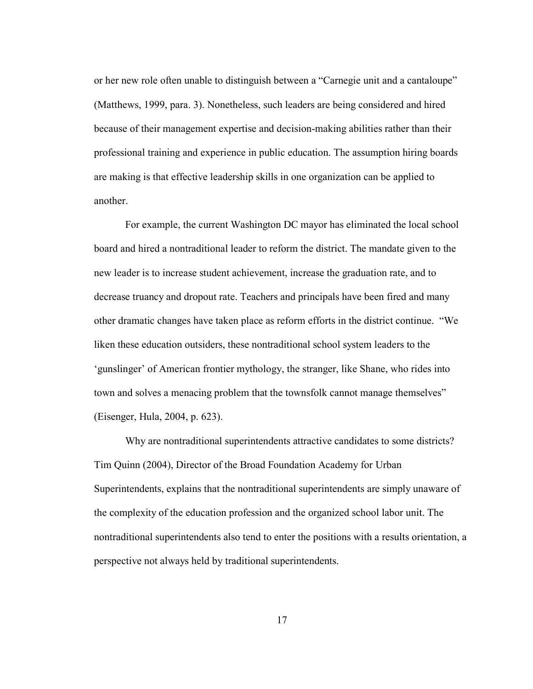or her new role often unable to distinguish between a "Carnegie unit and a cantaloupe" (Matthews, 1999, para. 3). Nonetheless, such leaders are being considered and hired because of their management expertise and decision-making abilities rather than their professional training and experience in public education. The assumption hiring boards are making is that effective leadership skills in one organization can be applied to another.

For example, the current Washington DC mayor has eliminated the local school board and hired a nontraditional leader to reform the district. The mandate given to the new leader is to increase student achievement, increase the graduation rate, and to decrease truancy and dropout rate. Teachers and principals have been fired and many other dramatic changes have taken place as reform efforts in the district continue. "We liken these education outsiders, these nontraditional school system leaders to the 'gunslinger' of American frontier mythology, the stranger, like Shane, who rides into town and solves a menacing problem that the townsfolk cannot manage themselves" (Eisenger, Hula, 2004, p. 623).

Why are nontraditional superintendents attractive candidates to some districts? Tim Quinn (2004), Director of the Broad Foundation Academy for Urban Superintendents, explains that the nontraditional superintendents are simply unaware of the complexity of the education profession and the organized school labor unit. The nontraditional superintendents also tend to enter the positions with a results orientation, a perspective not always held by traditional superintendents.

17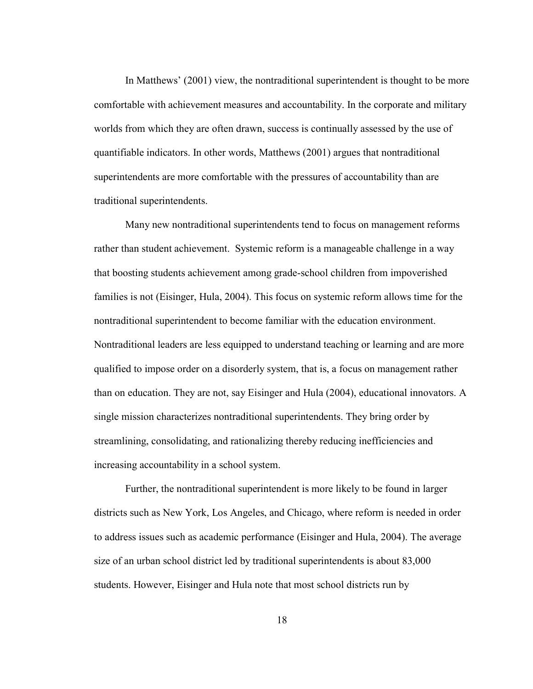In Matthews' (2001) view, the nontraditional superintendent is thought to be more comfortable with achievement measures and accountability. In the corporate and military worlds from which they are often drawn, success is continually assessed by the use of quantifiable indicators. In other words, Matthews (2001) argues that nontraditional superintendents are more comfortable with the pressures of accountability than are traditional superintendents.

Many new nontraditional superintendents tend to focus on management reforms rather than student achievement. Systemic reform is a manageable challenge in a way that boosting students achievement among grade-school children from impoverished families is not (Eisinger, Hula, 2004). This focus on systemic reform allows time for the nontraditional superintendent to become familiar with the education environment. Nontraditional leaders are less equipped to understand teaching or learning and are more qualified to impose order on a disorderly system, that is, a focus on management rather than on education. They are not, say Eisinger and Hula (2004), educational innovators. A single mission characterizes nontraditional superintendents. They bring order by streamlining, consolidating, and rationalizing thereby reducing inefficiencies and increasing accountability in a school system.

Further, the nontraditional superintendent is more likely to be found in larger districts such as New York, Los Angeles, and Chicago, where reform is needed in order to address issues such as academic performance (Eisinger and Hula, 2004). The average size of an urban school district led by traditional superintendents is about 83,000 students. However, Eisinger and Hula note that most school districts run by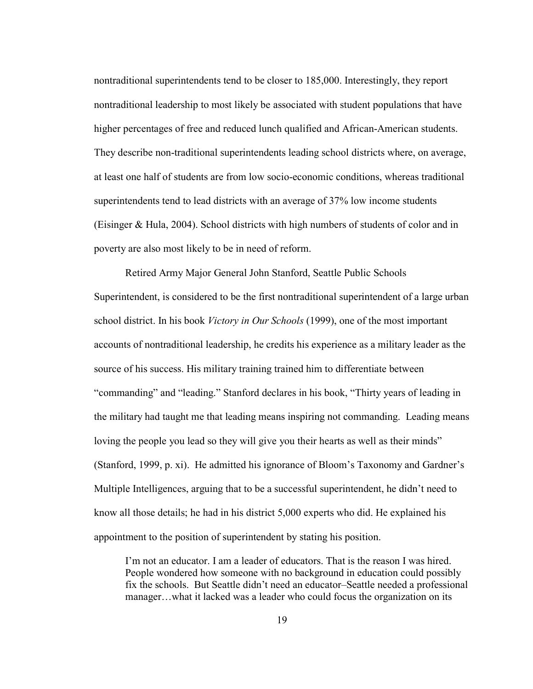nontraditional superintendents tend to be closer to 185,000. Interestingly, they report nontraditional leadership to most likely be associated with student populations that have higher percentages of free and reduced lunch qualified and African-American students. They describe non-traditional superintendents leading school districts where, on average, at least one half of students are from low socio-economic conditions, whereas traditional superintendents tend to lead districts with an average of 37% low income students (Eisinger & Hula, 2004). School districts with high numbers of students of color and in poverty are also most likely to be in need of reform.

Retired Army Major General John Stanford, Seattle Public Schools Superintendent, is considered to be the first nontraditional superintendent of a large urban school district. In his book *Victory in Our Schools* (1999), one of the most important accounts of nontraditional leadership, he credits his experience as a military leader as the source of his success. His military training trained him to differentiate between "commanding" and "leading." Stanford declares in his book, "Thirty years of leading in the military had taught me that leading means inspiring not commanding. Leading means loving the people you lead so they will give you their hearts as well as their minds" (Stanford, 1999, p. xi). He admitted his ignorance of Bloom's Taxonomy and Gardner's Multiple Intelligences, arguing that to be a successful superintendent, he didn't need to know all those details; he had in his district 5,000 experts who did. He explained his appointment to the position of superintendent by stating his position.

I'm not an educator. I am a leader of educators. That is the reason I was hired. People wondered how someone with no background in education could possibly fix the schools. But Seattle didn't need an educator–Seattle needed a professional manager…what it lacked was a leader who could focus the organization on its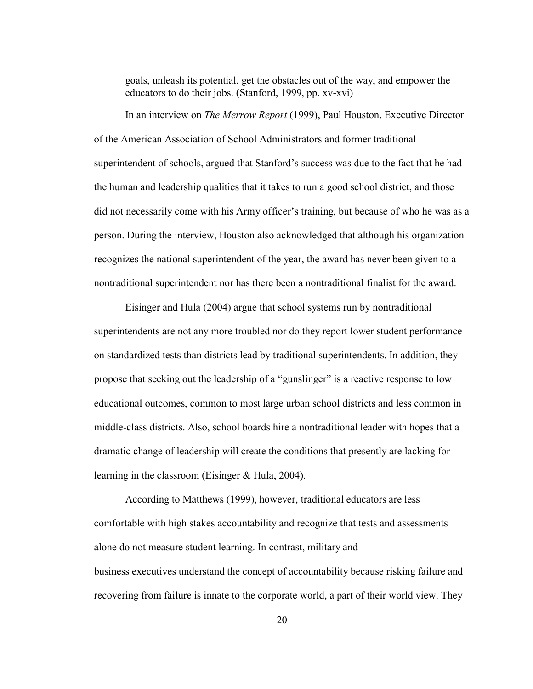goals, unleash its potential, get the obstacles out of the way, and empower the educators to do their jobs. (Stanford, 1999, pp. xv-xvi)

In an interview on *The Merrow Report* (1999), Paul Houston, Executive Director of the American Association of School Administrators and former traditional superintendent of schools, argued that Stanford's success was due to the fact that he had the human and leadership qualities that it takes to run a good school district, and those did not necessarily come with his Army officer's training, but because of who he was as a person. During the interview, Houston also acknowledged that although his organization recognizes the national superintendent of the year, the award has never been given to a nontraditional superintendent nor has there been a nontraditional finalist for the award.

Eisinger and Hula (2004) argue that school systems run by nontraditional superintendents are not any more troubled nor do they report lower student performance on standardized tests than districts lead by traditional superintendents. In addition, they propose that seeking out the leadership of a "gunslinger" is a reactive response to low educational outcomes, common to most large urban school districts and less common in middle-class districts. Also, school boards hire a nontraditional leader with hopes that a dramatic change of leadership will create the conditions that presently are lacking for learning in the classroom (Eisinger & Hula, 2004).

According to Matthews (1999), however, traditional educators are less comfortable with high stakes accountability and recognize that tests and assessments alone do not measure student learning. In contrast, military and business executives understand the concept of accountability because risking failure and recovering from failure is innate to the corporate world, a part of their world view. They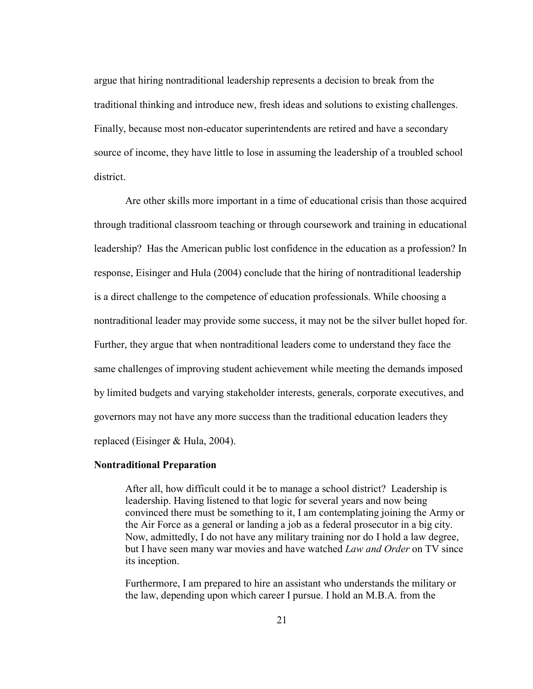argue that hiring nontraditional leadership represents a decision to break from the traditional thinking and introduce new, fresh ideas and solutions to existing challenges. Finally, because most non-educator superintendents are retired and have a secondary source of income, they have little to lose in assuming the leadership of a troubled school district.

Are other skills more important in a time of educational crisis than those acquired through traditional classroom teaching or through coursework and training in educational leadership? Has the American public lost confidence in the education as a profession? In response, Eisinger and Hula (2004) conclude that the hiring of nontraditional leadership is a direct challenge to the competence of education professionals. While choosing a nontraditional leader may provide some success, it may not be the silver bullet hoped for. Further, they argue that when nontraditional leaders come to understand they face the same challenges of improving student achievement while meeting the demands imposed by limited budgets and varying stakeholder interests, generals, corporate executives, and governors may not have any more success than the traditional education leaders they replaced (Eisinger & Hula, 2004).

#### <span id="page-28-0"></span>**Nontraditional Preparation**

After all, how difficult could it be to manage a school district? Leadership is leadership. Having listened to that logic for several years and now being convinced there must be something to it, I am contemplating joining the Army or the Air Force as a general or landing a job as a federal prosecutor in a big city. Now, admittedly, I do not have any military training nor do I hold a law degree, but I have seen many war movies and have watched *Law and Order* on TV since its inception.

Furthermore, I am prepared to hire an assistant who understands the military or the law, depending upon which career I pursue. I hold an M.B.A. from the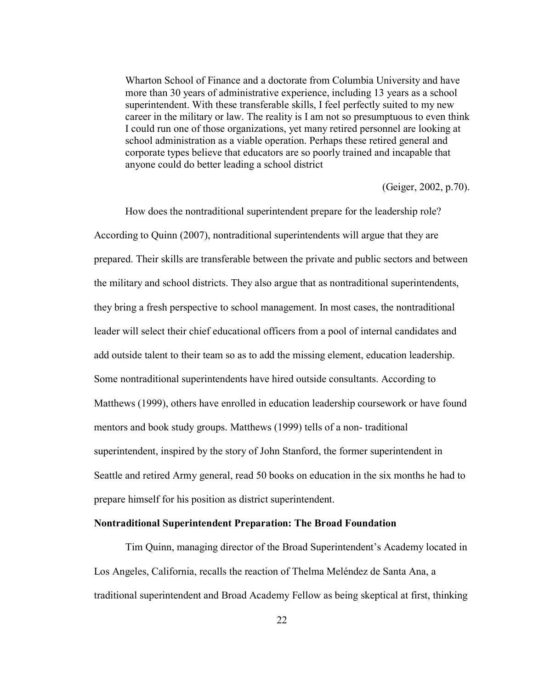Wharton School of Finance and a doctorate from Columbia University and have more than 30 years of administrative experience, including 13 years as a school superintendent. With these transferable skills, I feel perfectly suited to my new career in the military or law. The reality is I am not so presumptuous to even think I could run one of those organizations, yet many retired personnel are looking at school administration as a viable operation. Perhaps these retired general and corporate types believe that educators are so poorly trained and incapable that anyone could do better leading a school district

(Geiger, 2002, p.70).

How does the nontraditional superintendent prepare for the leadership role? According to Quinn (2007), nontraditional superintendents will argue that they are prepared. Their skills are transferable between the private and public sectors and between the military and school districts. They also argue that as nontraditional superintendents, they bring a fresh perspective to school management. In most cases, the nontraditional leader will select their chief educational officers from a pool of internal candidates and add outside talent to their team so as to add the missing element, education leadership. Some nontraditional superintendents have hired outside consultants. According to Matthews (1999), others have enrolled in education leadership coursework or have found mentors and book study groups. Matthews (1999) tells of a non- traditional superintendent, inspired by the story of John Stanford, the former superintendent in Seattle and retired Army general, read 50 books on education in the six months he had to prepare himself for his position as district superintendent.

#### <span id="page-29-0"></span>**Nontraditional Superintendent Preparation: The Broad Foundation**

Tim Quinn, managing director of the Broad Superintendent's Academy located in Los Angeles, California, recalls the reaction of Thelma Meléndez de Santa Ana, a traditional superintendent and Broad Academy Fellow as being skeptical at first, thinking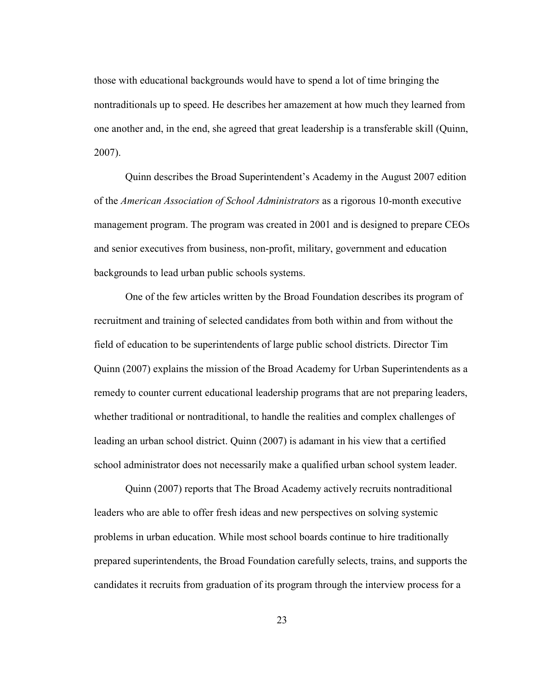those with educational backgrounds would have to spend a lot of time bringing the nontraditionals up to speed. He describes her amazement at how much they learned from one another and, in the end, she agreed that great leadership is a transferable skill (Quinn, 2007).

Quinn describes the Broad Superintendent's Academy in the August 2007 edition of the *American Association of School Administrators* as a rigorous 10-month executive management program. The program was created in 2001 and is designed to prepare CEOs and senior executives from business, non-profit, military, government and education backgrounds to lead urban public schools systems.

One of the few articles written by the Broad Foundation describes its program of recruitment and training of selected candidates from both within and from without the field of education to be superintendents of large public school districts. Director Tim Quinn (2007) explains the mission of the Broad Academy for Urban Superintendents as a remedy to counter current educational leadership programs that are not preparing leaders, whether traditional or nontraditional, to handle the realities and complex challenges of leading an urban school district. Quinn (2007) is adamant in his view that a certified school administrator does not necessarily make a qualified urban school system leader.

Quinn (2007) reports that The Broad Academy actively recruits nontraditional leaders who are able to offer fresh ideas and new perspectives on solving systemic problems in urban education. While most school boards continue to hire traditionally prepared superintendents, the Broad Foundation carefully selects, trains, and supports the candidates it recruits from graduation of its program through the interview process for a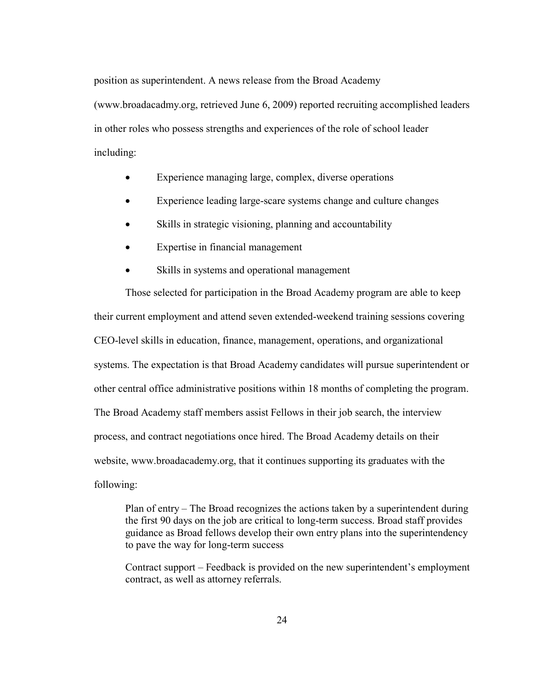position as superintendent. A news release from the Broad Academy

(www.broadacadmy.org, retrieved June 6, 2009) reported recruiting accomplished leaders in other roles who possess strengths and experiences of the role of school leader including:

- Experience managing large, complex, diverse operations
- Experience leading large-scare systems change and culture changes
- Skills in strategic visioning, planning and accountability
- Expertise in financial management
- Skills in systems and operational management

Those selected for participation in the Broad Academy program are able to keep their current employment and attend seven extended-weekend training sessions covering CEO-level skills in education, finance, management, operations, and organizational systems. The expectation is that Broad Academy candidates will pursue superintendent or other central office administrative positions within 18 months of completing the program. The Broad Academy staff members assist Fellows in their job search, the interview process, and contract negotiations once hired. The Broad Academy details on their website, www.broadacademy.org, that it continues supporting its graduates with the following:

Plan of entry – The Broad recognizes the actions taken by a superintendent during the first 90 days on the job are critical to long-term success. Broad staff provides guidance as Broad fellows develop their own entry plans into the superintendency to pave the way for long-term success

Contract support – Feedback is provided on the new superintendent's employment contract, as well as attorney referrals.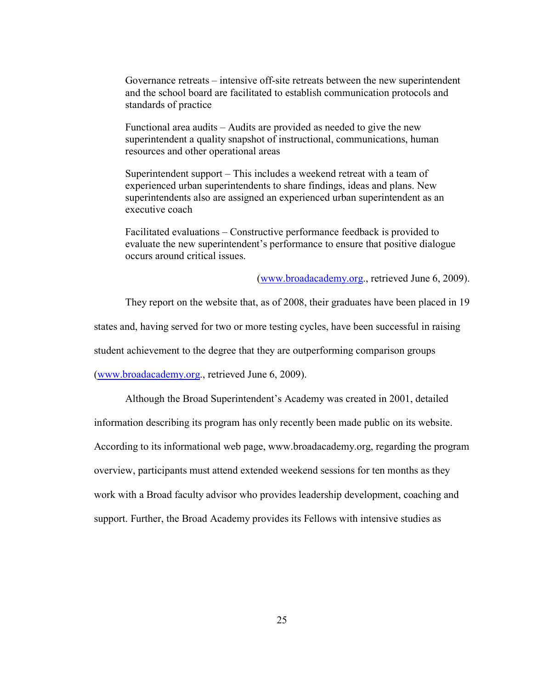Governance retreats – intensive off-site retreats between the new superintendent and the school board are facilitated to establish communication protocols and standards of practice

Functional area audits – Audits are provided as needed to give the new superintendent a quality snapshot of instructional, communications, human resources and other operational areas

Superintendent support – This includes a weekend retreat with a team of experienced urban superintendents to share findings, ideas and plans. New superintendents also are assigned an experienced urban superintendent as an executive coach

Facilitated evaluations – Constructive performance feedback is provided to evaluate the new superintendent's performance to ensure that positive dialogue occurs around critical issues.

[\(www.broadacademy.org.](http://www.broadacademy.org/), retrieved June 6, 2009).

They report on the website that, as of 2008, their graduates have been placed in 19

states and, having served for two or more testing cycles, have been successful in raising

student achievement to the degree that they are outperforming comparison groups

[\(www.broadacademy.org.](http://www.broadacademy.org/), retrieved June 6, 2009).

Although the Broad Superintendent's Academy was created in 2001, detailed

information describing its program has only recently been made public on its website.

According to its informational web page, www.broadacademy.org, regarding the program

overview, participants must attend extended weekend sessions for ten months as they

work with a Broad faculty advisor who provides leadership development, coaching and

support. Further, the Broad Academy provides its Fellows with intensive studies as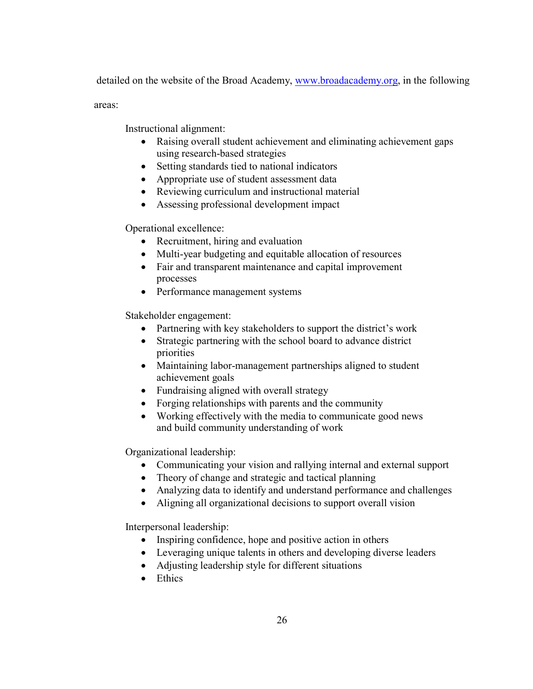detailed on the website of the Broad Academy, [www.broadacademy.org,](http://www.broadacademy.org/) in the following

areas:

Instructional alignment:

- Raising overall student achievement and eliminating achievement gaps using research-based strategies
- Setting standards tied to national indicators
- Appropriate use of student assessment data
- Reviewing curriculum and instructional material
- Assessing professional development impact

Operational excellence:

- Recruitment, hiring and evaluation
- Multi-year budgeting and equitable allocation of resources
- Fair and transparent maintenance and capital improvement processes
- Performance management systems

Stakeholder engagement:

- Partnering with key stakeholders to support the district's work
- Strategic partnering with the school board to advance district priorities
- Maintaining labor-management partnerships aligned to student achievement goals
- Fundraising aligned with overall strategy
- Forging relationships with parents and the community
- Working effectively with the media to communicate good news and build community understanding of work

Organizational leadership:

- Communicating your vision and rallying internal and external support
- Theory of change and strategic and tactical planning
- Analyzing data to identify and understand performance and challenges
- Aligning all organizational decisions to support overall vision

Interpersonal leadership:

- Inspiring confidence, hope and positive action in others
- Leveraging unique talents in others and developing diverse leaders
- Adjusting leadership style for different situations
- Ethics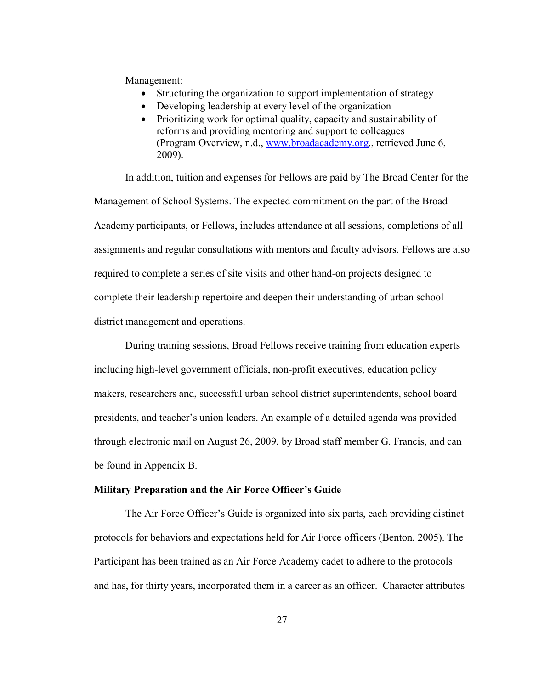Management:

- Structuring the organization to support implementation of strategy
- Developing leadership at every level of the organization
- Prioritizing work for optimal quality, capacity and sustainability of reforms and providing mentoring and support to colleagues (Program Overview, n.d., [www.broadacademy.org.](http://www.broadacademy.org/), retrieved June 6, 2009).

In addition, tuition and expenses for Fellows are paid by The Broad Center for the Management of School Systems. The expected commitment on the part of the Broad Academy participants, or Fellows, includes attendance at all sessions, completions of all assignments and regular consultations with mentors and faculty advisors. Fellows are also required to complete a series of site visits and other hand-on projects designed to complete their leadership repertoire and deepen their understanding of urban school district management and operations.

During training sessions, Broad Fellows receive training from education experts including high-level government officials, non-profit executives, education policy makers, researchers and, successful urban school district superintendents, school board presidents, and teacher's union leaders. An example of a detailed agenda was provided through electronic mail on August 26, 2009, by Broad staff member G. Francis, and can be found in Appendix B.

#### <span id="page-34-0"></span>**Military Preparation and the Air Force Officer's Guide**

The Air Force Officer's Guide is organized into six parts, each providing distinct protocols for behaviors and expectations held for Air Force officers (Benton, 2005). The Participant has been trained as an Air Force Academy cadet to adhere to the protocols and has, for thirty years, incorporated them in a career as an officer. Character attributes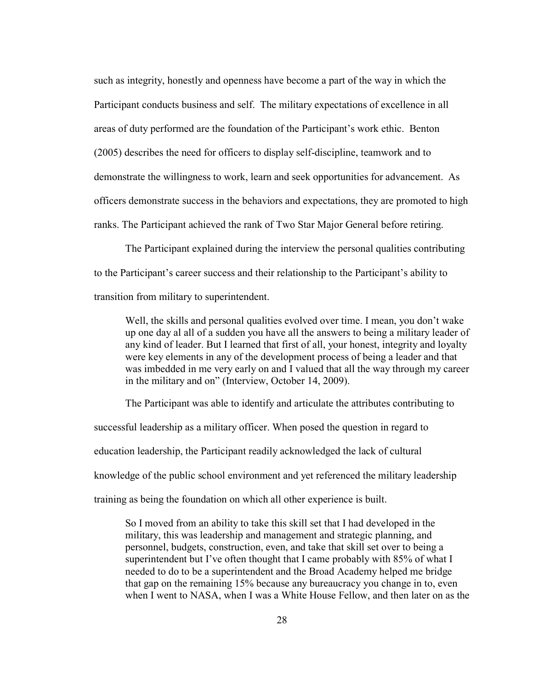such as integrity, honestly and openness have become a part of the way in which the Participant conducts business and self. The military expectations of excellence in all areas of duty performed are the foundation of the Participant's work ethic. Benton (2005) describes the need for officers to display self-discipline, teamwork and to demonstrate the willingness to work, learn and seek opportunities for advancement. As officers demonstrate success in the behaviors and expectations, they are promoted to high ranks. The Participant achieved the rank of Two Star Major General before retiring.

The Participant explained during the interview the personal qualities contributing to the Participant's career success and their relationship to the Participant's ability to transition from military to superintendent.

Well, the skills and personal qualities evolved over time. I mean, you don't wake up one day al all of a sudden you have all the answers to being a military leader of any kind of leader. But I learned that first of all, your honest, integrity and loyalty were key elements in any of the development process of being a leader and that was imbedded in me very early on and I valued that all the way through my career in the military and on" (Interview, October 14, 2009).

The Participant was able to identify and articulate the attributes contributing to successful leadership as a military officer. When posed the question in regard to education leadership, the Participant readily acknowledged the lack of cultural knowledge of the public school environment and yet referenced the military leadership

training as being the foundation on which all other experience is built.

So I moved from an ability to take this skill set that I had developed in the military, this was leadership and management and strategic planning, and personnel, budgets, construction, even, and take that skill set over to being a superintendent but I've often thought that I came probably with 85% of what I needed to do to be a superintendent and the Broad Academy helped me bridge that gap on the remaining 15% because any bureaucracy you change in to, even when I went to NASA, when I was a White House Fellow, and then later on as the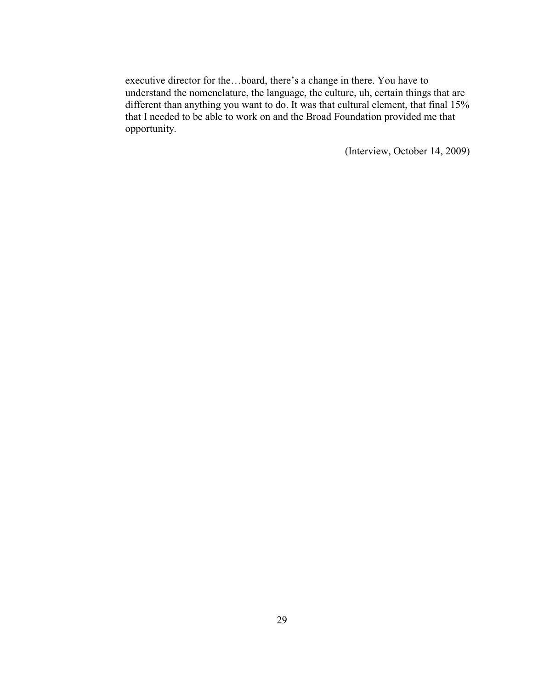executive director for the…board, there's a change in there. You have to understand the nomenclature, the language, the culture, uh, certain things that are different than anything you want to do. It was that cultural element, that final 15% that I needed to be able to work on and the Broad Foundation provided me that opportunity.

(Interview, October 14, 2009)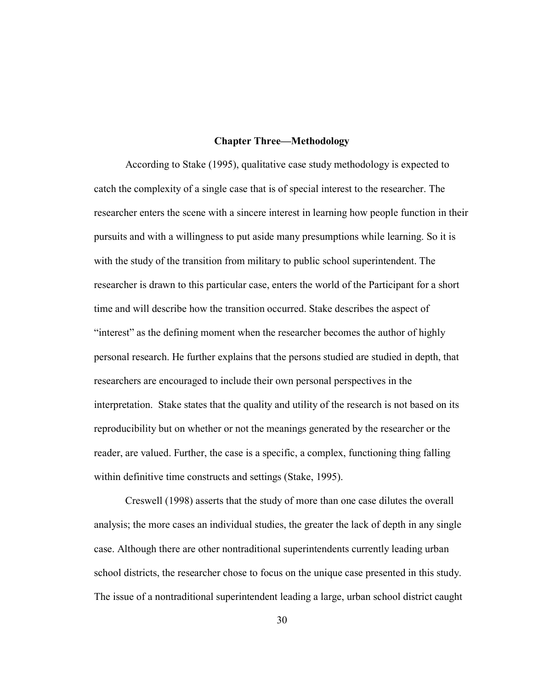### **Chapter Three—Methodology**

According to Stake (1995), qualitative case study methodology is expected to catch the complexity of a single case that is of special interest to the researcher. The researcher enters the scene with a sincere interest in learning how people function in their pursuits and with a willingness to put aside many presumptions while learning. So it is with the study of the transition from military to public school superintendent. The researcher is drawn to this particular case, enters the world of the Participant for a short time and will describe how the transition occurred. Stake describes the aspect of "interest" as the defining moment when the researcher becomes the author of highly personal research. He further explains that the persons studied are studied in depth, that researchers are encouraged to include their own personal perspectives in the interpretation. Stake states that the quality and utility of the research is not based on its reproducibility but on whether or not the meanings generated by the researcher or the reader, are valued. Further, the case is a specific, a complex, functioning thing falling within definitive time constructs and settings (Stake, 1995).

Creswell (1998) asserts that the study of more than one case dilutes the overall analysis; the more cases an individual studies, the greater the lack of depth in any single case. Although there are other nontraditional superintendents currently leading urban school districts, the researcher chose to focus on the unique case presented in this study. The issue of a nontraditional superintendent leading a large, urban school district caught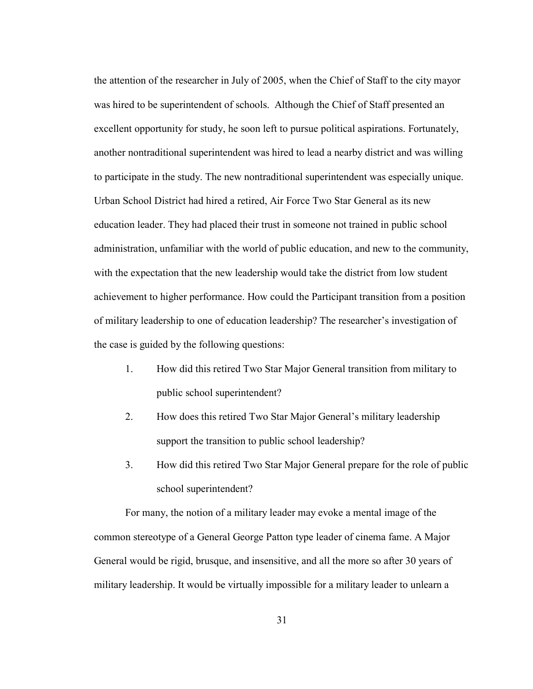the attention of the researcher in July of 2005, when the Chief of Staff to the city mayor was hired to be superintendent of schools. Although the Chief of Staff presented an excellent opportunity for study, he soon left to pursue political aspirations. Fortunately, another nontraditional superintendent was hired to lead a nearby district and was willing to participate in the study. The new nontraditional superintendent was especially unique. Urban School District had hired a retired, Air Force Two Star General as its new education leader. They had placed their trust in someone not trained in public school administration, unfamiliar with the world of public education, and new to the community, with the expectation that the new leadership would take the district from low student achievement to higher performance. How could the Participant transition from a position of military leadership to one of education leadership? The researcher's investigation of the case is guided by the following questions:

- 1. How did this retired Two Star Major General transition from military to public school superintendent?
- 2. How does this retired Two Star Major General's military leadership support the transition to public school leadership?
- 3. How did this retired Two Star Major General prepare for the role of public school superintendent?

For many, the notion of a military leader may evoke a mental image of the common stereotype of a General George Patton type leader of cinema fame. A Major General would be rigid, brusque, and insensitive, and all the more so after 30 years of military leadership. It would be virtually impossible for a military leader to unlearn a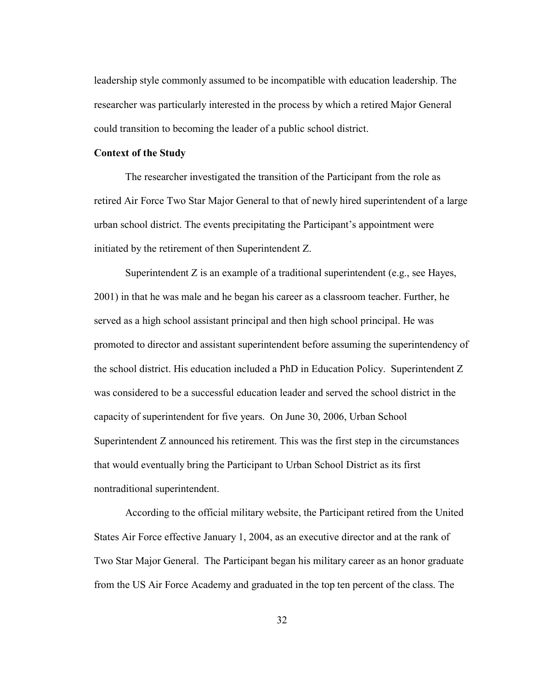leadership style commonly assumed to be incompatible with education leadership. The researcher was particularly interested in the process by which a retired Major General could transition to becoming the leader of a public school district.

## **Context of the Study**

The researcher investigated the transition of the Participant from the role as retired Air Force Two Star Major General to that of newly hired superintendent of a large urban school district. The events precipitating the Participant's appointment were initiated by the retirement of then Superintendent Z.

Superintendent Z is an example of a traditional superintendent (e.g., see Hayes, 2001) in that he was male and he began his career as a classroom teacher. Further, he served as a high school assistant principal and then high school principal. He was promoted to director and assistant superintendent before assuming the superintendency of the school district. His education included a PhD in Education Policy. Superintendent Z was considered to be a successful education leader and served the school district in the capacity of superintendent for five years. On June 30, 2006, Urban School Superintendent Z announced his retirement. This was the first step in the circumstances that would eventually bring the Participant to Urban School District as its first nontraditional superintendent.

According to the official military website, the Participant retired from the United States Air Force effective January 1, 2004, as an executive director and at the rank of Two Star Major General. The Participant began his military career as an honor graduate from the US Air Force Academy and graduated in the top ten percent of the class. The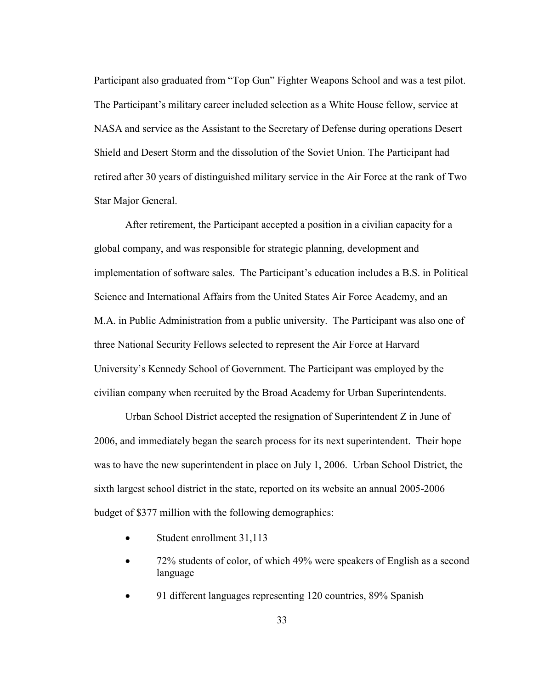Participant also graduated from "Top Gun" Fighter Weapons School and was a test pilot. The Participant's military career included selection as a White House fellow, service at NASA and service as the Assistant to the Secretary of Defense during operations Desert Shield and Desert Storm and the dissolution of the Soviet Union. The Participant had retired after 30 years of distinguished military service in the Air Force at the rank of Two Star Major General.

After retirement, the Participant accepted a position in a civilian capacity for a global company, and was responsible for strategic planning, development and implementation of software sales. The Participant's education includes a B.S. in Political Science and International Affairs from the United States Air Force Academy, and an M.A. in Public Administration from a public university. The Participant was also one of three National Security Fellows selected to represent the Air Force at Harvard University's Kennedy School of Government. The Participant was employed by the civilian company when recruited by the Broad Academy for Urban Superintendents.

Urban School District accepted the resignation of Superintendent Z in June of 2006, and immediately began the search process for its next superintendent. Their hope was to have the new superintendent in place on July 1, 2006. Urban School District, the sixth largest school district in the state, reported on its website an annual 2005-2006 budget of \$377 million with the following demographics:

- Student enrollment 31,113
- 72% students of color, of which 49% were speakers of English as a second language
- 91 different languages representing 120 countries, 89% Spanish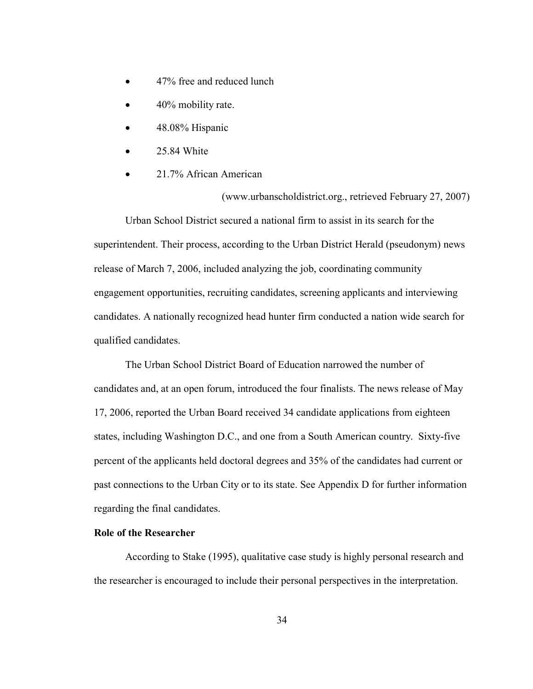- 47% free and reduced lunch
- 40% mobility rate.
- 48.08% Hispanic
- 25.84 White
- 21.7% African American

(www.urbanscholdistrict.org., retrieved February 27, 2007)

Urban School District secured a national firm to assist in its search for the superintendent. Their process, according to the Urban District Herald (pseudonym) news release of March 7, 2006, included analyzing the job, coordinating community engagement opportunities, recruiting candidates, screening applicants and interviewing candidates. A nationally recognized head hunter firm conducted a nation wide search for qualified candidates.

The Urban School District Board of Education narrowed the number of candidates and, at an open forum, introduced the four finalists. The news release of May 17, 2006, reported the Urban Board received 34 candidate applications from eighteen states, including Washington D.C., and one from a South American country. Sixty-five percent of the applicants held doctoral degrees and 35% of the candidates had current or past connections to the Urban City or to its state. See Appendix D for further information regarding the final candidates.

# **Role of the Researcher**

According to Stake (1995), qualitative case study is highly personal research and the researcher is encouraged to include their personal perspectives in the interpretation.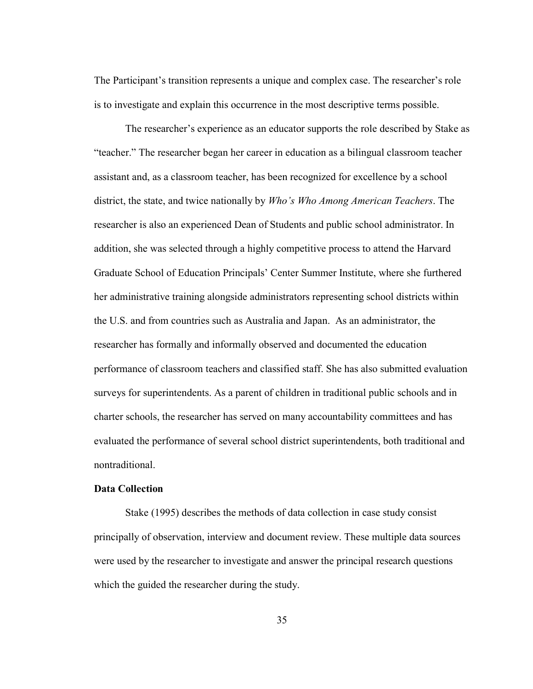The Participant's transition represents a unique and complex case. The researcher's role is to investigate and explain this occurrence in the most descriptive terms possible.

The researcher's experience as an educator supports the role described by Stake as "teacher." The researcher began her career in education as a bilingual classroom teacher assistant and, as a classroom teacher, has been recognized for excellence by a school district, the state, and twice nationally by *Who's Who Among American Teachers*. The researcher is also an experienced Dean of Students and public school administrator. In addition, she was selected through a highly competitive process to attend the Harvard Graduate School of Education Principals' Center Summer Institute, where she furthered her administrative training alongside administrators representing school districts within the U.S. and from countries such as Australia and Japan. As an administrator, the researcher has formally and informally observed and documented the education performance of classroom teachers and classified staff. She has also submitted evaluation surveys for superintendents. As a parent of children in traditional public schools and in charter schools, the researcher has served on many accountability committees and has evaluated the performance of several school district superintendents, both traditional and nontraditional.

## **Data Collection**

Stake (1995) describes the methods of data collection in case study consist principally of observation, interview and document review. These multiple data sources were used by the researcher to investigate and answer the principal research questions which the guided the researcher during the study.

35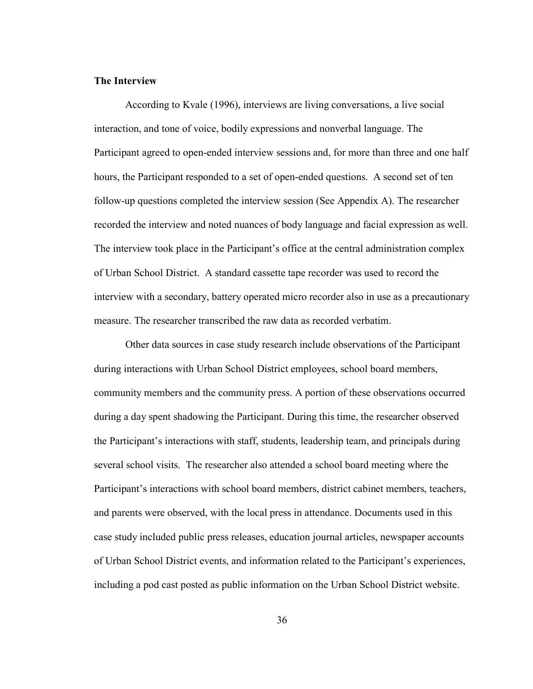### **The Interview**

According to Kvale (1996), interviews are living conversations, a live social interaction, and tone of voice, bodily expressions and nonverbal language. The Participant agreed to open-ended interview sessions and, for more than three and one half hours, the Participant responded to a set of open-ended questions. A second set of ten follow-up questions completed the interview session (See Appendix A). The researcher recorded the interview and noted nuances of body language and facial expression as well. The interview took place in the Participant's office at the central administration complex of Urban School District. A standard cassette tape recorder was used to record the interview with a secondary, battery operated micro recorder also in use as a precautionary measure. The researcher transcribed the raw data as recorded verbatim.

Other data sources in case study research include observations of the Participant during interactions with Urban School District employees, school board members, community members and the community press. A portion of these observations occurred during a day spent shadowing the Participant. During this time, the researcher observed the Participant's interactions with staff, students, leadership team, and principals during several school visits. The researcher also attended a school board meeting where the Participant's interactions with school board members, district cabinet members, teachers, and parents were observed, with the local press in attendance. Documents used in this case study included public press releases, education journal articles, newspaper accounts of Urban School District events, and information related to the Participant's experiences, including a pod cast posted as public information on the Urban School District website.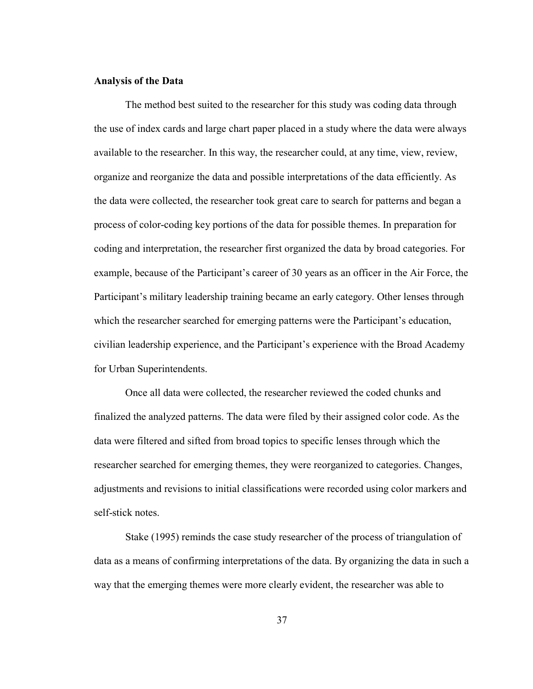### **Analysis of the Data**

The method best suited to the researcher for this study was coding data through the use of index cards and large chart paper placed in a study where the data were always available to the researcher. In this way, the researcher could, at any time, view, review, organize and reorganize the data and possible interpretations of the data efficiently. As the data were collected, the researcher took great care to search for patterns and began a process of color-coding key portions of the data for possible themes. In preparation for coding and interpretation, the researcher first organized the data by broad categories. For example, because of the Participant's career of 30 years as an officer in the Air Force, the Participant's military leadership training became an early category. Other lenses through which the researcher searched for emerging patterns were the Participant's education, civilian leadership experience, and the Participant's experience with the Broad Academy for Urban Superintendents.

Once all data were collected, the researcher reviewed the coded chunks and finalized the analyzed patterns. The data were filed by their assigned color code. As the data were filtered and sifted from broad topics to specific lenses through which the researcher searched for emerging themes, they were reorganized to categories. Changes, adjustments and revisions to initial classifications were recorded using color markers and self-stick notes.

Stake (1995) reminds the case study researcher of the process of triangulation of data as a means of confirming interpretations of the data. By organizing the data in such a way that the emerging themes were more clearly evident, the researcher was able to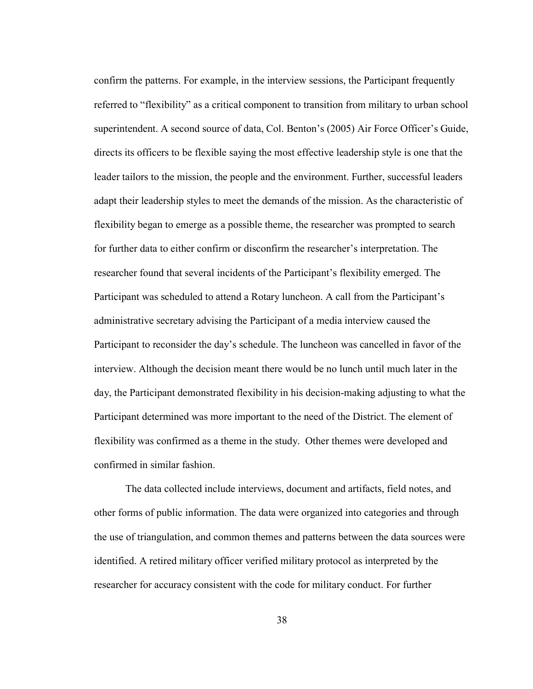confirm the patterns. For example, in the interview sessions, the Participant frequently referred to "flexibility" as a critical component to transition from military to urban school superintendent. A second source of data, Col. Benton's (2005) Air Force Officer's Guide, directs its officers to be flexible saying the most effective leadership style is one that the leader tailors to the mission, the people and the environment. Further, successful leaders adapt their leadership styles to meet the demands of the mission. As the characteristic of flexibility began to emerge as a possible theme, the researcher was prompted to search for further data to either confirm or disconfirm the researcher's interpretation. The researcher found that several incidents of the Participant's flexibility emerged. The Participant was scheduled to attend a Rotary luncheon. A call from the Participant's administrative secretary advising the Participant of a media interview caused the Participant to reconsider the day's schedule. The luncheon was cancelled in favor of the interview. Although the decision meant there would be no lunch until much later in the day, the Participant demonstrated flexibility in his decision-making adjusting to what the Participant determined was more important to the need of the District. The element of flexibility was confirmed as a theme in the study. Other themes were developed and confirmed in similar fashion.

The data collected include interviews, document and artifacts, field notes, and other forms of public information. The data were organized into categories and through the use of triangulation, and common themes and patterns between the data sources were identified. A retired military officer verified military protocol as interpreted by the researcher for accuracy consistent with the code for military conduct. For further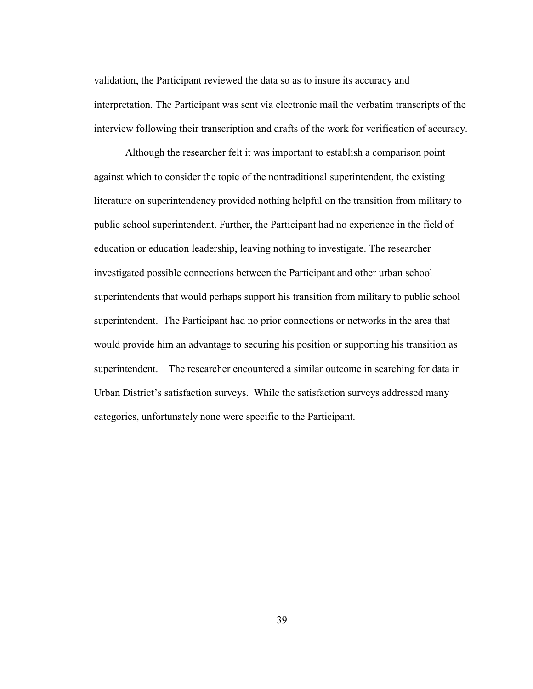validation, the Participant reviewed the data so as to insure its accuracy and interpretation. The Participant was sent via electronic mail the verbatim transcripts of the interview following their transcription and drafts of the work for verification of accuracy.

Although the researcher felt it was important to establish a comparison point against which to consider the topic of the nontraditional superintendent, the existing literature on superintendency provided nothing helpful on the transition from military to public school superintendent. Further, the Participant had no experience in the field of education or education leadership, leaving nothing to investigate. The researcher investigated possible connections between the Participant and other urban school superintendents that would perhaps support his transition from military to public school superintendent. The Participant had no prior connections or networks in the area that would provide him an advantage to securing his position or supporting his transition as superintendent. The researcher encountered a similar outcome in searching for data in Urban District's satisfaction surveys. While the satisfaction surveys addressed many categories, unfortunately none were specific to the Participant.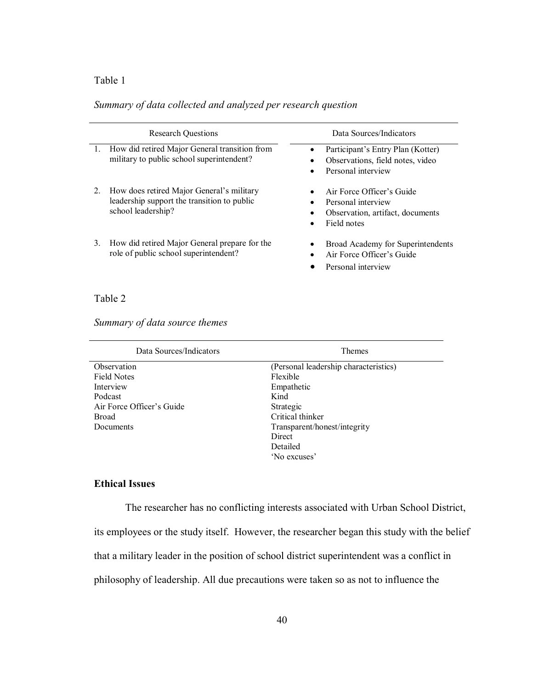## Table 1

# *Summary of data collected and analyzed per research question*

| <b>Research Ouestions</b> |                                                                                                                | Data Sources/Indicators                                                                            |
|---------------------------|----------------------------------------------------------------------------------------------------------------|----------------------------------------------------------------------------------------------------|
|                           | How did retired Major General transition from<br>military to public school superintendent?                     | Participant's Entry Plan (Kotter)<br>Observations, field notes, video<br>Personal interview        |
| 2.                        | How does retired Major General's military<br>leadership support the transition to public<br>school leadership? | Air Force Officer's Guide<br>Personal interview<br>Observation, artifact, documents<br>Field notes |
| 3.                        | How did retired Major General prepare for the<br>role of public school superintendent?                         | Broad Academy for Superintendents<br>Air Force Officer's Guide<br>Personal interview               |

# Table 2

# *Summary of data source themes*

| Data Sources/Indicators   | <b>Themes</b>                         |
|---------------------------|---------------------------------------|
| Observation               | (Personal leadership characteristics) |
| <b>Field Notes</b>        | Flexible                              |
| Interview                 | Empathetic                            |
| Podcast                   | Kind                                  |
| Air Force Officer's Guide | Strategic                             |
| <b>Broad</b>              | Critical thinker                      |
| Documents                 | Transparent/honest/integrity          |
|                           | Direct                                |
|                           | Detailed                              |
|                           | 'No excuses'                          |

## **Ethical Issues**

The researcher has no conflicting interests associated with Urban School District,

its employees or the study itself. However, the researcher began this study with the belief

that a military leader in the position of school district superintendent was a conflict in

philosophy of leadership. All due precautions were taken so as not to influence the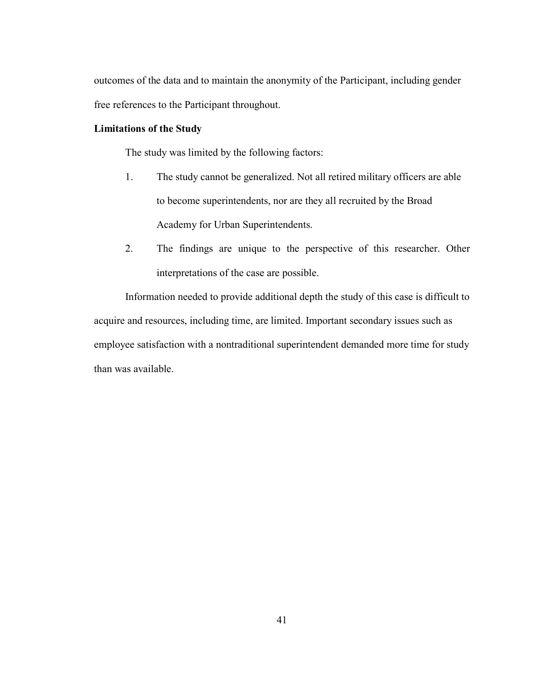outcomes of the data and to maintain the anonymity of the Participant, including gender free references to the Participant throughout.

## **Limitations of the Study**

The study was limited by the following factors:

- 1. The study cannot be generalized. Not all retired military officers are able to become superintendents, nor are they all recruited by the Broad Academy for Urban Superintendents.
- 2. The findings are unique to the perspective of this researcher. Other interpretations of the case are possible.

Information needed to provide additional depth the study of this case is difficult to acquire and resources, including time, are limited. Important secondary issues such as employee satisfaction with a nontraditional superintendent demanded more time for study than was available.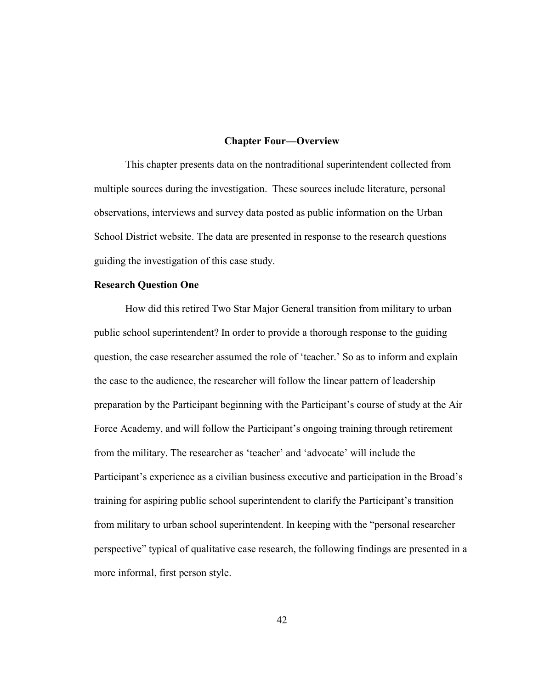### **Chapter Four—Overview**

This chapter presents data on the nontraditional superintendent collected from multiple sources during the investigation. These sources include literature, personal observations, interviews and survey data posted as public information on the Urban School District website. The data are presented in response to the research questions guiding the investigation of this case study.

### **Research Question One**

How did this retired Two Star Major General transition from military to urban public school superintendent? In order to provide a thorough response to the guiding question, the case researcher assumed the role of 'teacher.' So as to inform and explain the case to the audience, the researcher will follow the linear pattern of leadership preparation by the Participant beginning with the Participant's course of study at the Air Force Academy, and will follow the Participant's ongoing training through retirement from the military. The researcher as 'teacher' and 'advocate' will include the Participant's experience as a civilian business executive and participation in the Broad's training for aspiring public school superintendent to clarify the Participant's transition from military to urban school superintendent. In keeping with the "personal researcher perspective" typical of qualitative case research, the following findings are presented in a more informal, first person style.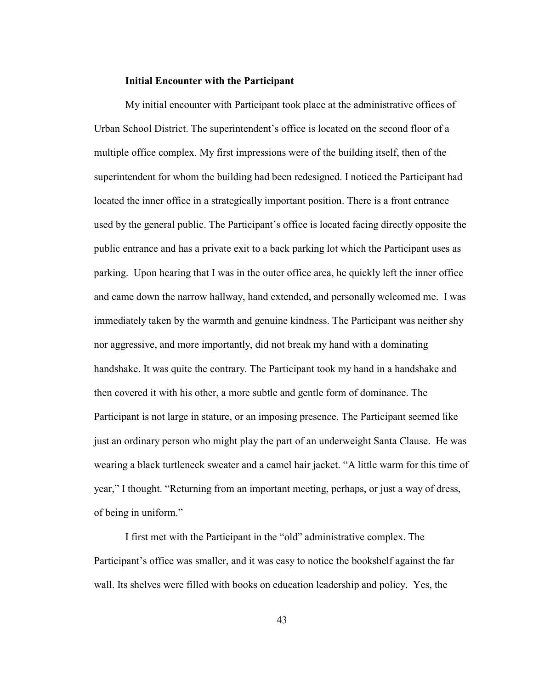### **Initial Encounter with the Participant**

My initial encounter with Participant took place at the administrative offices of Urban School District. The superintendent's office is located on the second floor of a multiple office complex. My first impressions were of the building itself, then of the superintendent for whom the building had been redesigned. I noticed the Participant had located the inner office in a strategically important position. There is a front entrance used by the general public. The Participant's office is located facing directly opposite the public entrance and has a private exit to a back parking lot which the Participant uses as parking. Upon hearing that I was in the outer office area, he quickly left the inner office and came down the narrow hallway, hand extended, and personally welcomed me. I was immediately taken by the warmth and genuine kindness. The Participant was neither shy nor aggressive, and more importantly, did not break my hand with a dominating handshake. It was quite the contrary. The Participant took my hand in a handshake and then covered it with his other, a more subtle and gentle form of dominance. The Participant is not large in stature, or an imposing presence. The Participant seemed like just an ordinary person who might play the part of an underweight Santa Clause. He was wearing a black turtleneck sweater and a camel hair jacket. "A little warm for this time of year," I thought. "Returning from an important meeting, perhaps, or just a way of dress, of being in uniform."

I first met with the Participant in the "old" administrative complex. The Participant's office was smaller, and it was easy to notice the bookshelf against the far wall. Its shelves were filled with books on education leadership and policy. Yes, the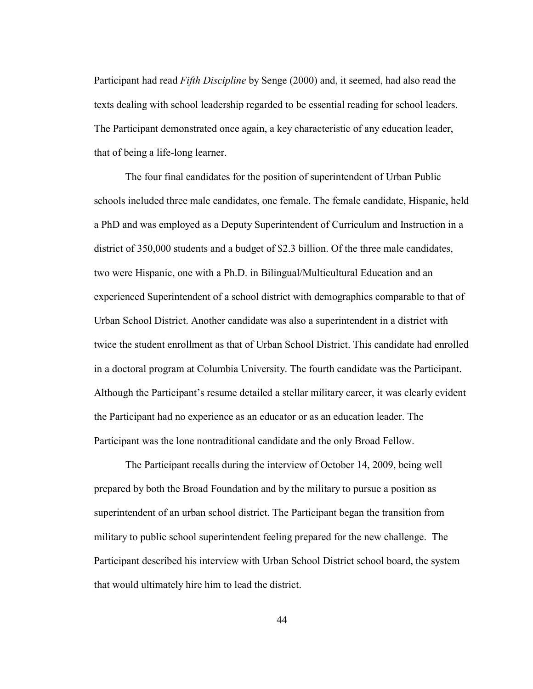Participant had read *Fifth Discipline* by Senge (2000) and, it seemed, had also read the texts dealing with school leadership regarded to be essential reading for school leaders. The Participant demonstrated once again, a key characteristic of any education leader, that of being a life-long learner.

The four final candidates for the position of superintendent of Urban Public schools included three male candidates, one female. The female candidate, Hispanic, held a PhD and was employed as a Deputy Superintendent of Curriculum and Instruction in a district of 350,000 students and a budget of \$2.3 billion. Of the three male candidates, two were Hispanic, one with a Ph.D. in Bilingual/Multicultural Education and an experienced Superintendent of a school district with demographics comparable to that of Urban School District. Another candidate was also a superintendent in a district with twice the student enrollment as that of Urban School District. This candidate had enrolled in a doctoral program at Columbia University. The fourth candidate was the Participant. Although the Participant's resume detailed a stellar military career, it was clearly evident the Participant had no experience as an educator or as an education leader. The Participant was the lone nontraditional candidate and the only Broad Fellow.

The Participant recalls during the interview of October 14, 2009, being well prepared by both the Broad Foundation and by the military to pursue a position as superintendent of an urban school district. The Participant began the transition from military to public school superintendent feeling prepared for the new challenge. The Participant described his interview with Urban School District school board, the system that would ultimately hire him to lead the district.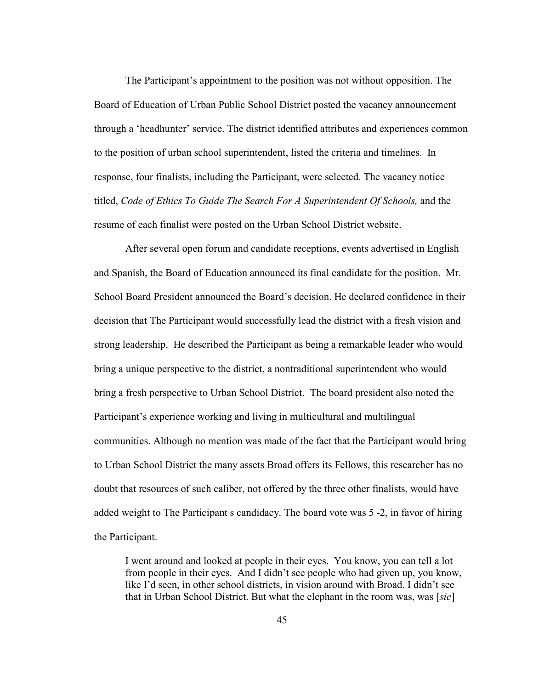The Participant's appointment to the position was not without opposition. The Board of Education of Urban Public School District posted the vacancy announcement through a 'headhunter' service. The district identified attributes and experiences common to the position of urban school superintendent, listed the criteria and timelines. In response, four finalists, including the Participant, were selected. The vacancy notice titled, *Code of Ethics To Guide The Search For A Superintendent Of Schools,* and the resume of each finalist were posted on the Urban School District website.

After several open forum and candidate receptions, events advertised in English and Spanish, the Board of Education announced its final candidate for the position. Mr. School Board President announced the Board's decision. He declared confidence in their decision that The Participant would successfully lead the district with a fresh vision and strong leadership. He described the Participant as being a remarkable leader who would bring a unique perspective to the district, a nontraditional superintendent who would bring a fresh perspective to Urban School District. The board president also noted the Participant's experience working and living in multicultural and multilingual communities. Although no mention was made of the fact that the Participant would bring to Urban School District the many assets Broad offers its Fellows, this researcher has no doubt that resources of such caliber, not offered by the three other finalists, would have added weight to The Participant s candidacy. The board vote was 5 -2, in favor of hiring the Participant.

I went around and looked at people in their eyes. You know, you can tell a lot from people in their eyes. And I didn't see people who had given up, you know, like I'd seen, in other school districts, in vision around with Broad. I didn't see that in Urban School District. But what the elephant in the room was, was [*sic*]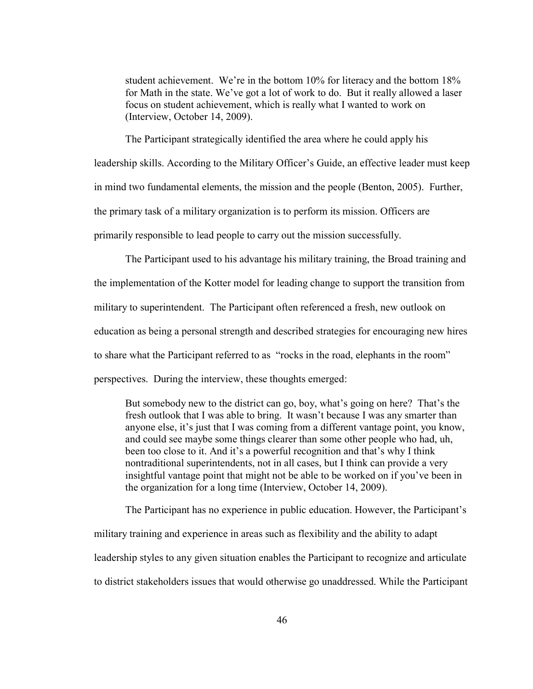student achievement. We're in the bottom 10% for literacy and the bottom 18% for Math in the state. We've got a lot of work to do. But it really allowed a laser focus on student achievement, which is really what I wanted to work on (Interview, October 14, 2009).

The Participant strategically identified the area where he could apply his leadership skills. According to the Military Officer's Guide, an effective leader must keep in mind two fundamental elements, the mission and the people (Benton, 2005). Further, the primary task of a military organization is to perform its mission. Officers are primarily responsible to lead people to carry out the mission successfully.

The Participant used to his advantage his military training, the Broad training and the implementation of the Kotter model for leading change to support the transition from military to superintendent. The Participant often referenced a fresh, new outlook on education as being a personal strength and described strategies for encouraging new hires to share what the Participant referred to as "rocks in the road, elephants in the room" perspectives. During the interview, these thoughts emerged:

But somebody new to the district can go, boy, what's going on here? That's the fresh outlook that I was able to bring. It wasn't because I was any smarter than anyone else, it's just that I was coming from a different vantage point, you know, and could see maybe some things clearer than some other people who had, uh, been too close to it. And it's a powerful recognition and that's why I think nontraditional superintendents, not in all cases, but I think can provide a very insightful vantage point that might not be able to be worked on if you've been in the organization for a long time (Interview, October 14, 2009).

The Participant has no experience in public education. However, the Participant's military training and experience in areas such as flexibility and the ability to adapt leadership styles to any given situation enables the Participant to recognize and articulate to district stakeholders issues that would otherwise go unaddressed. While the Participant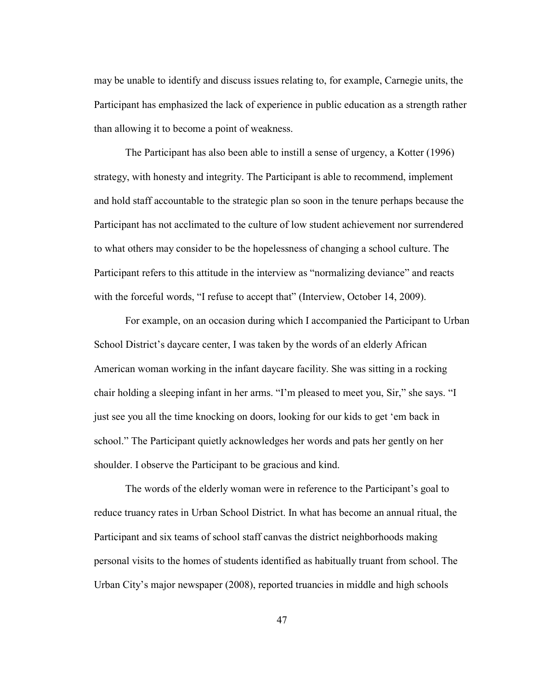may be unable to identify and discuss issues relating to, for example, Carnegie units, the Participant has emphasized the lack of experience in public education as a strength rather than allowing it to become a point of weakness.

The Participant has also been able to instill a sense of urgency, a Kotter (1996) strategy, with honesty and integrity. The Participant is able to recommend, implement and hold staff accountable to the strategic plan so soon in the tenure perhaps because the Participant has not acclimated to the culture of low student achievement nor surrendered to what others may consider to be the hopelessness of changing a school culture. The Participant refers to this attitude in the interview as "normalizing deviance" and reacts with the forceful words, "I refuse to accept that" (Interview, October 14, 2009).

For example, on an occasion during which I accompanied the Participant to Urban School District's daycare center, I was taken by the words of an elderly African American woman working in the infant daycare facility. She was sitting in a rocking chair holding a sleeping infant in her arms. "I'm pleased to meet you, Sir," she says. "I just see you all the time knocking on doors, looking for our kids to get 'em back in school." The Participant quietly acknowledges her words and pats her gently on her shoulder. I observe the Participant to be gracious and kind.

The words of the elderly woman were in reference to the Participant's goal to reduce truancy rates in Urban School District. In what has become an annual ritual, the Participant and six teams of school staff canvas the district neighborhoods making personal visits to the homes of students identified as habitually truant from school. The Urban City's major newspaper (2008), reported truancies in middle and high schools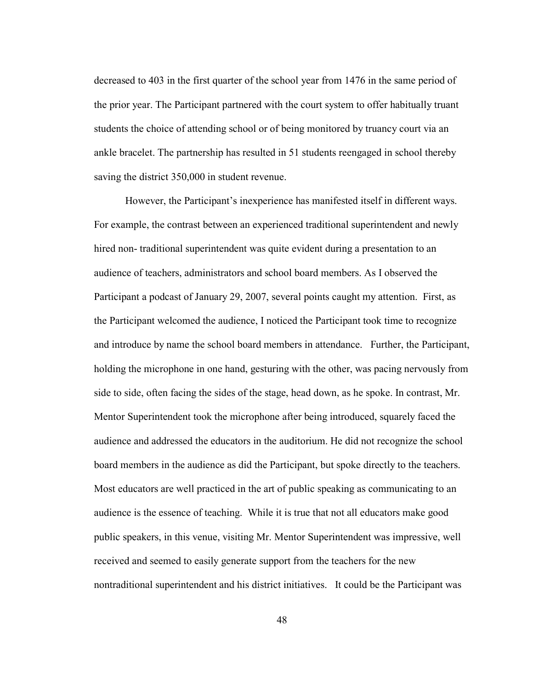decreased to 403 in the first quarter of the school year from 1476 in the same period of the prior year. The Participant partnered with the court system to offer habitually truant students the choice of attending school or of being monitored by truancy court via an ankle bracelet. The partnership has resulted in 51 students reengaged in school thereby saving the district 350,000 in student revenue.

However, the Participant's inexperience has manifested itself in different ways. For example, the contrast between an experienced traditional superintendent and newly hired non- traditional superintendent was quite evident during a presentation to an audience of teachers, administrators and school board members. As I observed the Participant a podcast of January 29, 2007, several points caught my attention. First, as the Participant welcomed the audience, I noticed the Participant took time to recognize and introduce by name the school board members in attendance. Further, the Participant, holding the microphone in one hand, gesturing with the other, was pacing nervously from side to side, often facing the sides of the stage, head down, as he spoke. In contrast, Mr. Mentor Superintendent took the microphone after being introduced, squarely faced the audience and addressed the educators in the auditorium. He did not recognize the school board members in the audience as did the Participant, but spoke directly to the teachers. Most educators are well practiced in the art of public speaking as communicating to an audience is the essence of teaching. While it is true that not all educators make good public speakers, in this venue, visiting Mr. Mentor Superintendent was impressive, well received and seemed to easily generate support from the teachers for the new nontraditional superintendent and his district initiatives. It could be the Participant was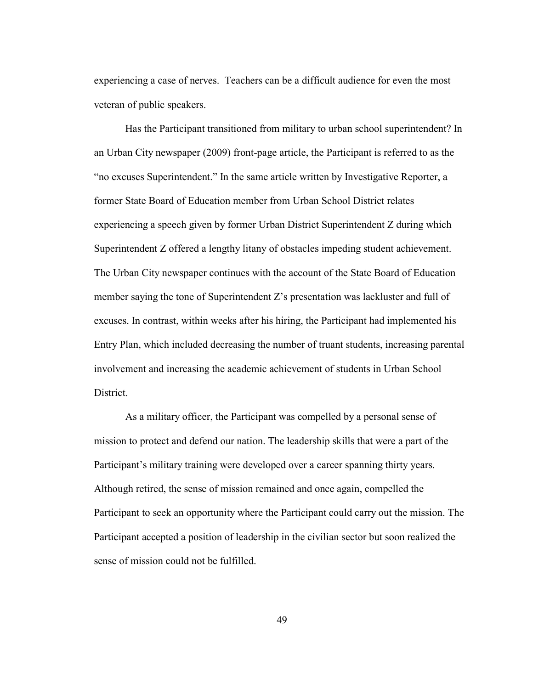experiencing a case of nerves. Teachers can be a difficult audience for even the most veteran of public speakers.

Has the Participant transitioned from military to urban school superintendent? In an Urban City newspaper (2009) front-page article, the Participant is referred to as the "no excuses Superintendent." In the same article written by Investigative Reporter, a former State Board of Education member from Urban School District relates experiencing a speech given by former Urban District Superintendent Z during which Superintendent Z offered a lengthy litany of obstacles impeding student achievement. The Urban City newspaper continues with the account of the State Board of Education member saying the tone of Superintendent Z's presentation was lackluster and full of excuses. In contrast, within weeks after his hiring, the Participant had implemented his Entry Plan, which included decreasing the number of truant students, increasing parental involvement and increasing the academic achievement of students in Urban School District.

As a military officer, the Participant was compelled by a personal sense of mission to protect and defend our nation. The leadership skills that were a part of the Participant's military training were developed over a career spanning thirty years. Although retired, the sense of mission remained and once again, compelled the Participant to seek an opportunity where the Participant could carry out the mission. The Participant accepted a position of leadership in the civilian sector but soon realized the sense of mission could not be fulfilled.

49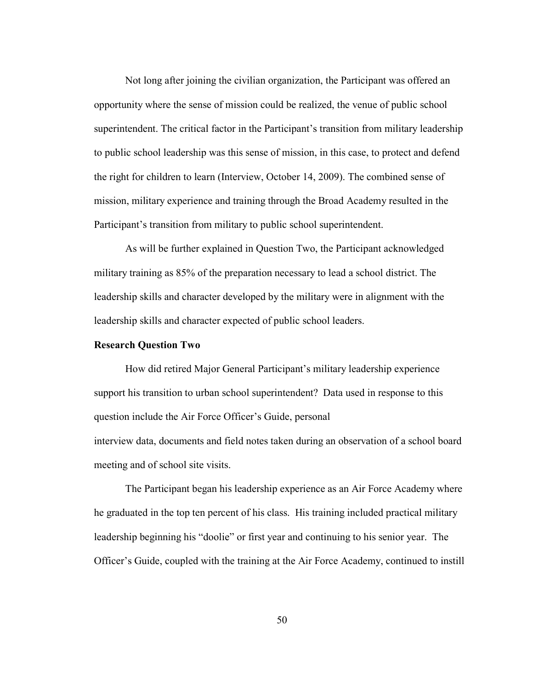Not long after joining the civilian organization, the Participant was offered an opportunity where the sense of mission could be realized, the venue of public school superintendent. The critical factor in the Participant's transition from military leadership to public school leadership was this sense of mission, in this case, to protect and defend the right for children to learn (Interview, October 14, 2009). The combined sense of mission, military experience and training through the Broad Academy resulted in the Participant's transition from military to public school superintendent.

As will be further explained in Question Two, the Participant acknowledged military training as 85% of the preparation necessary to lead a school district. The leadership skills and character developed by the military were in alignment with the leadership skills and character expected of public school leaders.

#### **Research Question Two**

How did retired Major General Participant's military leadership experience support his transition to urban school superintendent? Data used in response to this question include the Air Force Officer's Guide, personal interview data, documents and field notes taken during an observation of a school board meeting and of school site visits.

The Participant began his leadership experience as an Air Force Academy where he graduated in the top ten percent of his class. His training included practical military leadership beginning his "doolie" or first year and continuing to his senior year. The Officer's Guide, coupled with the training at the Air Force Academy, continued to instill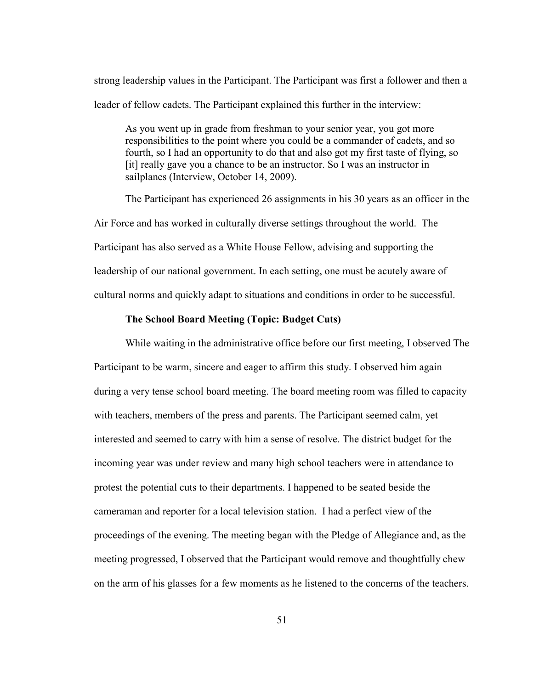strong leadership values in the Participant. The Participant was first a follower and then a leader of fellow cadets. The Participant explained this further in the interview:

As you went up in grade from freshman to your senior year, you got more responsibilities to the point where you could be a commander of cadets, and so fourth, so I had an opportunity to do that and also got my first taste of flying, so [it] really gave you a chance to be an instructor. So I was an instructor in sailplanes (Interview, October 14, 2009).

The Participant has experienced 26 assignments in his 30 years as an officer in the Air Force and has worked in culturally diverse settings throughout the world. The Participant has also served as a White House Fellow, advising and supporting the leadership of our national government. In each setting, one must be acutely aware of cultural norms and quickly adapt to situations and conditions in order to be successful.

#### **The School Board Meeting (Topic: Budget Cuts)**

While waiting in the administrative office before our first meeting, I observed The Participant to be warm, sincere and eager to affirm this study. I observed him again during a very tense school board meeting. The board meeting room was filled to capacity with teachers, members of the press and parents. The Participant seemed calm, yet interested and seemed to carry with him a sense of resolve. The district budget for the incoming year was under review and many high school teachers were in attendance to protest the potential cuts to their departments. I happened to be seated beside the cameraman and reporter for a local television station. I had a perfect view of the proceedings of the evening. The meeting began with the Pledge of Allegiance and, as the meeting progressed, I observed that the Participant would remove and thoughtfully chew on the arm of his glasses for a few moments as he listened to the concerns of the teachers.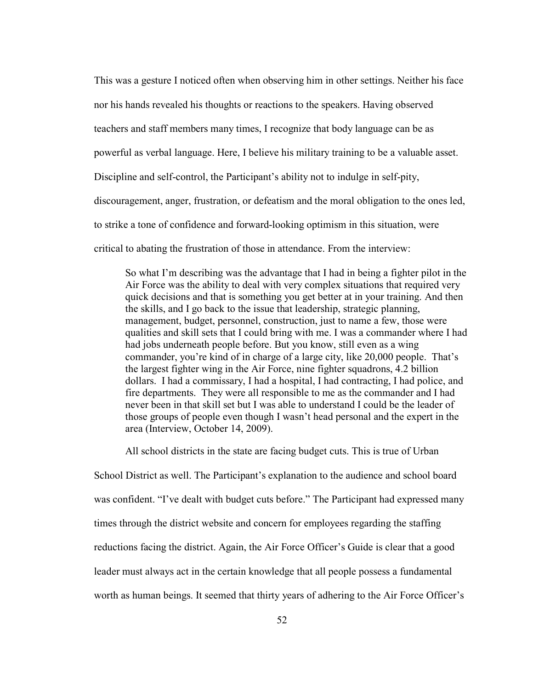This was a gesture I noticed often when observing him in other settings. Neither his face nor his hands revealed his thoughts or reactions to the speakers. Having observed teachers and staff members many times, I recognize that body language can be as powerful as verbal language. Here, I believe his military training to be a valuable asset. Discipline and self-control, the Participant's ability not to indulge in self-pity, discouragement, anger, frustration, or defeatism and the moral obligation to the ones led, to strike a tone of confidence and forward-looking optimism in this situation, were critical to abating the frustration of those in attendance. From the interview:

So what I'm describing was the advantage that I had in being a fighter pilot in the Air Force was the ability to deal with very complex situations that required very quick decisions and that is something you get better at in your training. And then the skills, and I go back to the issue that leadership, strategic planning, management, budget, personnel, construction, just to name a few, those were qualities and skill sets that I could bring with me. I was a commander where I had had jobs underneath people before. But you know, still even as a wing commander, you're kind of in charge of a large city, like 20,000 people. That's the largest fighter wing in the Air Force, nine fighter squadrons, 4.2 billion dollars. I had a commissary, I had a hospital, I had contracting, I had police, and fire departments. They were all responsible to me as the commander and I had never been in that skill set but I was able to understand I could be the leader of those groups of people even though I wasn't head personal and the expert in the area (Interview, October 14, 2009).

All school districts in the state are facing budget cuts. This is true of Urban

School District as well. The Participant's explanation to the audience and school board was confident. "I've dealt with budget cuts before." The Participant had expressed many times through the district website and concern for employees regarding the staffing reductions facing the district. Again, the Air Force Officer's Guide is clear that a good leader must always act in the certain knowledge that all people possess a fundamental worth as human beings. It seemed that thirty years of adhering to the Air Force Officer's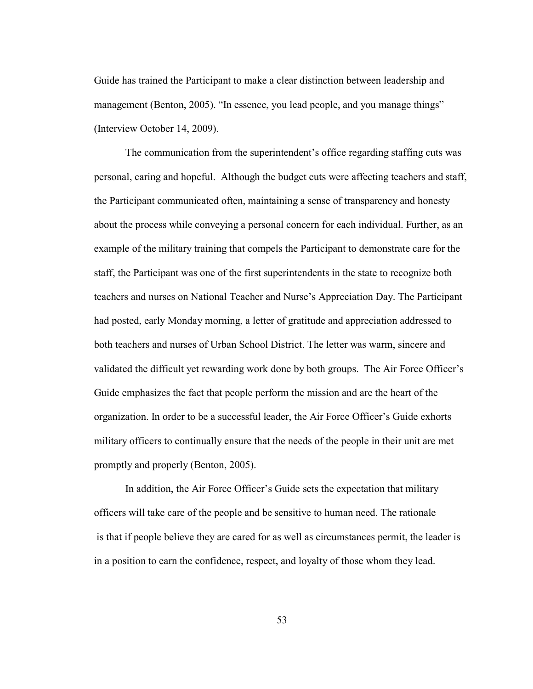Guide has trained the Participant to make a clear distinction between leadership and management (Benton, 2005). "In essence, you lead people, and you manage things" (Interview October 14, 2009).

The communication from the superintendent's office regarding staffing cuts was personal, caring and hopeful. Although the budget cuts were affecting teachers and staff, the Participant communicated often, maintaining a sense of transparency and honesty about the process while conveying a personal concern for each individual. Further, as an example of the military training that compels the Participant to demonstrate care for the staff, the Participant was one of the first superintendents in the state to recognize both teachers and nurses on National Teacher and Nurse's Appreciation Day. The Participant had posted, early Monday morning, a letter of gratitude and appreciation addressed to both teachers and nurses of Urban School District. The letter was warm, sincere and validated the difficult yet rewarding work done by both groups. The Air Force Officer's Guide emphasizes the fact that people perform the mission and are the heart of the organization. In order to be a successful leader, the Air Force Officer's Guide exhorts military officers to continually ensure that the needs of the people in their unit are met promptly and properly (Benton, 2005).

In addition, the Air Force Officer's Guide sets the expectation that military officers will take care of the people and be sensitive to human need. The rationale is that if people believe they are cared for as well as circumstances permit, the leader is in a position to earn the confidence, respect, and loyalty of those whom they lead.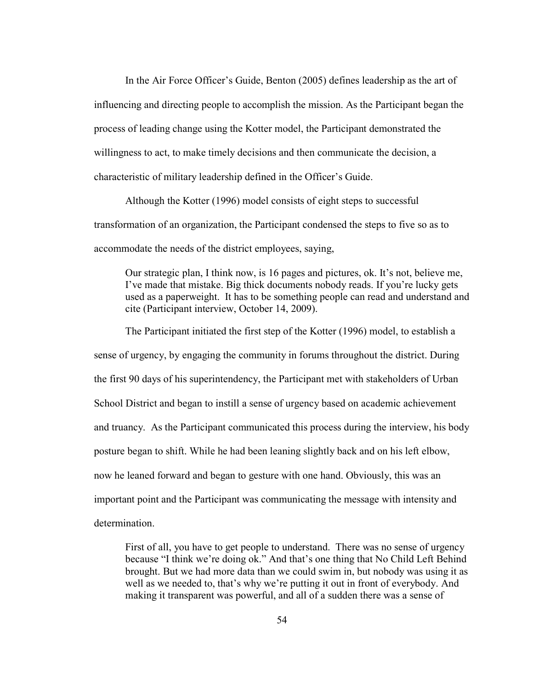In the Air Force Officer's Guide, Benton (2005) defines leadership as the art of influencing and directing people to accomplish the mission. As the Participant began the process of leading change using the Kotter model, the Participant demonstrated the willingness to act, to make timely decisions and then communicate the decision, a characteristic of military leadership defined in the Officer's Guide.

Although the Kotter (1996) model consists of eight steps to successful transformation of an organization, the Participant condensed the steps to five so as to accommodate the needs of the district employees, saying,

Our strategic plan, I think now, is 16 pages and pictures, ok. It's not, believe me, I've made that mistake. Big thick documents nobody reads. If you're lucky gets used as a paperweight. It has to be something people can read and understand and cite (Participant interview, October 14, 2009).

The Participant initiated the first step of the Kotter (1996) model, to establish a sense of urgency, by engaging the community in forums throughout the district. During the first 90 days of his superintendency, the Participant met with stakeholders of Urban School District and began to instill a sense of urgency based on academic achievement and truancy. As the Participant communicated this process during the interview, his body posture began to shift. While he had been leaning slightly back and on his left elbow, now he leaned forward and began to gesture with one hand. Obviously, this was an important point and the Participant was communicating the message with intensity and determination.

First of all, you have to get people to understand. There was no sense of urgency because "I think we're doing ok." And that's one thing that No Child Left Behind brought. But we had more data than we could swim in, but nobody was using it as well as we needed to, that's why we're putting it out in front of everybody. And making it transparent was powerful, and all of a sudden there was a sense of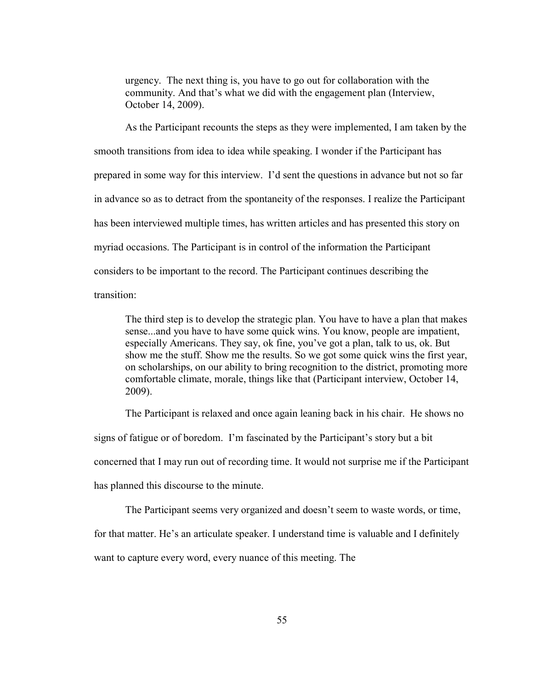urgency. The next thing is, you have to go out for collaboration with the community. And that's what we did with the engagement plan (Interview, October 14, 2009).

As the Participant recounts the steps as they were implemented, I am taken by the smooth transitions from idea to idea while speaking. I wonder if the Participant has prepared in some way for this interview. I'd sent the questions in advance but not so far in advance so as to detract from the spontaneity of the responses. I realize the Participant has been interviewed multiple times, has written articles and has presented this story on myriad occasions. The Participant is in control of the information the Participant considers to be important to the record. The Participant continues describing the transition:

The third step is to develop the strategic plan. You have to have a plan that makes sense...and you have to have some quick wins. You know, people are impatient, especially Americans. They say, ok fine, you've got a plan, talk to us, ok. But show me the stuff. Show me the results. So we got some quick wins the first year, on scholarships, on our ability to bring recognition to the district, promoting more comfortable climate, morale, things like that (Participant interview, October 14, 2009).

The Participant is relaxed and once again leaning back in his chair. He shows no signs of fatigue or of boredom. I'm fascinated by the Participant's story but a bit concerned that I may run out of recording time. It would not surprise me if the Participant has planned this discourse to the minute.

The Participant seems very organized and doesn't seem to waste words, or time,

for that matter. He's an articulate speaker. I understand time is valuable and I definitely

want to capture every word, every nuance of this meeting. The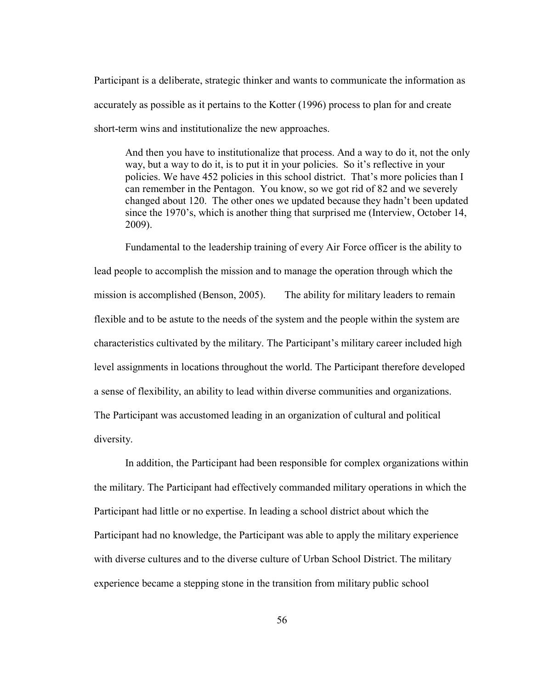Participant is a deliberate, strategic thinker and wants to communicate the information as accurately as possible as it pertains to the Kotter (1996) process to plan for and create short-term wins and institutionalize the new approaches.

And then you have to institutionalize that process. And a way to do it, not the only way, but a way to do it, is to put it in your policies. So it's reflective in your policies. We have 452 policies in this school district. That's more policies than I can remember in the Pentagon. You know, so we got rid of 82 and we severely changed about 120. The other ones we updated because they hadn't been updated since the 1970's, which is another thing that surprised me (Interview, October 14, 2009).

Fundamental to the leadership training of every Air Force officer is the ability to lead people to accomplish the mission and to manage the operation through which the mission is accomplished (Benson, 2005). The ability for military leaders to remain flexible and to be astute to the needs of the system and the people within the system are characteristics cultivated by the military. The Participant's military career included high level assignments in locations throughout the world. The Participant therefore developed a sense of flexibility, an ability to lead within diverse communities and organizations. The Participant was accustomed leading in an organization of cultural and political diversity.

In addition, the Participant had been responsible for complex organizations within the military. The Participant had effectively commanded military operations in which the Participant had little or no expertise. In leading a school district about which the Participant had no knowledge, the Participant was able to apply the military experience with diverse cultures and to the diverse culture of Urban School District. The military experience became a stepping stone in the transition from military public school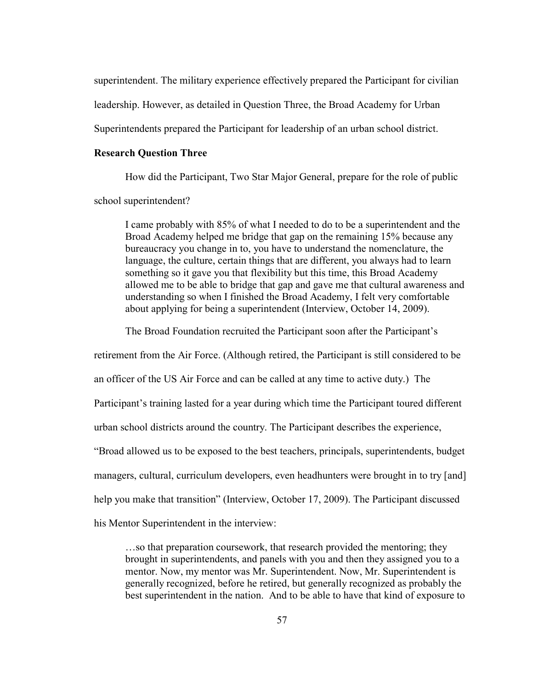superintendent. The military experience effectively prepared the Participant for civilian leadership. However, as detailed in Question Three, the Broad Academy for Urban Superintendents prepared the Participant for leadership of an urban school district.

### **Research Question Three**

How did the Participant, Two Star Major General, prepare for the role of public school superintendent?

I came probably with 85% of what I needed to do to be a superintendent and the Broad Academy helped me bridge that gap on the remaining 15% because any bureaucracy you change in to, you have to understand the nomenclature, the language, the culture, certain things that are different, you always had to learn something so it gave you that flexibility but this time, this Broad Academy allowed me to be able to bridge that gap and gave me that cultural awareness and understanding so when I finished the Broad Academy, I felt very comfortable about applying for being a superintendent (Interview, October 14, 2009).

The Broad Foundation recruited the Participant soon after the Participant's

retirement from the Air Force. (Although retired, the Participant is still considered to be

an officer of the US Air Force and can be called at any time to active duty.) The

Participant's training lasted for a year during which time the Participant toured different

urban school districts around the country. The Participant describes the experience,

"Broad allowed us to be exposed to the best teachers, principals, superintendents, budget

managers, cultural, curriculum developers, even headhunters were brought in to try [and]

help you make that transition" (Interview, October 17, 2009). The Participant discussed

his Mentor Superintendent in the interview:

…so that preparation coursework, that research provided the mentoring; they brought in superintendents, and panels with you and then they assigned you to a mentor. Now, my mentor was Mr. Superintendent. Now, Mr. Superintendent is generally recognized, before he retired, but generally recognized as probably the best superintendent in the nation. And to be able to have that kind of exposure to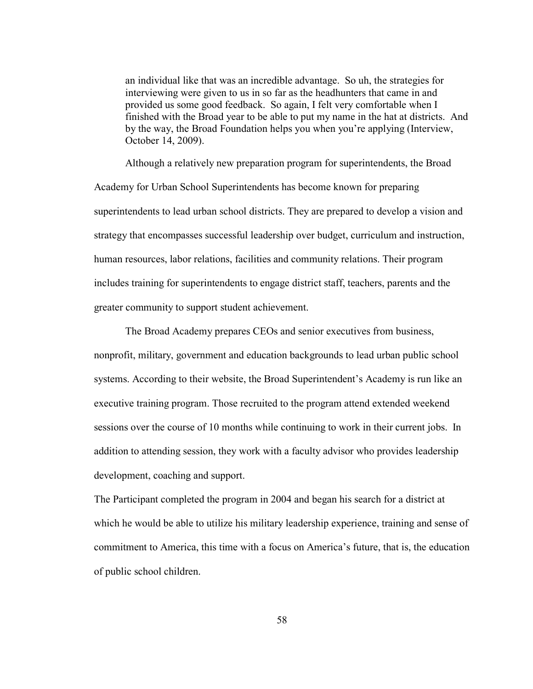an individual like that was an incredible advantage. So uh, the strategies for interviewing were given to us in so far as the headhunters that came in and provided us some good feedback. So again, I felt very comfortable when I finished with the Broad year to be able to put my name in the hat at districts. And by the way, the Broad Foundation helps you when you're applying (Interview, October 14, 2009).

Although a relatively new preparation program for superintendents, the Broad Academy for Urban School Superintendents has become known for preparing superintendents to lead urban school districts. They are prepared to develop a vision and strategy that encompasses successful leadership over budget, curriculum and instruction, human resources, labor relations, facilities and community relations. Their program includes training for superintendents to engage district staff, teachers, parents and the greater community to support student achievement.

The Broad Academy prepares CEOs and senior executives from business, nonprofit, military, government and education backgrounds to lead urban public school systems. According to their website, the Broad Superintendent's Academy is run like an executive training program. Those recruited to the program attend extended weekend sessions over the course of 10 months while continuing to work in their current jobs. In addition to attending session, they work with a faculty advisor who provides leadership development, coaching and support.

The Participant completed the program in 2004 and began his search for a district at which he would be able to utilize his military leadership experience, training and sense of commitment to America, this time with a focus on America's future, that is, the education of public school children.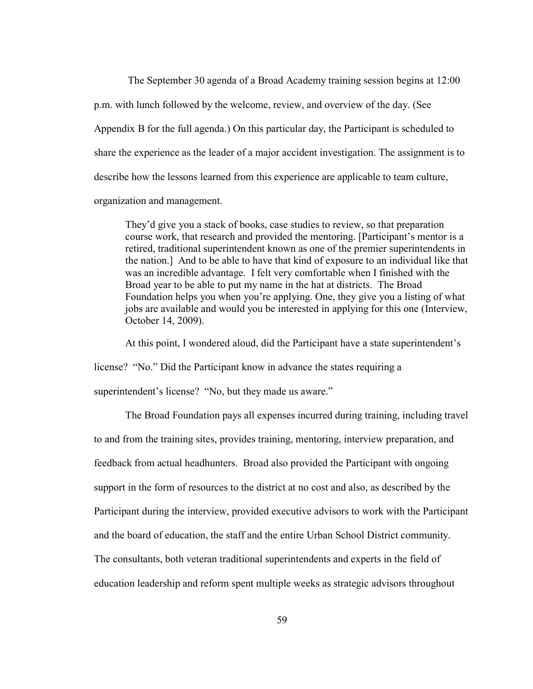The September 30 agenda of a Broad Academy training session begins at 12:00 p.m. with lunch followed by the welcome, review, and overview of the day. (See Appendix B for the full agenda.) On this particular day, the Participant is scheduled to share the experience as the leader of a major accident investigation. The assignment is to describe how the lessons learned from this experience are applicable to team culture, organization and management.

They'd give you a stack of books, case studies to review, so that preparation course work, that research and provided the mentoring. [Participant's mentor is a retired, traditional superintendent known as one of the premier superintendents in the nation.] And to be able to have that kind of exposure to an individual like that was an incredible advantage. I felt very comfortable when I finished with the Broad year to be able to put my name in the hat at districts. The Broad Foundation helps you when you're applying. One, they give you a listing of what jobs are available and would you be interested in applying for this one (Interview, October 14, 2009).

At this point, I wondered aloud, did the Participant have a state superintendent's

license? "No." Did the Participant know in advance the states requiring a

superintendent's license? "No, but they made us aware."

The Broad Foundation pays all expenses incurred during training, including travel to and from the training sites, provides training, mentoring, interview preparation, and feedback from actual headhunters. Broad also provided the Participant with ongoing support in the form of resources to the district at no cost and also, as described by the Participant during the interview, provided executive advisors to work with the Participant and the board of education, the staff and the entire Urban School District community. The consultants, both veteran traditional superintendents and experts in the field of education leadership and reform spent multiple weeks as strategic advisors throughout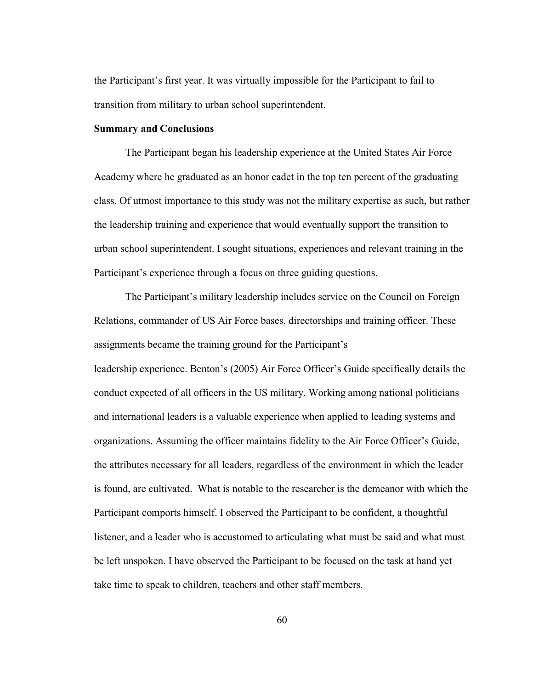the Participant's first year. It was virtually impossible for the Participant to fail to transition from military to urban school superintendent.

### **Summary and Conclusions**

The Participant began his leadership experience at the United States Air Force Academy where he graduated as an honor cadet in the top ten percent of the graduating class. Of utmost importance to this study was not the military expertise as such, but rather the leadership training and experience that would eventually support the transition to urban school superintendent. I sought situations, experiences and relevant training in the Participant's experience through a focus on three guiding questions.

The Participant's military leadership includes service on the Council on Foreign Relations, commander of US Air Force bases, directorships and training officer. These assignments became the training ground for the Participant's leadership experience. Benton's (2005) Air Force Officer's Guide specifically details the conduct expected of all officers in the US military. Working among national politicians and international leaders is a valuable experience when applied to leading systems and organizations. Assuming the officer maintains fidelity to the Air Force Officer's Guide, the attributes necessary for all leaders, regardless of the environment in which the leader is found, are cultivated. What is notable to the researcher is the demeanor with which the Participant comports himself. I observed the Participant to be confident, a thoughtful listener, and a leader who is accustomed to articulating what must be said and what must be left unspoken. I have observed the Participant to be focused on the task at hand yet take time to speak to children, teachers and other staff members.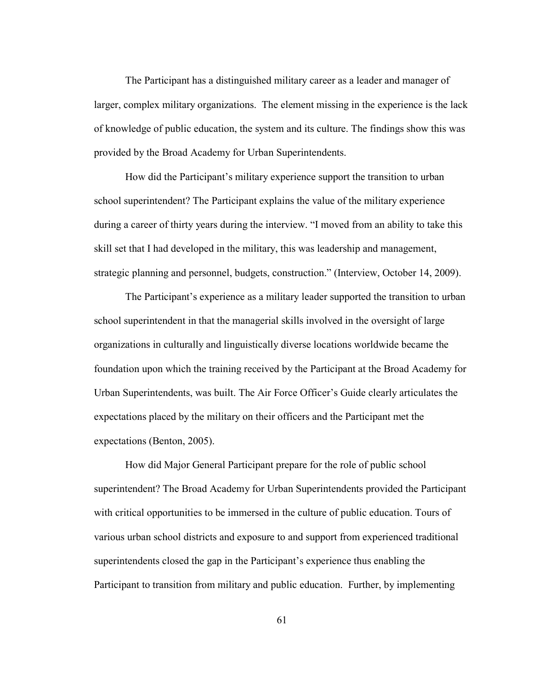The Participant has a distinguished military career as a leader and manager of larger, complex military organizations. The element missing in the experience is the lack of knowledge of public education, the system and its culture. The findings show this was provided by the Broad Academy for Urban Superintendents.

How did the Participant's military experience support the transition to urban school superintendent? The Participant explains the value of the military experience during a career of thirty years during the interview. "I moved from an ability to take this skill set that I had developed in the military, this was leadership and management, strategic planning and personnel, budgets, construction." (Interview, October 14, 2009).

The Participant's experience as a military leader supported the transition to urban school superintendent in that the managerial skills involved in the oversight of large organizations in culturally and linguistically diverse locations worldwide became the foundation upon which the training received by the Participant at the Broad Academy for Urban Superintendents, was built. The Air Force Officer's Guide clearly articulates the expectations placed by the military on their officers and the Participant met the expectations (Benton, 2005).

How did Major General Participant prepare for the role of public school superintendent? The Broad Academy for Urban Superintendents provided the Participant with critical opportunities to be immersed in the culture of public education. Tours of various urban school districts and exposure to and support from experienced traditional superintendents closed the gap in the Participant's experience thus enabling the Participant to transition from military and public education. Further, by implementing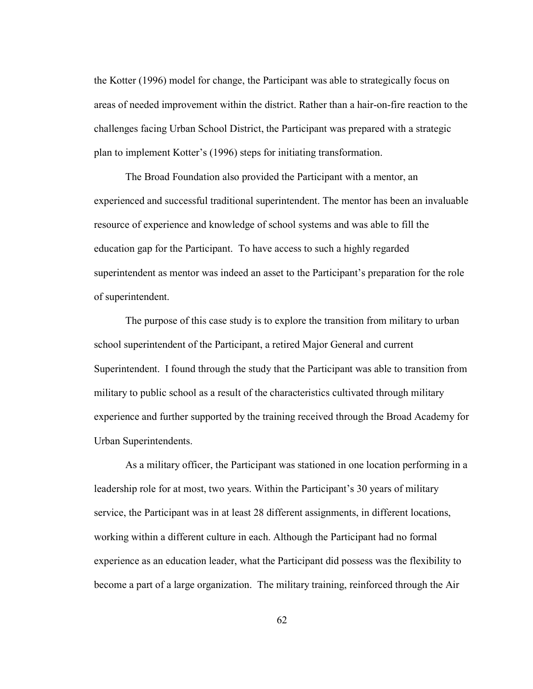the Kotter (1996) model for change, the Participant was able to strategically focus on areas of needed improvement within the district. Rather than a hair-on-fire reaction to the challenges facing Urban School District, the Participant was prepared with a strategic plan to implement Kotter's (1996) steps for initiating transformation.

The Broad Foundation also provided the Participant with a mentor, an experienced and successful traditional superintendent. The mentor has been an invaluable resource of experience and knowledge of school systems and was able to fill the education gap for the Participant. To have access to such a highly regarded superintendent as mentor was indeed an asset to the Participant's preparation for the role of superintendent.

The purpose of this case study is to explore the transition from military to urban school superintendent of the Participant, a retired Major General and current Superintendent. I found through the study that the Participant was able to transition from military to public school as a result of the characteristics cultivated through military experience and further supported by the training received through the Broad Academy for Urban Superintendents.

As a military officer, the Participant was stationed in one location performing in a leadership role for at most, two years. Within the Participant's 30 years of military service, the Participant was in at least 28 different assignments, in different locations, working within a different culture in each. Although the Participant had no formal experience as an education leader, what the Participant did possess was the flexibility to become a part of a large organization. The military training, reinforced through the Air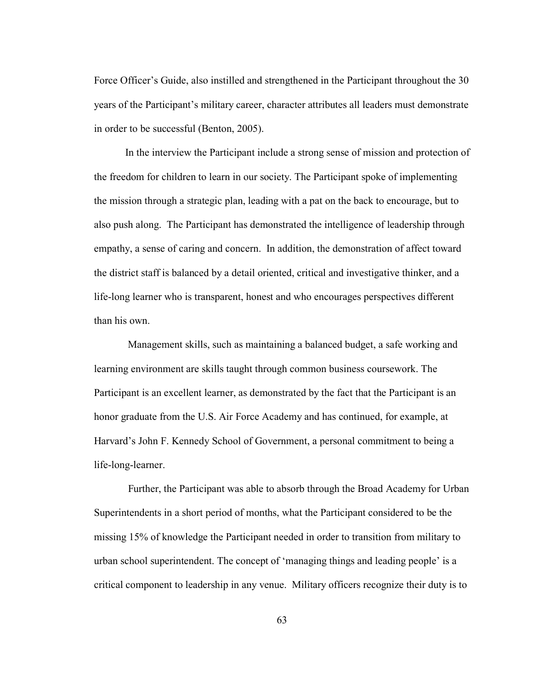Force Officer's Guide, also instilled and strengthened in the Participant throughout the 30 years of the Participant's military career, character attributes all leaders must demonstrate in order to be successful (Benton, 2005).

In the interview the Participant include a strong sense of mission and protection of the freedom for children to learn in our society. The Participant spoke of implementing the mission through a strategic plan, leading with a pat on the back to encourage, but to also push along. The Participant has demonstrated the intelligence of leadership through empathy, a sense of caring and concern. In addition, the demonstration of affect toward the district staff is balanced by a detail oriented, critical and investigative thinker, and a life-long learner who is transparent, honest and who encourages perspectives different than his own.

Management skills, such as maintaining a balanced budget, a safe working and learning environment are skills taught through common business coursework. The Participant is an excellent learner, as demonstrated by the fact that the Participant is an honor graduate from the U.S. Air Force Academy and has continued, for example, at Harvard's John F. Kennedy School of Government, a personal commitment to being a life-long-learner.

Further, the Participant was able to absorb through the Broad Academy for Urban Superintendents in a short period of months, what the Participant considered to be the missing 15% of knowledge the Participant needed in order to transition from military to urban school superintendent. The concept of 'managing things and leading people' is a critical component to leadership in any venue. Military officers recognize their duty is to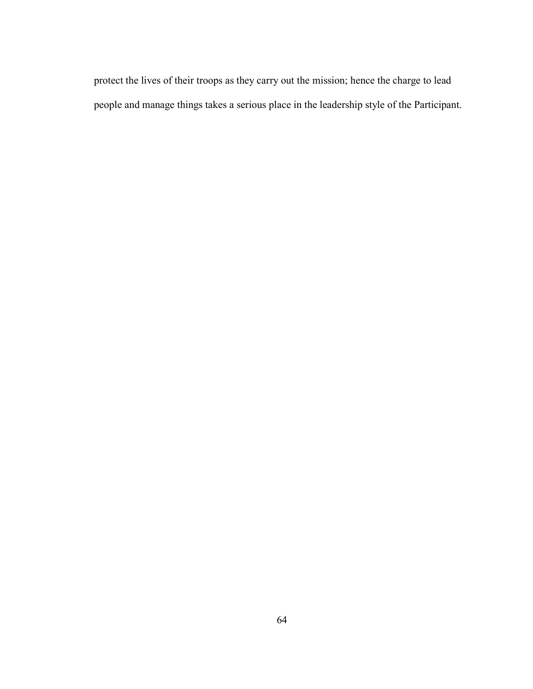protect the lives of their troops as they carry out the mission; hence the charge to lead people and manage things takes a serious place in the leadership style of the Participant.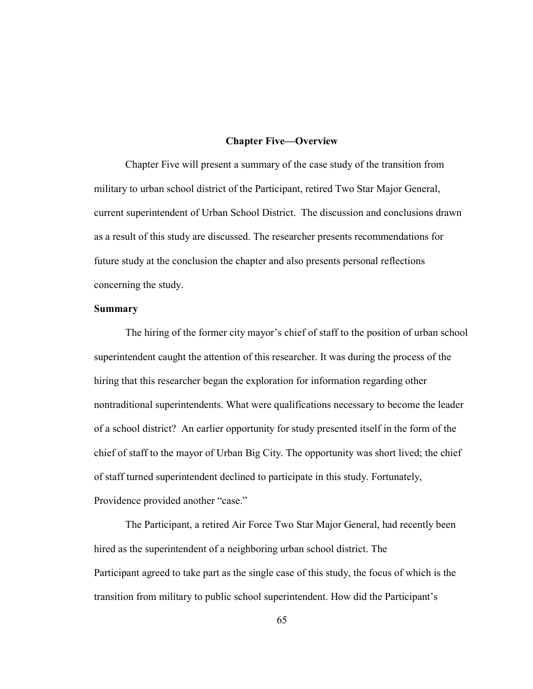#### **Chapter Five—Overview**

Chapter Five will present a summary of the case study of the transition from military to urban school district of the Participant, retired Two Star Major General, current superintendent of Urban School District. The discussion and conclusions drawn as a result of this study are discussed. The researcher presents recommendations for future study at the conclusion the chapter and also presents personal reflections concerning the study.

#### **Summary**

The hiring of the former city mayor's chief of staff to the position of urban school superintendent caught the attention of this researcher. It was during the process of the hiring that this researcher began the exploration for information regarding other nontraditional superintendents. What were qualifications necessary to become the leader of a school district? An earlier opportunity for study presented itself in the form of the chief of staff to the mayor of Urban Big City. The opportunity was short lived; the chief of staff turned superintendent declined to participate in this study. Fortunately, Providence provided another "case."

The Participant, a retired Air Force Two Star Major General, had recently been hired as the superintendent of a neighboring urban school district. The Participant agreed to take part as the single case of this study, the focus of which is the transition from military to public school superintendent. How did the Participant's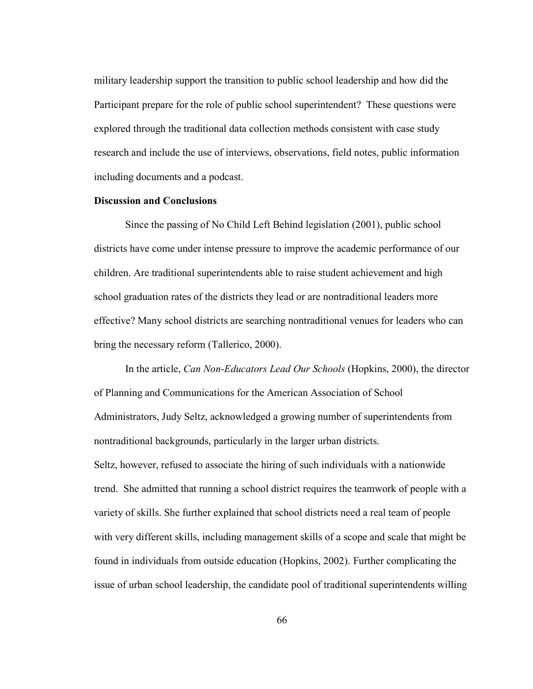military leadership support the transition to public school leadership and how did the Participant prepare for the role of public school superintendent? These questions were explored through the traditional data collection methods consistent with case study research and include the use of interviews, observations, field notes, public information including documents and a podcast.

### **Discussion and Conclusions**

Since the passing of No Child Left Behind legislation (2001), public school districts have come under intense pressure to improve the academic performance of our children. Are traditional superintendents able to raise student achievement and high school graduation rates of the districts they lead or are nontraditional leaders more effective? Many school districts are searching nontraditional venues for leaders who can bring the necessary reform (Tallerico, 2000).

In the article, *Can Non-Educators Lead Our Schools* (Hopkins, 2000), the director of Planning and Communications for the American Association of School Administrators, Judy Seltz, acknowledged a growing number of superintendents from nontraditional backgrounds, particularly in the larger urban districts. Seltz, however, refused to associate the hiring of such individuals with a nationwide trend. She admitted that running a school district requires the teamwork of people with a variety of skills. She further explained that school districts need a real team of people with very different skills, including management skills of a scope and scale that might be found in individuals from outside education (Hopkins, 2002). Further complicating the issue of urban school leadership, the candidate pool of traditional superintendents willing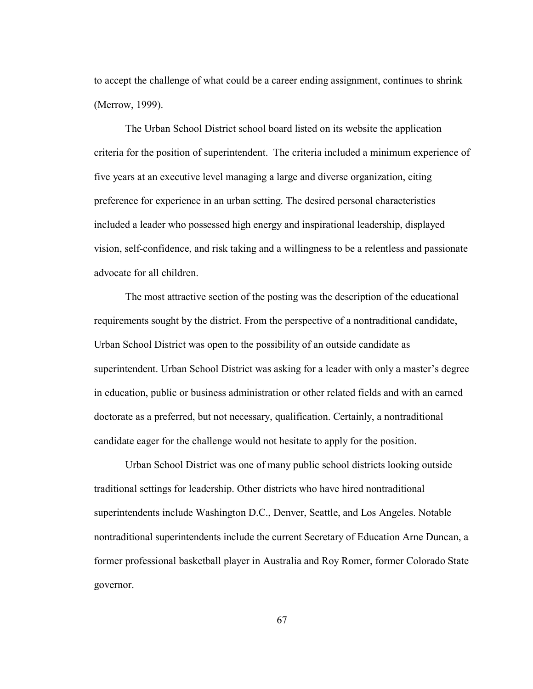to accept the challenge of what could be a career ending assignment, continues to shrink (Merrow, 1999).

The Urban School District school board listed on its website the application criteria for the position of superintendent. The criteria included a minimum experience of five years at an executive level managing a large and diverse organization, citing preference for experience in an urban setting. The desired personal characteristics included a leader who possessed high energy and inspirational leadership, displayed vision, self-confidence, and risk taking and a willingness to be a relentless and passionate advocate for all children.

The most attractive section of the posting was the description of the educational requirements sought by the district. From the perspective of a nontraditional candidate, Urban School District was open to the possibility of an outside candidate as superintendent. Urban School District was asking for a leader with only a master's degree in education, public or business administration or other related fields and with an earned doctorate as a preferred, but not necessary, qualification. Certainly, a nontraditional candidate eager for the challenge would not hesitate to apply for the position.

Urban School District was one of many public school districts looking outside traditional settings for leadership. Other districts who have hired nontraditional superintendents include Washington D.C., Denver, Seattle, and Los Angeles. Notable nontraditional superintendents include the current Secretary of Education Arne Duncan, a former professional basketball player in Australia and Roy Romer, former Colorado State governor.

67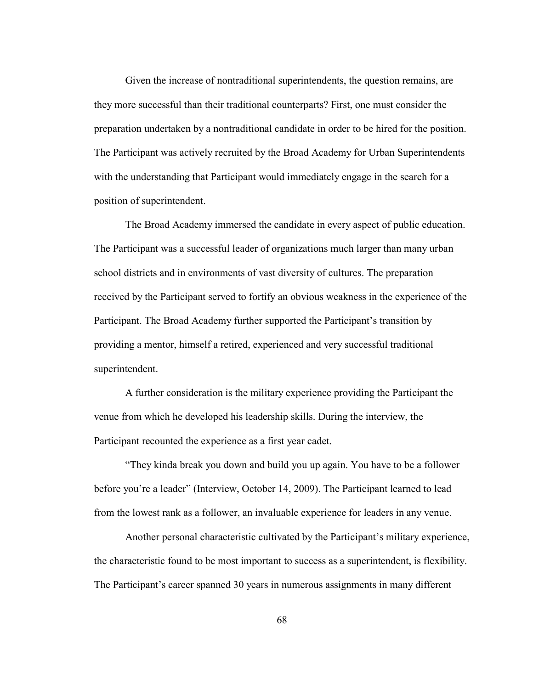Given the increase of nontraditional superintendents, the question remains, are they more successful than their traditional counterparts? First, one must consider the preparation undertaken by a nontraditional candidate in order to be hired for the position. The Participant was actively recruited by the Broad Academy for Urban Superintendents with the understanding that Participant would immediately engage in the search for a position of superintendent.

The Broad Academy immersed the candidate in every aspect of public education. The Participant was a successful leader of organizations much larger than many urban school districts and in environments of vast diversity of cultures. The preparation received by the Participant served to fortify an obvious weakness in the experience of the Participant. The Broad Academy further supported the Participant's transition by providing a mentor, himself a retired, experienced and very successful traditional superintendent.

A further consideration is the military experience providing the Participant the venue from which he developed his leadership skills. During the interview, the Participant recounted the experience as a first year cadet.

"They kinda break you down and build you up again. You have to be a follower before you're a leader" (Interview, October 14, 2009). The Participant learned to lead from the lowest rank as a follower, an invaluable experience for leaders in any venue.

Another personal characteristic cultivated by the Participant's military experience, the characteristic found to be most important to success as a superintendent, is flexibility. The Participant's career spanned 30 years in numerous assignments in many different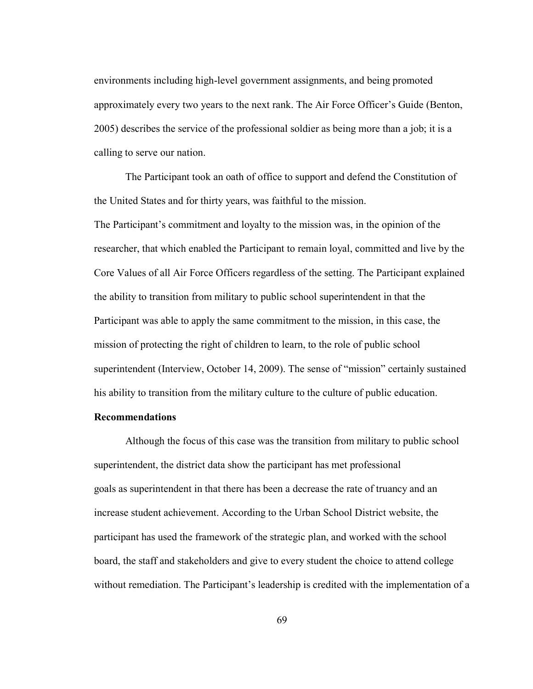environments including high-level government assignments, and being promoted approximately every two years to the next rank. The Air Force Officer's Guide (Benton, 2005) describes the service of the professional soldier as being more than a job; it is a calling to serve our nation.

The Participant took an oath of office to support and defend the Constitution of the United States and for thirty years, was faithful to the mission.

The Participant's commitment and loyalty to the mission was, in the opinion of the researcher, that which enabled the Participant to remain loyal, committed and live by the Core Values of all Air Force Officers regardless of the setting. The Participant explained the ability to transition from military to public school superintendent in that the Participant was able to apply the same commitment to the mission, in this case, the mission of protecting the right of children to learn, to the role of public school superintendent (Interview, October 14, 2009). The sense of "mission" certainly sustained his ability to transition from the military culture to the culture of public education.

#### **Recommendations**

Although the focus of this case was the transition from military to public school superintendent, the district data show the participant has met professional goals as superintendent in that there has been a decrease the rate of truancy and an increase student achievement. According to the Urban School District website, the participant has used the framework of the strategic plan, and worked with the school board, the staff and stakeholders and give to every student the choice to attend college without remediation. The Participant's leadership is credited with the implementation of a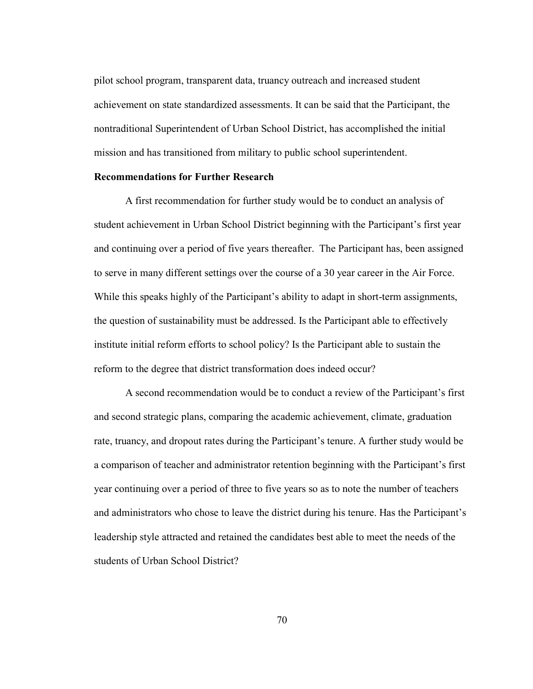pilot school program, transparent data, truancy outreach and increased student achievement on state standardized assessments. It can be said that the Participant, the nontraditional Superintendent of Urban School District, has accomplished the initial mission and has transitioned from military to public school superintendent.

#### **Recommendations for Further Research**

A first recommendation for further study would be to conduct an analysis of student achievement in Urban School District beginning with the Participant's first year and continuing over a period of five years thereafter. The Participant has, been assigned to serve in many different settings over the course of a 30 year career in the Air Force. While this speaks highly of the Participant's ability to adapt in short-term assignments, the question of sustainability must be addressed. Is the Participant able to effectively institute initial reform efforts to school policy? Is the Participant able to sustain the reform to the degree that district transformation does indeed occur?

A second recommendation would be to conduct a review of the Participant's first and second strategic plans, comparing the academic achievement, climate, graduation rate, truancy, and dropout rates during the Participant's tenure. A further study would be a comparison of teacher and administrator retention beginning with the Participant's first year continuing over a period of three to five years so as to note the number of teachers and administrators who chose to leave the district during his tenure. Has the Participant's leadership style attracted and retained the candidates best able to meet the needs of the students of Urban School District?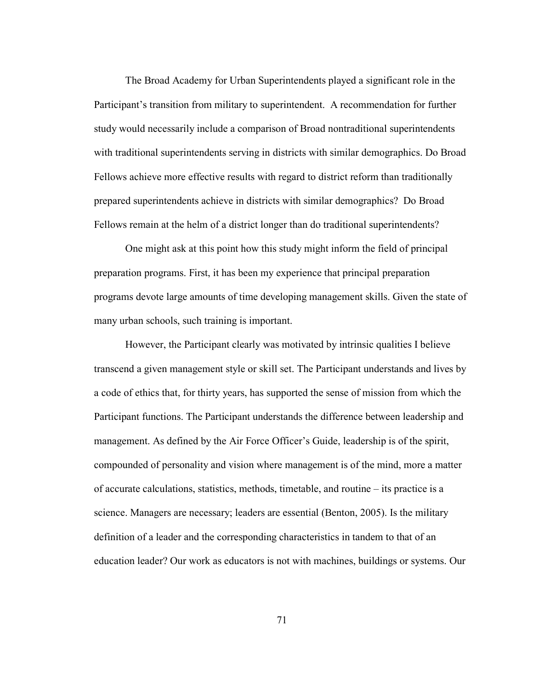The Broad Academy for Urban Superintendents played a significant role in the Participant's transition from military to superintendent. A recommendation for further study would necessarily include a comparison of Broad nontraditional superintendents with traditional superintendents serving in districts with similar demographics. Do Broad Fellows achieve more effective results with regard to district reform than traditionally prepared superintendents achieve in districts with similar demographics? Do Broad Fellows remain at the helm of a district longer than do traditional superintendents?

One might ask at this point how this study might inform the field of principal preparation programs. First, it has been my experience that principal preparation programs devote large amounts of time developing management skills. Given the state of many urban schools, such training is important.

However, the Participant clearly was motivated by intrinsic qualities I believe transcend a given management style or skill set. The Participant understands and lives by a code of ethics that, for thirty years, has supported the sense of mission from which the Participant functions. The Participant understands the difference between leadership and management. As defined by the Air Force Officer's Guide, leadership is of the spirit, compounded of personality and vision where management is of the mind, more a matter of accurate calculations, statistics, methods, timetable, and routine – its practice is a science. Managers are necessary; leaders are essential (Benton, 2005). Is the military definition of a leader and the corresponding characteristics in tandem to that of an education leader? Our work as educators is not with machines, buildings or systems. Our

71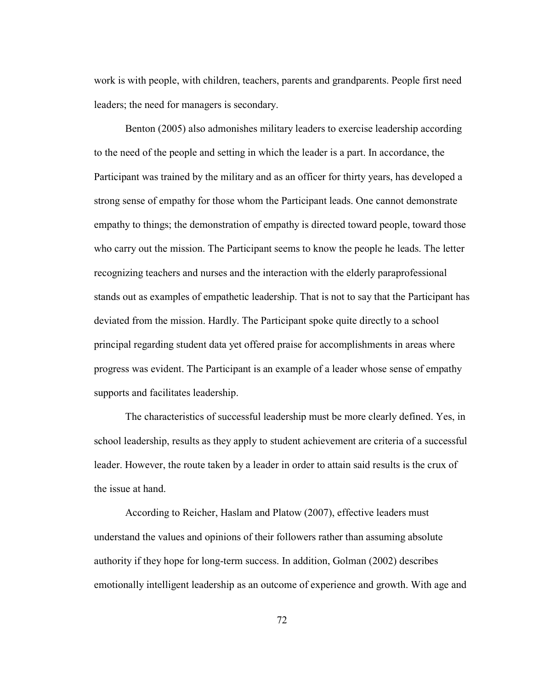work is with people, with children, teachers, parents and grandparents. People first need leaders; the need for managers is secondary.

Benton (2005) also admonishes military leaders to exercise leadership according to the need of the people and setting in which the leader is a part. In accordance, the Participant was trained by the military and as an officer for thirty years, has developed a strong sense of empathy for those whom the Participant leads. One cannot demonstrate empathy to things; the demonstration of empathy is directed toward people, toward those who carry out the mission. The Participant seems to know the people he leads. The letter recognizing teachers and nurses and the interaction with the elderly paraprofessional stands out as examples of empathetic leadership. That is not to say that the Participant has deviated from the mission. Hardly. The Participant spoke quite directly to a school principal regarding student data yet offered praise for accomplishments in areas where progress was evident. The Participant is an example of a leader whose sense of empathy supports and facilitates leadership.

The characteristics of successful leadership must be more clearly defined. Yes, in school leadership, results as they apply to student achievement are criteria of a successful leader. However, the route taken by a leader in order to attain said results is the crux of the issue at hand.

According to Reicher, Haslam and Platow (2007), effective leaders must understand the values and opinions of their followers rather than assuming absolute authority if they hope for long-term success. In addition, Golman (2002) describes emotionally intelligent leadership as an outcome of experience and growth. With age and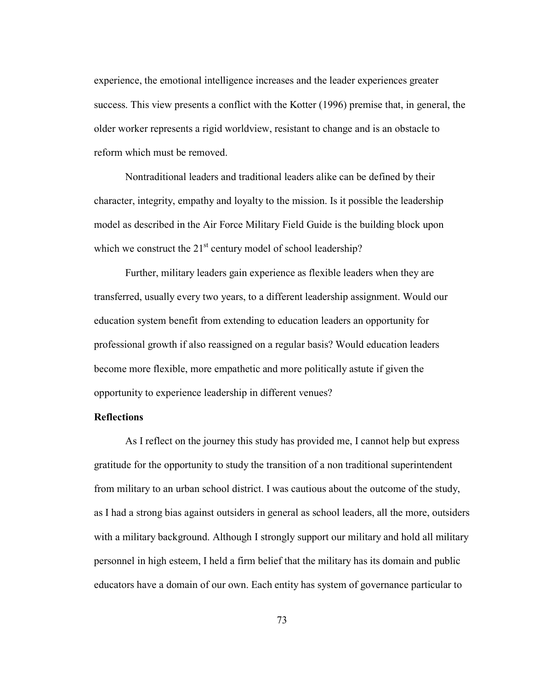experience, the emotional intelligence increases and the leader experiences greater success. This view presents a conflict with the Kotter (1996) premise that, in general, the older worker represents a rigid worldview, resistant to change and is an obstacle to reform which must be removed.

Nontraditional leaders and traditional leaders alike can be defined by their character, integrity, empathy and loyalty to the mission. Is it possible the leadership model as described in the Air Force Military Field Guide is the building block upon which we construct the  $21<sup>st</sup>$  century model of school leadership?

Further, military leaders gain experience as flexible leaders when they are transferred, usually every two years, to a different leadership assignment. Would our education system benefit from extending to education leaders an opportunity for professional growth if also reassigned on a regular basis? Would education leaders become more flexible, more empathetic and more politically astute if given the opportunity to experience leadership in different venues?

### **Reflections**

As I reflect on the journey this study has provided me, I cannot help but express gratitude for the opportunity to study the transition of a non traditional superintendent from military to an urban school district. I was cautious about the outcome of the study, as I had a strong bias against outsiders in general as school leaders, all the more, outsiders with a military background. Although I strongly support our military and hold all military personnel in high esteem, I held a firm belief that the military has its domain and public educators have a domain of our own. Each entity has system of governance particular to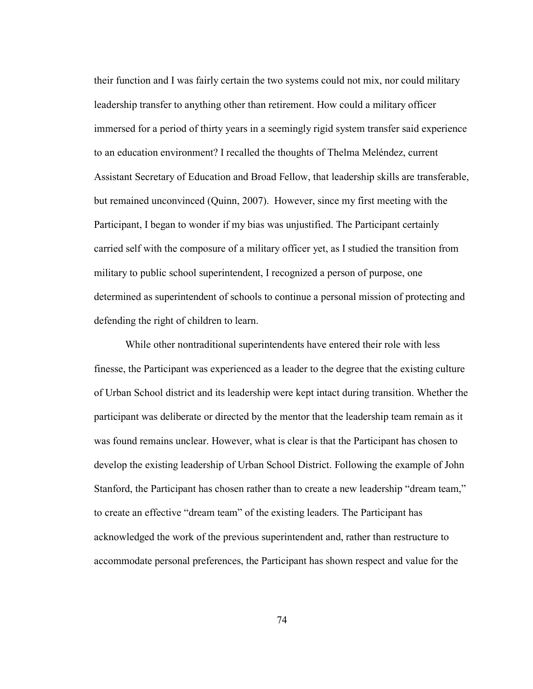their function and I was fairly certain the two systems could not mix, nor could military leadership transfer to anything other than retirement. How could a military officer immersed for a period of thirty years in a seemingly rigid system transfer said experience to an education environment? I recalled the thoughts of Thelma Meléndez, current Assistant Secretary of Education and Broad Fellow, that leadership skills are transferable, but remained unconvinced (Quinn, 2007). However, since my first meeting with the Participant, I began to wonder if my bias was unjustified. The Participant certainly carried self with the composure of a military officer yet, as I studied the transition from military to public school superintendent, I recognized a person of purpose, one determined as superintendent of schools to continue a personal mission of protecting and defending the right of children to learn.

While other nontraditional superintendents have entered their role with less finesse, the Participant was experienced as a leader to the degree that the existing culture of Urban School district and its leadership were kept intact during transition. Whether the participant was deliberate or directed by the mentor that the leadership team remain as it was found remains unclear. However, what is clear is that the Participant has chosen to develop the existing leadership of Urban School District. Following the example of John Stanford, the Participant has chosen rather than to create a new leadership "dream team," to create an effective "dream team" of the existing leaders. The Participant has acknowledged the work of the previous superintendent and, rather than restructure to accommodate personal preferences, the Participant has shown respect and value for the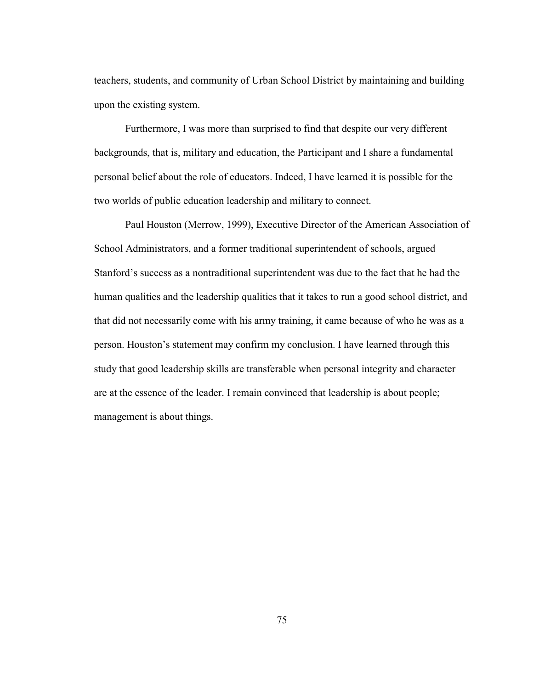teachers, students, and community of Urban School District by maintaining and building upon the existing system.

Furthermore, I was more than surprised to find that despite our very different backgrounds, that is, military and education, the Participant and I share a fundamental personal belief about the role of educators. Indeed, I have learned it is possible for the two worlds of public education leadership and military to connect.

Paul Houston (Merrow, 1999), Executive Director of the American Association of School Administrators, and a former traditional superintendent of schools, argued Stanford's success as a nontraditional superintendent was due to the fact that he had the human qualities and the leadership qualities that it takes to run a good school district, and that did not necessarily come with his army training, it came because of who he was as a person. Houston's statement may confirm my conclusion. I have learned through this study that good leadership skills are transferable when personal integrity and character are at the essence of the leader. I remain convinced that leadership is about people; management is about things.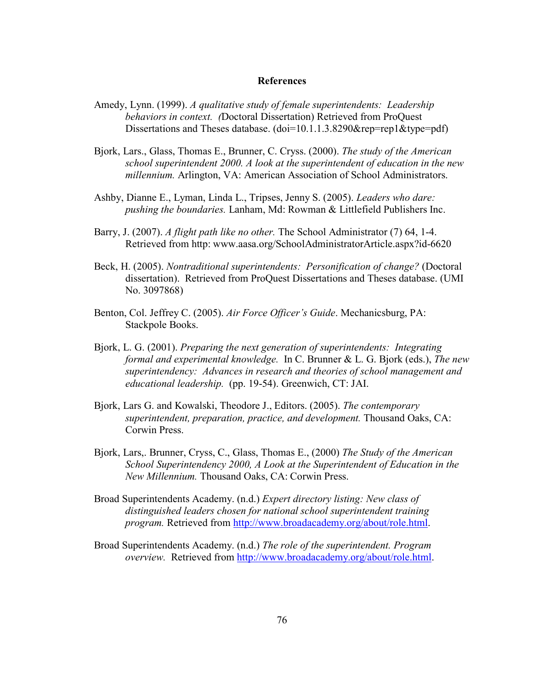#### **References**

- Amedy, Lynn. (1999). *A qualitative study of female superintendents: Leadership behaviors in context. (*Doctoral Dissertation) Retrieved from ProQuest Dissertations and Theses database. (doi=10.1.1.3.8290&rep=rep1&type=pdf)
- Bjork, Lars., Glass, Thomas E., Brunner, C. Cryss. (2000). *The study of the American school superintendent 2000. A look at the superintendent of education in the new millennium.* Arlington, VA: American Association of School Administrators.
- Ashby, Dianne E., Lyman, Linda L., Tripses, Jenny S. (2005). *Leaders who dare: pushing the boundaries.* Lanham, Md: Rowman & Littlefield Publishers Inc.
- Barry, J. (2007). *A flight path like no other.* The School Administrator (7) 64, 1-4. Retrieved from http: www.aasa.org/SchoolAdministratorArticle.aspx?id-6620
- Beck, H. (2005). *Nontraditional superintendents: Personification of change?* (Doctoral dissertation). Retrieved from ProQuest Dissertations and Theses database. (UMI No. 3097868)
- Benton, Col. Jeffrey C. (2005). *Air Force Officer's Guide*. Mechanicsburg, PA: Stackpole Books.
- Bjork, L. G. (2001). *Preparing the next generation of superintendents: Integrating formal and experimental knowledge.* In C. Brunner & L. G. Bjork (eds.), *The new superintendency: Advances in research and theories of school management and educational leadership.* (pp. 19-54). Greenwich, CT: JAI.
- Bjork, Lars G. and Kowalski, Theodore J., Editors. (2005). *The contemporary superintendent, preparation, practice, and development.* Thousand Oaks, CA: Corwin Press.
- Bjork, Lars,. Brunner, Cryss, C., Glass, Thomas E., (2000) *The Study of the American School Superintendency 2000, A Look at the Superintendent of Education in the New Millennium.* Thousand Oaks, CA: Corwin Press.
- Broad Superintendents Academy. (n.d.) *Expert directory listing: New class of distinguished leaders chosen for national school superintendent training program.* Retrieved from [http://www.broadacademy.org/about/role.html.](http://www.broadacademy.org/about/role.html)
- Broad Superintendents Academy. (n.d.) *The role of the superintendent. Program overview.* Retrieved from [http://www.broadacademy.org/about/role.html.](http://www.broadacademy.org/about/role.html)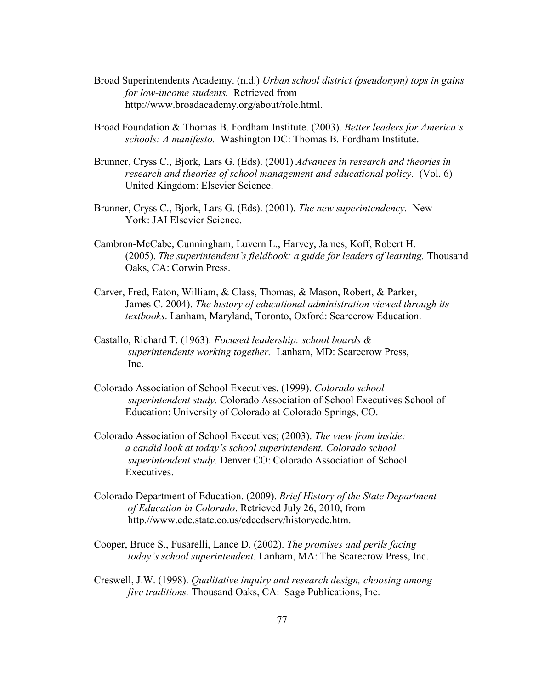- Broad Superintendents Academy. (n.d.) *Urban school district (pseudonym) tops in gains for low-income students.* Retrieved from http://www.broadacademy.org/about/role.html.
- Broad Foundation & Thomas B. Fordham Institute. (2003). *Better leaders for America's schools: A manifesto.* Washington DC: Thomas B. Fordham Institute.
- Brunner, Cryss C., Bjork, Lars G. (Eds). (2001) *Advances in research and theories in research and theories of school management and educational policy.* (Vol. 6) United Kingdom: Elsevier Science.
- Brunner, Cryss C., Bjork, Lars G. (Eds). (2001). *The new superintendency.* New York: JAI Elsevier Science.
- Cambron-McCabe, Cunningham, Luvern L., Harvey, James, Koff, Robert H. (2005). *The superintendent's fieldbook: a guide for leaders of learning.* Thousand Oaks, CA: Corwin Press.
- Carver, Fred, Eaton, William, & Class, Thomas, & Mason, Robert, & Parker, James C. 2004). *The history of educational administration viewed through its textbooks*. Lanham, Maryland, Toronto, Oxford: Scarecrow Education.
- Castallo, Richard T. (1963). *Focused leadership: school boards & superintendents working together.* Lanham, MD: Scarecrow Press, Inc.
- Colorado Association of School Executives. (1999). *Colorado school superintendent study.* Colorado Association of School Executives School of Education: University of Colorado at Colorado Springs, CO.
- Colorado Association of School Executives; (2003). *The view from inside: a candid look at today's school superintendent. Colorado school superintendent study.* Denver CO: Colorado Association of School Executives.
- Colorado Department of Education. (2009). *Brief History of the State Department of Education in Colorado*. Retrieved July 26, 2010, from http.//www.cde.state.co.us/cdeedserv/historycde.htm.
- Cooper, Bruce S., Fusarelli, Lance D. (2002). *The promises and perils facing today's school superintendent.* Lanham, MA: The Scarecrow Press, Inc.
- Creswell, J.W. (1998). *Qualitative inquiry and research design, choosing among five traditions.* Thousand Oaks, CA: Sage Publications, Inc.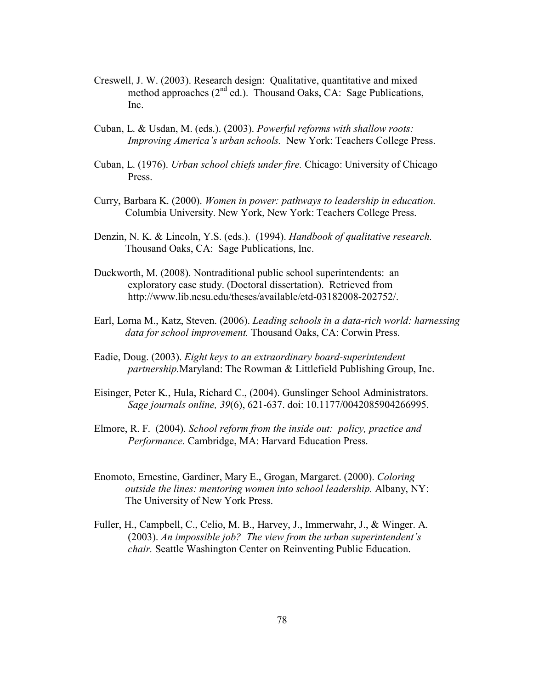- Creswell, J. W. (2003). Research design: Qualitative, quantitative and mixed method approaches  $(2^{nd}$  ed.). Thousand Oaks, CA: Sage Publications, Inc.
- Cuban, L. & Usdan, M. (eds.). (2003). *Powerful reforms with shallow roots: Improving America's urban schools.* New York: Teachers College Press.
- Cuban, L. (1976). *Urban school chiefs under fire.* Chicago: University of Chicago Press.
- Curry, Barbara K. (2000). *Women in power: pathways to leadership in education.* Columbia University. New York, New York: Teachers College Press.
- Denzin, N. K. & Lincoln, Y.S. (eds.). (1994). *Handbook of qualitative research.* Thousand Oaks, CA: Sage Publications, Inc.
- Duckworth, M. (2008). Nontraditional public school superintendents: an exploratory case study. (Doctoral dissertation). Retrieved from http://www.lib.ncsu.edu/theses/available/etd-03182008-202752/.
- Earl, Lorna M., Katz, Steven. (2006). *Leading schools in a data-rich world: harnessing data for school improvement.* Thousand Oaks, CA: Corwin Press.
- Eadie, Doug. (2003). *Eight keys to an extraordinary board-superintendent partnership.*Maryland: The Rowman & Littlefield Publishing Group, Inc.
- Eisinger, Peter K., Hula, Richard C., (2004). Gunslinger School Administrators. *Sage journals online, 39*(6), 621-637. doi: 10.1177/0042085904266995.
- Elmore, R. F. (2004). *School reform from the inside out: policy, practice and Performance.* Cambridge, MA: Harvard Education Press.
- Enomoto, Ernestine, Gardiner, Mary E., Grogan, Margaret. (2000). *Coloring outside the lines: mentoring women into school leadership.* Albany, NY: The University of New York Press.
- Fuller, H., Campbell, C., Celio, M. B., Harvey, J., Immerwahr, J., & Winger. A. (2003). *An impossible job? The view from the urban superintendent's chair.* Seattle Washington Center on Reinventing Public Education.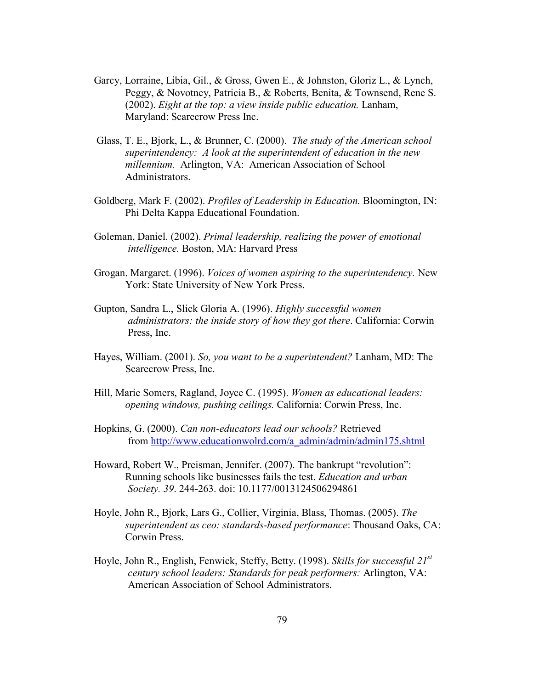- Garcy, Lorraine, Libia, Gil., & Gross, Gwen E., & Johnston, Gloriz L., & Lynch, Peggy, & Novotney, Patricia B., & Roberts, Benita, & Townsend, Rene S. (2002). *Eight at the top: a view inside public education.* Lanham, Maryland: Scarecrow Press Inc.
- Glass, T. E., Bjork, L., & Brunner, C. (2000). *The study of the American school superintendency: A look at the superintendent of education in the new millennium.* Arlington, VA: American Association of School Administrators.
- Goldberg, Mark F. (2002). *Profiles of Leadership in Education.* Bloomington, IN: Phi Delta Kappa Educational Foundation.
- Goleman, Daniel. (2002). *Primal leadership, realizing the power of emotional intelligence.* Boston, MA: Harvard Press
- Grogan. Margaret. (1996). *Voices of women aspiring to the superintendency.* New York: State University of New York Press.
- Gupton, Sandra L., Slick Gloria A. (1996). *Highly successful women administrators: the inside story of how they got there*. California: Corwin Press, Inc.
- Hayes, William. (2001). *So, you want to be a superintendent?* Lanham, MD: The Scarecrow Press, Inc.
- Hill, Marie Somers, Ragland, Joyce C. (1995). *Women as educational leaders: opening windows, pushing ceilings.* California: Corwin Press, Inc.
- Hopkins, G. (2000). *Can non-educators lead our schools?* Retrieved from [http://www.educationwolrd.com/a\\_admin/admin/admin175.shtml](http://www.educationwolrd.com/a_admin/admin/admin175.shtml)
- Howard, Robert W., Preisman, Jennifer. (2007). The bankrupt "revolution": Running schools like businesses fails the test. *Education and urban Society. 39*. 244-263. doi: 10.1177/0013124506294861
- Hoyle, John R., Bjork, Lars G., Collier, Virginia, Blass, Thomas. (2005). *The superintendent as ceo: standards-based performance*: Thousand Oaks, CA: Corwin Press.
- Hoyle, John R., English, Fenwick, Steffy, Betty. (1998). *Skills for successful 21st century school leaders: Standards for peak performers:* Arlington, VA: American Association of School Administrators.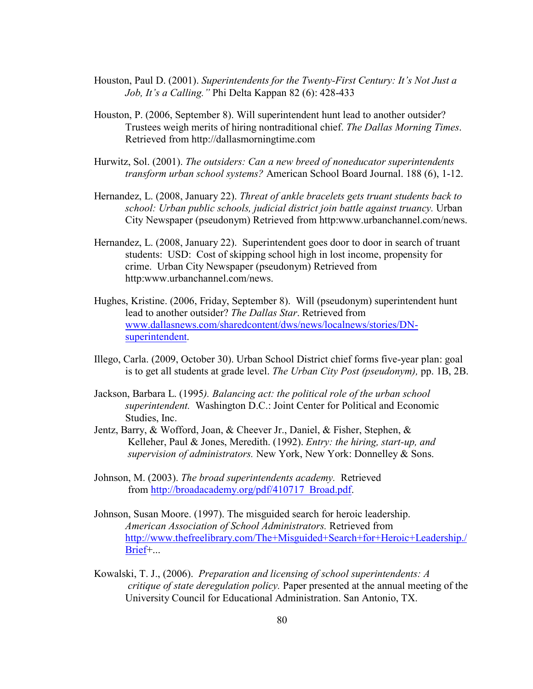- Houston, Paul D. (2001). *Superintendents for the Twenty-First Century: It's Not Just a Job, It's a Calling."* Phi Delta Kappan 82 (6): 428-433
- Houston, P. (2006, September 8). Will superintendent hunt lead to another outsider? Trustees weigh merits of hiring nontraditional chief. *The Dallas Morning Times*. Retrieved from http://dallasmorningtime.com
- Hurwitz, Sol. (2001). *The outsiders: Can a new breed of noneducator superintendents transform urban school systems?* American School Board Journal. 188 (6), 1-12.
- Hernandez, L. (2008, January 22). *Threat of ankle bracelets gets truant students back to school: Urban public schools, judicial district join battle against truancy.* Urban City Newspaper (pseudonym) Retrieved from http:www.urbanchannel.com/news.
- Hernandez, L. (2008, January 22). Superintendent goes door to door in search of truant students: USD: Cost of skipping school high in lost income, propensity for crime. Urban City Newspaper (pseudonym) Retrieved from http:www.urbanchannel.com/news.
- Hughes, Kristine. (2006, Friday, September 8). Will (pseudonym) superintendent hunt lead to another outsider? *The Dallas Star*. Retrieved from [www.dallasnews.com/sharedcontent/dws/news/localnews/stories/DN](http://www.dallasnews.com/sharedcontent/dws/news/localnews/stories/DN-superintendent)[superintendent.](http://www.dallasnews.com/sharedcontent/dws/news/localnews/stories/DN-superintendent)
- Illego, Carla. (2009, October 30). Urban School District chief forms five-year plan: goal is to get all students at grade level. *The Urban City Post (pseudonym),* pp. 1B, 2B.
- Jackson, Barbara L. (1995*). Balancing act: the political role of the urban school superintendent.* Washington D.C.: Joint Center for Political and Economic Studies, Inc.
- Jentz, Barry, & Wofford, Joan, & Cheever Jr., Daniel, & Fisher, Stephen, & Kelleher, Paul & Jones, Meredith. (1992). *Entry: the hiring, start-up, and supervision of administrators.* New York, New York: Donnelley & Sons.
- Johnson, M. (2003). *The broad superintendents academy.* Retrieved from [http://broadacademy.org/pdf/410717\\_Broad.pdf.](http://broadacademy.org/pdf/410717_Broad.pdf)
- Johnson, Susan Moore. (1997). The misguided search for heroic leadership. *American Association of School Administrators.* Retrieved from [http://www.thefreelibrary.com/The+Misguided+Search+for+Heroic+Leadership./](http://www.thefreelibrary.com/The+Misguided+Search+for+Heroic+Leadership./Brief) [Brief+](http://www.thefreelibrary.com/The+Misguided+Search+for+Heroic+Leadership./Brief)...
- Kowalski, T. J., (2006). *Preparation and licensing of school superintendents: A critique of state deregulation policy.* Paper presented at the annual meeting of the University Council for Educational Administration. San Antonio, TX.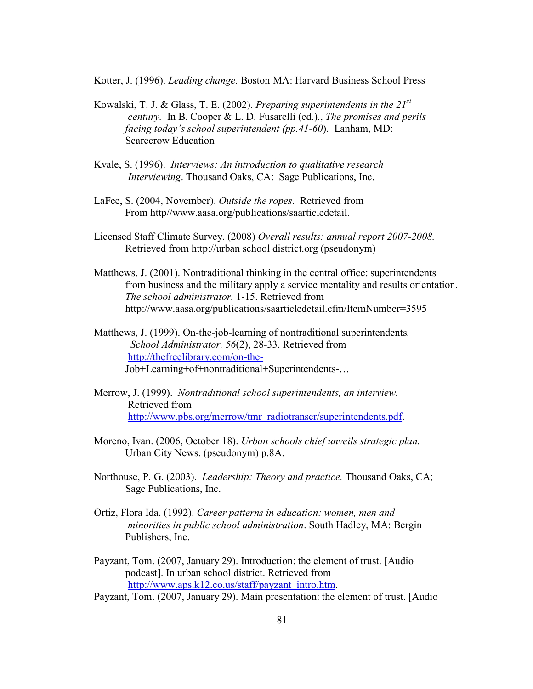Kotter, J. (1996). *Leading change.* Boston MA: Harvard Business School Press

- Kowalski, T. J. & Glass, T. E. (2002). *Preparing superintendents in the 21st century.* In B. Cooper & L. D. Fusarelli (ed.)., *The promises and perils facing today's school superintendent (pp.41-60*). Lanham, MD: Scarecrow Education
- Kvale, S. (1996). *Interviews: An introduction to qualitative research Interviewing*. Thousand Oaks, CA: Sage Publications, Inc.
- LaFee, S. (2004, November). *Outside the ropes*. Retrieved from From http//www.aasa.org/publications/saarticledetail.
- Licensed Staff Climate Survey. (2008) *Overall results: annual report 2007-2008.* Retrieved from http://urban school district.org (pseudonym)
- Matthews, J. (2001). Nontraditional thinking in the central office: superintendents from business and the military apply a service mentality and results orientation. *The school administrator.* 1-15. Retrieved from http://www.aasa.org/publications/saarticledetail.cfm/ItemNumber=3595
- Matthews, J. (1999). On-the-job-learning of nontraditional superintendents*. School Administrator, 56*(2), 28-33. Retrieved from <http://thefreelibrary.com/on-the->Job+Learning+of+nontraditional+Superintendents-…
- Merrow, J. (1999). *Nontraditional school superintendents, an interview.* Retrieved from [http://www.pbs.org/merrow/tmr\\_radiotranscr/superintendents.pdf.](http://www.pbs.org/merrow/tmr_radiotranscr/superintendents.pdf)
- Moreno, Ivan. (2006, October 18). *Urban schools chief unveils strategic plan.* Urban City News. (pseudonym) p.8A.
- Northouse, P. G. (2003). *Leadership: Theory and practice.* Thousand Oaks, CA; Sage Publications, Inc.
- Ortiz, Flora Ida. (1992). *Career patterns in education: women, men and minorities in public school administration*. South Hadley, MA: Bergin Publishers, Inc.
- Payzant, Tom. (2007, January 29). Introduction: the element of trust. [Audio podcast]. In urban school district. Retrieved from [http://www.aps.k12.co.us/staff/payzant\\_intro.htm.](http://www.aps.k12.co.us/staff/payzant_intro.htm)
- Payzant, Tom. (2007, January 29). Main presentation: the element of trust. [Audio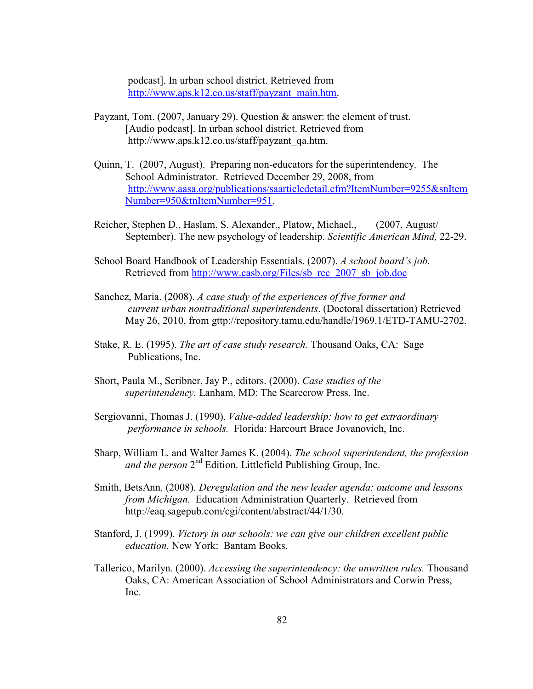podcast]. In urban school district. Retrieved from [http://www.aps.k12.co.us/staff/payzant\\_main.htm.](http://www.aps.k12.co.us/staff/payzant_intro.htm)

- Payzant, Tom. (2007, January 29). Question & answer: the element of trust. [Audio podcast]. In urban school district. Retrieved from http://www.aps.k12.co.us/staff/payzant\_qa.htm.
- Quinn, T. (2007, August). Preparing non-educators for the superintendency. The School Administrator. Retrieved December 29, 2008, from [http://www.aasa.org/publications/saarticledetail.cfm?ItemNumber=9255&snItem](http://www.aasa.org/publications/saarticledetail.cfm?ItemNumber=9255&snItemNumber=950&tnItemNumber=951) [Number=950&tnItemNumber=951.](http://www.aasa.org/publications/saarticledetail.cfm?ItemNumber=9255&snItemNumber=950&tnItemNumber=951)
- Reicher, Stephen D., Haslam, S. Alexander., Platow, Michael., (2007, August/ September). The new psychology of leadership. *Scientific American Mind,* 22-29.
- School Board Handbook of Leadership Essentials. (2007). *A school board's job.* Retrieved from [http://www.casb.org/Files/sb\\_rec\\_2007\\_sb\\_job.doc](http://www.casb.org/Files/sb_rec_2007_sb_job.doc)
- Sanchez, Maria. (2008). *A case study of the experiences of five former and current urban nontraditional superintendents*. (Doctoral dissertation) Retrieved May 26, 2010, from gttp://repository.tamu.edu/handle/1969.1/ETD-TAMU-2702.
- Stake, R. E. (1995). *The art of case study research.* Thousand Oaks, CA: Sage Publications, Inc.
- Short, Paula M., Scribner, Jay P., editors. (2000). *Case studies of the superintendency.* Lanham, MD: The Scarecrow Press, Inc.
- Sergiovanni, Thomas J. (1990). *Value-added leadership: how to get extraordinary performance in schools.* Florida: Harcourt Brace Jovanovich, Inc.
- Sharp, William L. and Walter James K. (2004). *The school superintendent, the profession*  and the person 2<sup>nd</sup> Edition. Littlefield Publishing Group, Inc.
- Smith, BetsAnn. (2008). *Deregulation and the new leader agenda: outcome and lessons from Michigan.* Education Administration Quarterly. Retrieved from http://eaq.sagepub.com/cgi/content/abstract/44/1/30.
- Stanford, J. (1999). *Victory in our schools: we can give our children excellent public education.* New York: Bantam Books.
- Tallerico, Marilyn. (2000). *Accessing the superintendency: the unwritten rules.* Thousand Oaks, CA: American Association of School Administrators and Corwin Press, Inc.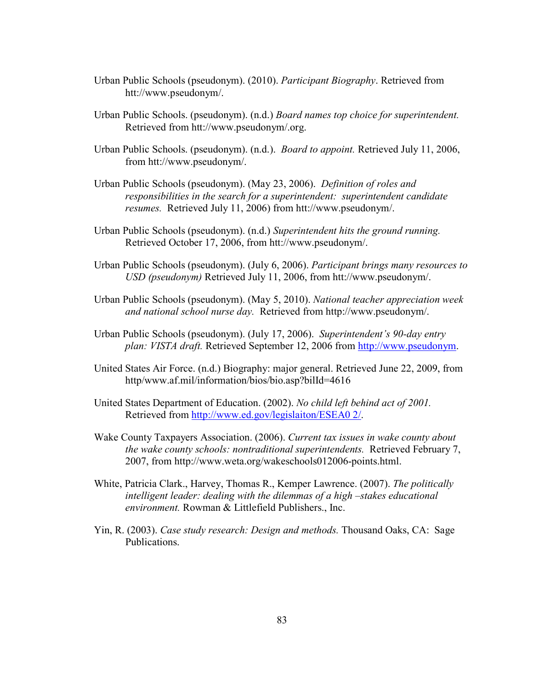- Urban Public Schools (pseudonym). (2010). *Participant Biography*. Retrieved from htt://www.pseudonym/.
- Urban Public Schools. (pseudonym). (n.d.) *Board names top choice for superintendent.*  Retrieved from htt://www.pseudonym/.org.
- Urban Public Schools. (pseudonym). (n.d.). *Board to appoint.* Retrieved July 11, 2006, from htt://www.pseudonym/.
- Urban Public Schools (pseudonym). (May 23, 2006). *Definition of roles and responsibilities in the search for a superintendent: superintendent candidate resumes.* Retrieved July 11, 2006) from htt://www.pseudonym/.
- Urban Public Schools (pseudonym). (n.d.) *Superintendent hits the ground running.* Retrieved October 17, 2006, from htt://www.pseudonym/.
- Urban Public Schools (pseudonym). (July 6, 2006). *Participant brings many resources to USD (pseudonym)* Retrieved July 11, 2006, from htt://www.pseudonym/.
- Urban Public Schools (pseudonym). (May 5, 2010). *National teacher appreciation week and national school nurse day.* Retrieved from http://www.pseudonym/.
- Urban Public Schools (pseudonym). (July 17, 2006). *Superintendent's 90-day entry plan: VISTA draft.* Retrieved September 12, 2006 from [http://www.pseudonym.](http://www.pseudonym/)
- United States Air Force. (n.d.) Biography: major general. Retrieved June 22, 2009, from http/www.af.mil/information/bios/bio.asp?bilId=4616
- United States Department of Education. (2002). *No child left behind act of 2001.* Retrieved from [http://www.ed.gov/legislaiton/ESEA0 2/.](http://www.ed.gov/legislaiton/ESEA0%202/)
- Wake County Taxpayers Association. (2006). *Current tax issues in wake county about the wake county schools: nontraditional superintendents.* Retrieved February 7, 2007, from http://www.weta.org/wakeschools012006-points.html.
- White, Patricia Clark., Harvey, Thomas R., Kemper Lawrence. (2007). *The politically intelligent leader: dealing with the dilemmas of a high –stakes educational environment.* Rowman & Littlefield Publishers., Inc.
- Yin, R. (2003). *Case study research: Design and methods.* Thousand Oaks, CA: Sage Publications.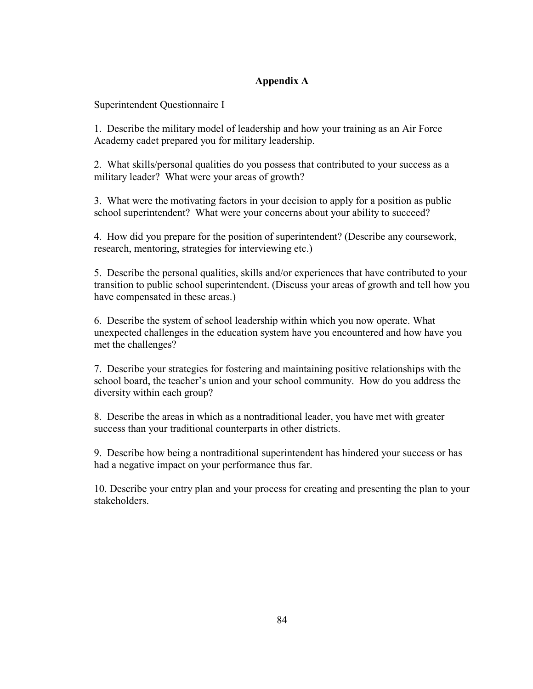## **Appendix A**

Superintendent Questionnaire I

1. Describe the military model of leadership and how your training as an Air Force Academy cadet prepared you for military leadership.

2. What skills/personal qualities do you possess that contributed to your success as a military leader? What were your areas of growth?

3. What were the motivating factors in your decision to apply for a position as public school superintendent? What were your concerns about your ability to succeed?

4. How did you prepare for the position of superintendent? (Describe any coursework, research, mentoring, strategies for interviewing etc.)

5. Describe the personal qualities, skills and/or experiences that have contributed to your transition to public school superintendent. (Discuss your areas of growth and tell how you have compensated in these areas.)

6. Describe the system of school leadership within which you now operate. What unexpected challenges in the education system have you encountered and how have you met the challenges?

7. Describe your strategies for fostering and maintaining positive relationships with the school board, the teacher's union and your school community. How do you address the diversity within each group?

8. Describe the areas in which as a nontraditional leader, you have met with greater success than your traditional counterparts in other districts.

9. Describe how being a nontraditional superintendent has hindered your success or has had a negative impact on your performance thus far.

10. Describe your entry plan and your process for creating and presenting the plan to your stakeholders.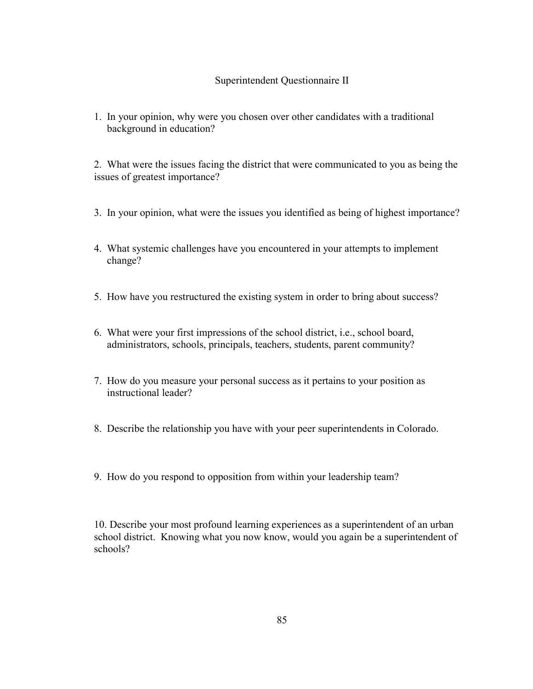## Superintendent Questionnaire II

1. In your opinion, why were you chosen over other candidates with a traditional background in education?

2. What were the issues facing the district that were communicated to you as being the issues of greatest importance?

- 3. In your opinion, what were the issues you identified as being of highest importance?
- 4. What systemic challenges have you encountered in your attempts to implement change?
- 5. How have you restructured the existing system in order to bring about success?
- 6. What were your first impressions of the school district, i.e., school board, administrators, schools, principals, teachers, students, parent community?
- 7. How do you measure your personal success as it pertains to your position as instructional leader?
- 8. Describe the relationship you have with your peer superintendents in Colorado.
- 9. How do you respond to opposition from within your leadership team?

10. Describe your most profound learning experiences as a superintendent of an urban school district. Knowing what you now know, would you again be a superintendent of schools?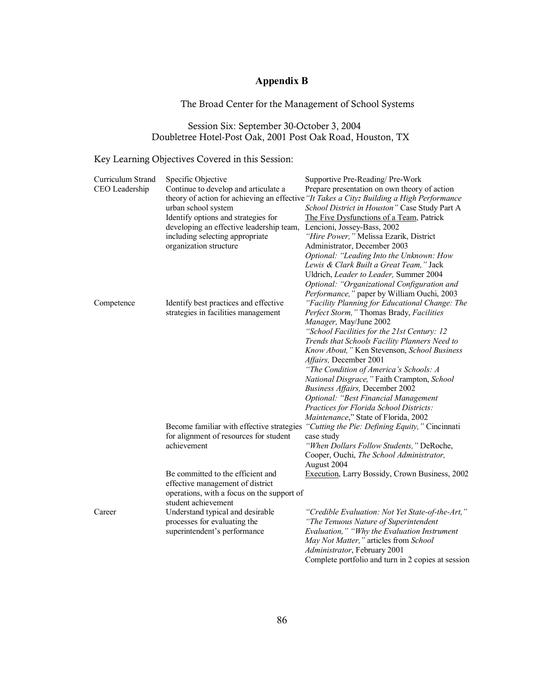## **Appendix B**

## The Broad Center for the Management of School Systems

## Session Six: September 30-October 3, 2004 Doubletree Hotel-Post Oak, 2001 Post Oak Road, Houston, TX

## Key Learning Objectives Covered in this Session:

| Curriculum Strand | Specific Objective                                                                        | Supportive Pre-Reading/ Pre-Work                   |  |
|-------------------|-------------------------------------------------------------------------------------------|----------------------------------------------------|--|
| CEO Leadership    | Continue to develop and articulate a                                                      | Prepare presentation on own theory of action       |  |
|                   | theory of action for achieving an effective "It Takes a City: Building a High Performance |                                                    |  |
|                   | urban school system                                                                       | School District in Houston" Case Study Part A      |  |
|                   | Identify options and strategies for                                                       | The Five Dysfunctions of a Team, Patrick           |  |
|                   | developing an effective leadership team,                                                  | Lencioni, Jossey-Bass, 2002                        |  |
|                   | including selecting appropriate                                                           | "Hire Power," Melissa Ezarik, District             |  |
|                   | organization structure                                                                    | Administrator, December 2003                       |  |
|                   |                                                                                           | Optional: "Leading Into the Unknown: How           |  |
|                   |                                                                                           | Lewis & Clark Built a Great Team," Jack            |  |
|                   |                                                                                           | Uldrich, Leader to Leader, Summer 2004             |  |
|                   |                                                                                           | Optional: "Organizational Configuration and        |  |
|                   |                                                                                           | Performance," paper by William Ouchi, 2003         |  |
| Competence        | Identify best practices and effective                                                     | "Facility Planning for Educational Change: The     |  |
|                   | strategies in facilities management                                                       | Perfect Storm," Thomas Brady, Facilities           |  |
|                   |                                                                                           | Manager, May/June 2002                             |  |
|                   |                                                                                           | "School Facilities for the 21st Century: 12        |  |
|                   |                                                                                           | Trends that Schools Facility Planners Need to      |  |
|                   |                                                                                           | Know About," Ken Stevenson, School Business        |  |
|                   |                                                                                           | Affairs, December 2001                             |  |
|                   |                                                                                           | "The Condition of America's Schools: A             |  |
|                   |                                                                                           | National Disgrace," Faith Crampton, School         |  |
|                   |                                                                                           | Business Affairs, December 2002                    |  |
|                   |                                                                                           | Optional: "Best Financial Management               |  |
|                   |                                                                                           | Practices for Florida School Districts:            |  |
|                   |                                                                                           | Maintenance," State of Florida, 2002               |  |
|                   | Become familiar with effective strategies                                                 | "Cutting the Pie: Defining Equity," Cincinnati     |  |
|                   | for alignment of resources for student<br>achievement                                     | case study                                         |  |
|                   |                                                                                           | "When Dollars Follow Students," DeRoche,           |  |
|                   |                                                                                           | Cooper, Ouchi, The School Administrator,           |  |
|                   |                                                                                           | August 2004                                        |  |
|                   | Be committed to the efficient and                                                         | Execution, Larry Bossidy, Crown Business, 2002     |  |
|                   | effective management of district                                                          |                                                    |  |
|                   | operations, with a focus on the support of                                                |                                                    |  |
|                   | student achievement                                                                       |                                                    |  |
| Career            | Understand typical and desirable                                                          | "Credible Evaluation: Not Yet State-of-the-Art,"   |  |
|                   | processes for evaluating the                                                              | "The Tenuous Nature of Superintendent              |  |
|                   | superintendent's performance                                                              | Evaluation," "Why the Evaluation Instrument        |  |
|                   |                                                                                           | May Not Matter," articles from School              |  |
|                   |                                                                                           | Administrator, February 2001                       |  |
|                   |                                                                                           | Complete portfolio and turn in 2 copies at session |  |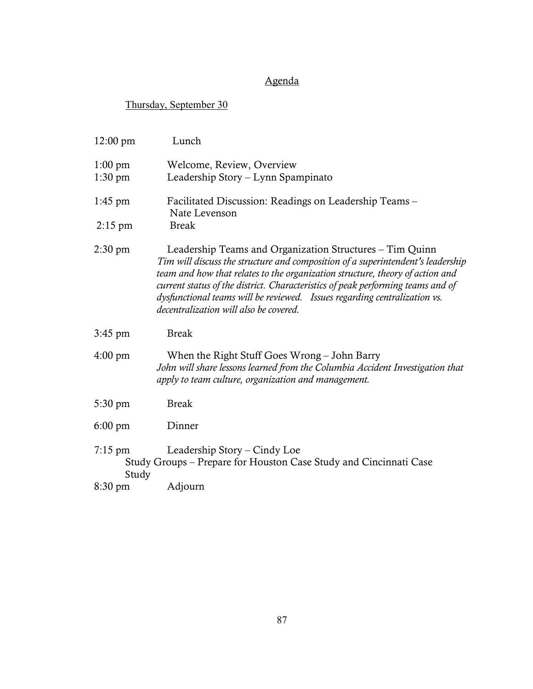## Agenda

# Thursday, September 30

| $12:00 \text{ pm}$             | Lunch                                                                                                                                                                                                                                                                                                                                                                                                                                  |
|--------------------------------|----------------------------------------------------------------------------------------------------------------------------------------------------------------------------------------------------------------------------------------------------------------------------------------------------------------------------------------------------------------------------------------------------------------------------------------|
| $1:00 \text{ pm}$<br>$1:30$ pm | Welcome, Review, Overview<br>Leadership Story – Lynn Spampinato                                                                                                                                                                                                                                                                                                                                                                        |
| $1:45 \text{ pm}$              | Facilitated Discussion: Readings on Leadership Teams -<br>Nate Levenson                                                                                                                                                                                                                                                                                                                                                                |
| $2:15$ pm                      | <b>Break</b>                                                                                                                                                                                                                                                                                                                                                                                                                           |
| $2:30 \text{ pm}$              | Leadership Teams and Organization Structures - Tim Quinn<br>Tim will discuss the structure and composition of a superintendent's leadership<br>team and how that relates to the organization structure, theory of action and<br>current status of the district. Characteristics of peak performing teams and of<br>dysfunctional teams will be reviewed. Issues regarding centralization vs.<br>decentralization will also be covered. |
| $3:45$ pm                      | <b>Break</b>                                                                                                                                                                                                                                                                                                                                                                                                                           |
| $4:00 \text{ pm}$              | When the Right Stuff Goes Wrong - John Barry<br>John will share lessons learned from the Columbia Accident Investigation that<br>apply to team culture, organization and management.                                                                                                                                                                                                                                                   |
| 5:30 pm                        | <b>Break</b>                                                                                                                                                                                                                                                                                                                                                                                                                           |
| $6:00 \text{ pm}$              | Dinner                                                                                                                                                                                                                                                                                                                                                                                                                                 |
| $7:15 \text{ pm}$<br>Study     | Leadership Story – Cindy Loe<br>Study Groups – Prepare for Houston Case Study and Cincinnati Case                                                                                                                                                                                                                                                                                                                                      |
| $8:30 \text{ pm}$              | Adjourn                                                                                                                                                                                                                                                                                                                                                                                                                                |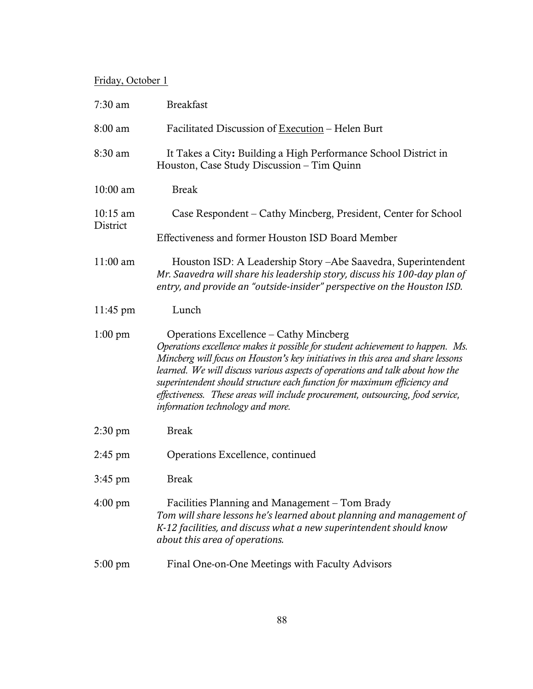## Friday, October 1

| $7:30$ am                      | <b>Breakfast</b>                                                                                                                                                                                                                                                                                                                                                                                                                                                                                |
|--------------------------------|-------------------------------------------------------------------------------------------------------------------------------------------------------------------------------------------------------------------------------------------------------------------------------------------------------------------------------------------------------------------------------------------------------------------------------------------------------------------------------------------------|
| 8:00 am                        | Facilitated Discussion of Execution – Helen Burt                                                                                                                                                                                                                                                                                                                                                                                                                                                |
| 8:30 am                        | It Takes a City: Building a High Performance School District in<br>Houston, Case Study Discussion - Tim Quinn                                                                                                                                                                                                                                                                                                                                                                                   |
| 10:00 am                       | <b>Break</b>                                                                                                                                                                                                                                                                                                                                                                                                                                                                                    |
| $10:15 \text{ am}$<br>District | Case Respondent – Cathy Mincberg, President, Center for School                                                                                                                                                                                                                                                                                                                                                                                                                                  |
|                                | Effectiveness and former Houston ISD Board Member                                                                                                                                                                                                                                                                                                                                                                                                                                               |
| $11:00$ am                     | Houston ISD: A Leadership Story – Abe Saavedra, Superintendent<br>Mr. Saavedra will share his leadership story, discuss his 100-day plan of<br>entry, and provide an "outside-insider" perspective on the Houston ISD.                                                                                                                                                                                                                                                                          |
| $11:45 \text{ pm}$             | Lunch                                                                                                                                                                                                                                                                                                                                                                                                                                                                                           |
| $1:00 \text{ pm}$              | Operations Excellence – Cathy Mincberg<br>Operations excellence makes it possible for student achievement to happen. Ms.<br>Mincberg will focus on Houston's key initiatives in this area and share lessons<br>learned. We will discuss various aspects of operations and talk about how the<br>superintendent should structure each function for maximum efficiency and<br>effectiveness. These areas will include procurement, outsourcing, food service,<br>information technology and more. |
| $2:30 \text{ pm}$              | <b>Break</b>                                                                                                                                                                                                                                                                                                                                                                                                                                                                                    |
| $2:45$ pm                      | Operations Excellence, continued                                                                                                                                                                                                                                                                                                                                                                                                                                                                |
| $3:45 \text{ pm}$              | <b>Break</b>                                                                                                                                                                                                                                                                                                                                                                                                                                                                                    |
| $4:00 \text{ pm}$              | Facilities Planning and Management – Tom Brady<br>Tom will share lessons he's learned about planning and management of<br>K-12 facilities, and discuss what a new superintendent should know<br>about this area of operations.                                                                                                                                                                                                                                                                  |
| $5:00 \text{ pm}$              | Final One-on-One Meetings with Faculty Advisors                                                                                                                                                                                                                                                                                                                                                                                                                                                 |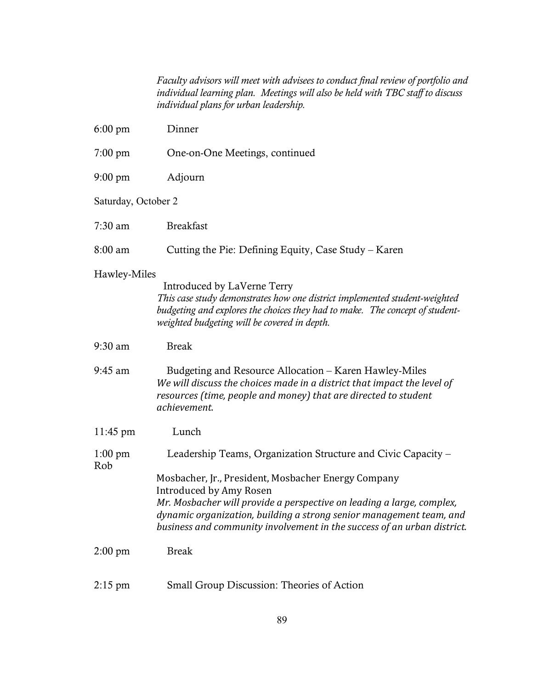*Faculty advisors will meet with advisees to conduct final review of portfolio and individual learning plan. Meetings will also be held with TBC staff to discuss individual plans for urban leadership.*

| $6:00 \text{ pm}$        | Dinner                                                                                                                                                                                                                                             |
|--------------------------|----------------------------------------------------------------------------------------------------------------------------------------------------------------------------------------------------------------------------------------------------|
| $7:00 \text{ pm}$        | One-on-One Meetings, continued                                                                                                                                                                                                                     |
| $9:00 \text{ pm}$        | Adjourn                                                                                                                                                                                                                                            |
| Saturday, October 2      |                                                                                                                                                                                                                                                    |
| $7:30$ am                | <b>Breakfast</b>                                                                                                                                                                                                                                   |
| 8:00 am                  | Cutting the Pie: Defining Equity, Case Study – Karen                                                                                                                                                                                               |
| Hawley-Miles             | Introduced by LaVerne Terry<br>This case study demonstrates how one district implemented student-weighted<br>budgeting and explores the choices they had to make. The concept of student-<br>weighted budgeting will be covered in depth.          |
| 9:30 am                  | <b>Break</b>                                                                                                                                                                                                                                       |
| $9:45$ am                | Budgeting and Resource Allocation – Karen Hawley-Miles<br>We will discuss the choices made in a district that impact the level of<br>resources (time, people and money) that are directed to student<br>achievement.                               |
| $11:45 \text{ pm}$       | Lunch                                                                                                                                                                                                                                              |
| $1:00 \text{ pm}$<br>Rob | Leadership Teams, Organization Structure and Civic Capacity –<br>Mosbacher, Jr., President, Mosbacher Energy Company                                                                                                                               |
|                          | Introduced by Amy Rosen<br>Mr. Mosbacher will provide a perspective on leading a large, complex,<br>dynamic organization, building a strong senior management team, and<br>business and community involvement in the success of an urban district. |
| $2:00 \text{ pm}$        | <b>Break</b>                                                                                                                                                                                                                                       |
| $2:15$ pm                | Small Group Discussion: Theories of Action                                                                                                                                                                                                         |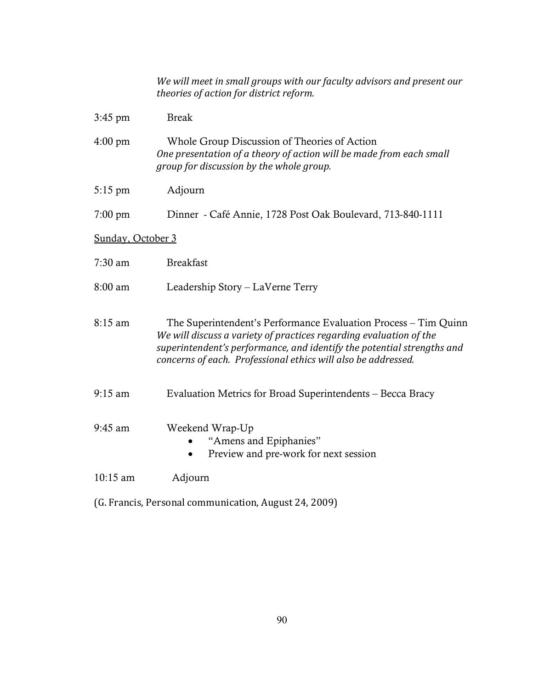*We will meet in small groups with our faculty advisors and present our theories of action for district reform.*

| Whole Group Discussion of Theories of Action                        |
|---------------------------------------------------------------------|
| One presentation of a theory of action will be made from each small |
| group for discussion by the whole group.                            |
|                                                                     |

- 5:15 pm Adjourn
- 7:00 pm Dinner Café Annie, 1728 Post Oak Boulevard, 713-840-1111

### Sunday, October 3

| 7:30 am | <b>Breakfast</b> |
|---------|------------------|
|---------|------------------|

8:00 am Leadership Story – LaVerne Terry

8:15 am The Superintendent's Performance Evaluation Process – Tim Quinn *We will discuss a variety of practices regarding evaluation of the superintendent's performance, and identify the potential strengths and concerns of each. Professional ethics will also be addressed.*

- 9:15 am Evaluation Metrics for Broad Superintendents Becca Bracy
- 9:45 am Weekend Wrap-Up
	- "Amens and Epiphanies"
	- Preview and pre-work for next session
- 10:15 am Adjourn
- (G. Francis, Personal communication, August 24, 2009)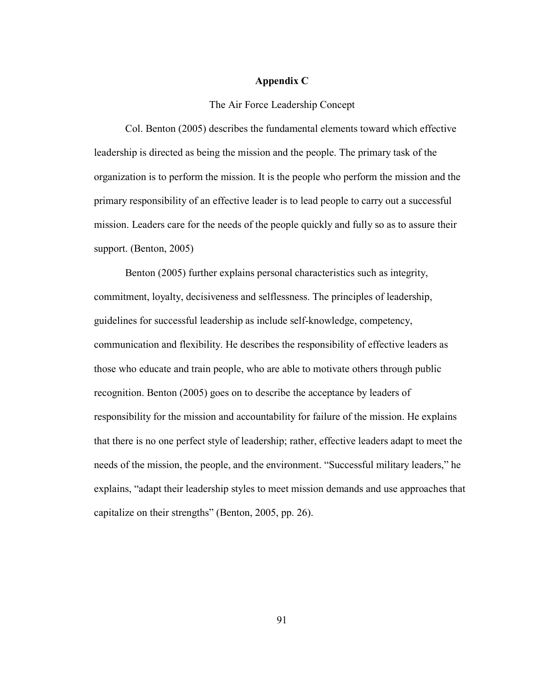### **Appendix C**

### The Air Force Leadership Concept

Col. Benton (2005) describes the fundamental elements toward which effective leadership is directed as being the mission and the people. The primary task of the organization is to perform the mission. It is the people who perform the mission and the primary responsibility of an effective leader is to lead people to carry out a successful mission. Leaders care for the needs of the people quickly and fully so as to assure their support. (Benton, 2005)

Benton (2005) further explains personal characteristics such as integrity, commitment, loyalty, decisiveness and selflessness. The principles of leadership, guidelines for successful leadership as include self-knowledge, competency, communication and flexibility. He describes the responsibility of effective leaders as those who educate and train people, who are able to motivate others through public recognition. Benton (2005) goes on to describe the acceptance by leaders of responsibility for the mission and accountability for failure of the mission. He explains that there is no one perfect style of leadership; rather, effective leaders adapt to meet the needs of the mission, the people, and the environment. "Successful military leaders," he explains, "adapt their leadership styles to meet mission demands and use approaches that capitalize on their strengths" (Benton, 2005, pp. 26).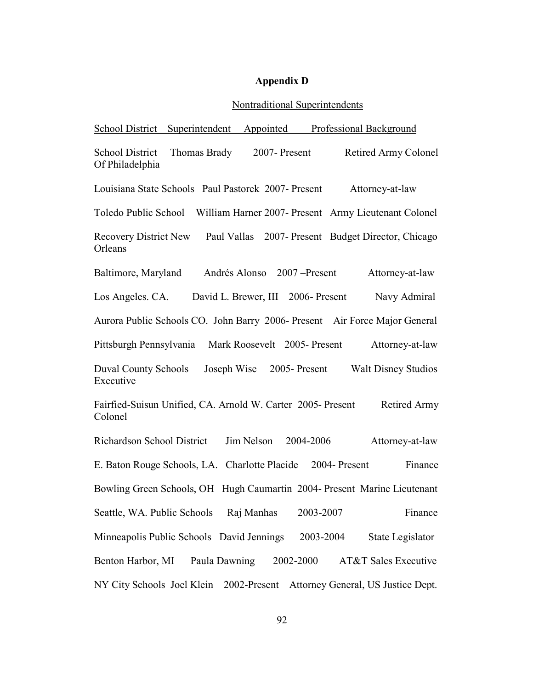## **Appendix D**

## Nontraditional Superintendents

| Professional Background<br>School District Superintendent<br>Appointed                            |
|---------------------------------------------------------------------------------------------------|
| Thomas Brady<br>2007-Present<br>Retired Army Colonel<br><b>School District</b><br>Of Philadelphia |
| Louisiana State Schools Paul Pastorek 2007- Present<br>Attorney-at-law                            |
| Toledo Public School William Harner 2007- Present Army Lieutenant Colonel                         |
| <b>Recovery District New</b><br>Paul Vallas 2007- Present Budget Director, Chicago<br>Orleans     |
| Baltimore, Maryland<br>Andrés Alonso 2007 – Present<br>Attorney-at-law                            |
| David L. Brewer, III 2006- Present<br>Navy Admiral<br>Los Angeles. CA.                            |
| Aurora Public Schools CO. John Barry 2006- Present Air Force Major General                        |
| Pittsburgh Pennsylvania<br>Mark Roosevelt 2005-Present<br>Attorney-at-law                         |
| <b>Walt Disney Studios</b><br>Duval County Schools<br>Joseph Wise<br>2005-Present<br>Executive    |
| Fairfied-Suisun Unified, CA. Arnold W. Carter 2005- Present<br>Retired Army<br>Colonel            |
| <b>Richardson School District</b><br>Jim Nelson 2004-2006<br>Attorney-at-law                      |
| E. Baton Rouge Schools, LA. Charlotte Placide 2004- Present<br>Finance                            |
| Bowling Green Schools, OH Hugh Caumartin 2004- Present Marine Lieutenant                          |
| Seattle, WA. Public Schools Raj Manhas<br>2003-2007<br>Finance                                    |
| Minneapolis Public Schools David Jennings<br>2003-2004<br>State Legislator                        |
| Paula Dawning<br><b>AT&amp;T Sales Executive</b><br>Benton Harbor, MI<br>2002-2000                |
| NY City Schools Joel Klein 2002-Present<br>Attorney General, US Justice Dept.                     |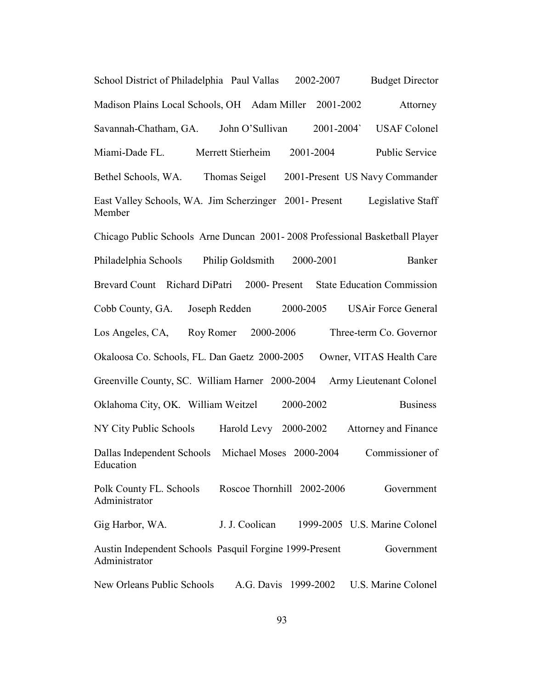School District of Philadelphia Paul Vallas 2002-2007 Budget Director Madison Plains Local Schools, OH Adam Miller 2001-2002 Attorney Savannah-Chatham, GA. John O'Sullivan 2001-2004` USAF Colonel Miami-Dade FL. Merrett Stierheim 2001-2004 Public Service Bethel Schools, WA. Thomas Seigel 2001-Present US Navy Commander East Valley Schools, WA. Jim Scherzinger 2001- Present Legislative Staff Member Chicago Public Schools Arne Duncan 2001- 2008 Professional Basketball Player Philadelphia Schools Philip Goldsmith 2000-2001 Banker Brevard Count Richard DiPatri 2000- Present State Education Commission Cobb County, GA. Joseph Redden 2000-2005 USAir Force General Los Angeles, CA, Roy Romer 2000-2006 Three-term Co. Governor Okaloosa Co. Schools, FL. Dan Gaetz 2000-2005 Owner, VITAS Health Care Greenville County, SC. William Harner 2000-2004 Army Lieutenant Colonel Oklahoma City, OK. William Weitzel 2000-2002 Business NY City Public Schools Harold Levy 2000-2002 Attorney and Finance Dallas Independent Schools Michael Moses 2000-2004 Commissioner of Education Polk County FL. Schools Roscoe Thornhill 2002-2006 Government Administrator Gig Harbor, WA. J. J. Coolican 1999-2005 U.S. Marine Colonel Austin Independent Schools Pasquil Forgine 1999-Present Government Administrator New Orleans Public Schools A.G. Davis 1999-2002 U.S. Marine Colonel